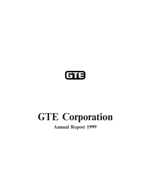

# **GTE Corporation**

## **Annual Report 1999**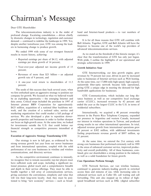# Chairman's Message

Dear GTE Shareholder:

profound change. Escalating consolidation — driven chiefly customers.<br>by dramatic changes in technology, regulation and customer

We ended 1999 with some of our strongest financial results in recent history, achieving:

- earnings per share growth of 14 percent;<br>strategic achievements in 1999:
- ' Year-over-year adjusted net income growth of 15 **Growth Initiatives Soar** percent;
- 
- 

The seeds of this success date back several years, when bandwidth applications for businesses.<br>we first embarked upon an aggressive strategy to position our company for growth. We focused on what we believed would GTE Communications, which includes our long disbe an exploding opportunity — the emerging Internet and tance business as well as our competitive local exchange data arena. Critical steps included the purchase in 1997 of carrier (CLEC), increased revenues by 42 percent and Internet pioneer BBN Corporation for approximately ended the year as the largest CLEC in the U.S. in terms of \$625 million, acquisition of a national fiber backbone net-<br>sidential subscribers. \$625 million, acquisition of a national fiber backbone network, and the creation of a national sales, service and marketing organization that could market a full package of Internationally, we acquired a 40 percent ownership<br>services. We also developed a plan to reposition slower. Interest in the Puerto Rico Telephone Company, expande services. We also developed a plan to reposition slower-<br>growth properties and businesses in order to further sharpen<br>our presence in Argentina and western Canada, increased<br>our focus on high-growth areas. At the same time financial strength as competitive pressures intensified at adjusted revenue growth from international operations grew<br>20 percent or \$302 million, with additional investments

### **Execution of Aggressive Strategy Transforming GTE** 31 percent.

Our strategy is now in full gear, as evidenced by the At the same time, we entered the 21st century with strong revenue growth last year from our newer businesses strong core businesses that performed extremely well in 199 strong revenue growth last year from our newer businesses<br>and from international operations, coupled with the solid<br>performance of our core businesses in wireline and wireless<br>in the areas of enhanced customer service, imp performance of our core businesses in wireline and wireless tivity and overall profitability. All of these businesses, com-<br>communications, and directory services.

As the competitive environment continues to intensify, as well as a solid foundation for future growth. we recognize that to remain successful, top-tier players must<br>have sufficient scale and scope, including a significant national presence, global reach and a comprehensive breadth GTE Network Services, our vast wireline business, and depth in their service offerings. They must be able to continued to generate industry-leading growth in switched bundle together a full array of communications services, access lines and minutes of use, while increasing sales in giving customers the convenience, simplicity and value that enhanced services such as Caller ID, call waiting and call will win their long-term loyalty. And, they must be posi-<br>
forwarding. This unit also stepped up its rollout of hightioned to bring "new economy" services — such as broad- speed broadband services such as DSL (digital subscriber

The telecommunications industry is in the midst of band and Internet-based products  $-$  to vast numbers of

demand — continued to redefine the landscape in 1999. Yet,<br>despite another tumultuous year, GTE was among the lead-<br>ers in harnessing change to produce growth.<br>despite another tumultuous year, GTE was among the lead-<br>frepo

As we stand on the threshold of this historic merger, it's clear that the transformation of GTE has only just begun. • Reported earnings per share of \$4.12, with adjusted With pride, I outline the highlights of our operational and

• Revenues of more than \$25 billion — an adjusted<br>growth rate of 9 percent, and<br>growth rate of 9 percent, and<br>gales to businesses of Internet services such as Web hosting. ' A one-year total return to shareholders of 11.5 At the same time, our 17,000-mile high-speed, high-capacity percent.<br>
nationwide fiber-optic network became fully operational,<br>
giving GTE a unique edge in meeting the demand for high

fueling proportionate revenue growth of \$897 million, up

bined, give our shareholders a strong position in the industry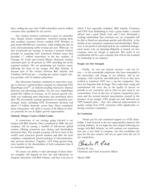line), ending the year with 57,000 subscribers and six million which I feel especially confident. Bell Atlantic Chairman customer lines qualified for the service.  $\qquad \qquad \text{and CEO Ivan Seidenberg is truly a great leader, a trusted}$ 

Our wireless business continued to grow its subscriber<br>base, despite intense competition. Attractive pricing plans<br>and excellent customer service enabled GTE Wireless to<br>gain nearly 600,000 new customers, while holding the customers grew by 48 percent in 1999, including the newly **People Are Our Strength** acquired markets. We are positioning our wireless assets, following the close of our merger with Bell Atlantic, to<br>become part of the venture between Bell Atlantic and<br>Vodafone AirTouch plc — creating the nation's largest wire—<br>less provider with 24 million subscribers.<br>less prov

egy to become a multi-product company by enhancing GTE have not forgotten their heritage. They make their caring and<br>SuperPages com<sup>SM</sup> an industry-leading interactive Internet commitment felt every day in the quality of s SuperPages.com<sup>SM</sup>, an industry-leading interactive Internet commitment felt every day in the quality of service we directory and advertising product. For the year SuperPages provide to our customers and in what we give ba directory and advertising product. For the year, SuperPages provide to our customers and in what we give back to our posted \$26 million in revenues an 82 percent growth rate communities. Even in the face of intense competi posted \$26 million in revenues, an 82 percent growth rate, communities. Even in the face of intense competitive pres-<br>while our traditional print directories also performed above sures and the normal internal uncertainties while our traditional print directories also performed above sures and the normal internal uncertainties created by the plan. We successfully reached agreements to reposition non-<br>prospect of our merger, GTE people not onl plan. We successfully reached agreements to reposition non-<br>strategic assets, including GTE Government Systems and 1999 financial plan—they also achieved improvements in strategic assets, including GTE Government Systems and 1999 financial plan — they also achieved improvements in<br>about 1.6 million domestic access lines. Once completed quality ratings from GTE customers while significantly about 1.6 million domestic access lines. Once completed, quality ratings from GTE currently rethese transactions will yield in excess of \$4 billion in aftertax proceeds for use in higher growth opportunities. **In Conclusion**

### **Outlook: Merger Creates Global Leader**

merger with Bell Atlantic. Once completed in 2000, the new holder. I look forward to the new opportunities ahead in this exergency will be empired as handful of full service clobal exciting industry. As we begin the next c company will be among a handful of full-service global<br>carriers, offering consumers new choices and shareholders<br>increased value. The merged company will serve some of the<br>world's most attractive growth markets and offer t tion services anywhere. Together, we'll bring greater longterm benefits to the shareholders of both companies than if we remained separate. Charles R. Lee

Of course, our ability to take advantage of these inher-<br>Chairman and Chief Executive Officer ent strengths will depend on how fast and effectively we integrate operations with Bell Atlantic, and that is an area in March 2000

Our directories business continued its innovative strat-<br>No become a multi-product company by enhancing GTE have not forgotten their heritage. They make their caring and

A cornerstone of our strategy going forward is our Thank you for your continued support as a GTE share-

Charles R. Lee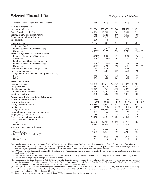## **Selected Financial Data** *GTE Corporation and Subsidiaries*

| (Dollars in Millions, Except Per-Share Amounts)  | 1999          | 1998                | 1997     | 1996     | 1995                      |
|--------------------------------------------------|---------------|---------------------|----------|----------|---------------------------|
| <b>Results of Operations</b>                     |               |                     |          |          |                           |
| Revenues and sales                               | \$25,336      | \$25,473            | \$23,260 | \$21,339 | \$19,957                  |
| Cost of services and sales                       | 10,954        | 10,741              | 9,203    | 8,071    | 7,537                     |
| Selling, general and administrative              | 4,405         | 4,821               | 4,560    | 4,010    | 3,689                     |
| Depreciation and amortization                    | 3,757         | 3,820               | 3,886    | 3,770    | 3,675                     |
| Special items                                    | (1, 116)      | 755                 |          |          |                           |
| Operating income                                 | 7,336         | 5,336               | 5,611    | 5,488    | 5,056                     |
| Net income (loss)                                |               |                     |          |          |                           |
| Income before extraordinary charges              | $4,063^{(a)}$ | $2,492^{(b)}$       | 2,794    | 2,798    | 2,538                     |
| Consolidated                                     | $4,033^{(c)}$ | $2,172^{(d)}$       | 2,794    | 2,798    | $(2,144)$ <sup>(e)</sup>  |
| Basic earnings (loss) per common share           |               |                     |          |          |                           |
| Income before extraordinary charges              | $4.18^{(a)}$  | $2.59^{(b)}$        | 2.92     | 2.89     | 2.62                      |
| Consolidated                                     | $4.15^{(c)}$  | 2.26 <sup>(d)</sup> | 2.92     | 2.89     | $(2.21)^{(e)}$            |
| Diluted earnings (loss) per common share         |               |                     |          |          |                           |
| Income before extraordinary charges              | $4.15^{(a)}$  | $2.57^{(b)}$        | 2.90     | 2.88     | 2.61                      |
| Consolidated                                     | $4.12^{(c)}$  | 2.24 <sup>(d)</sup> | 2.90     | 2.88     | $(2.20)^{(e)}$            |
| Common dividends declared per share              | 1.88          | 1.88                | 1.88     | 1.88     | 1.88                      |
| Book value per share                             | 11.19         | 9.06                | 8.39     | 7.62     | 7.05                      |
| Average common shares outstanding (in millions)  |               |                     |          |          |                           |
| Basic                                            | 972           | 963                 | 958      | 969      | 970                       |
| Diluted                                          | 979           | 968                 | 962      | 972      | 973                       |
| <b>Assets and Capital</b>                        |               |                     |          |          |                           |
| Consolidated assets                              | \$50,832      | \$43,615            | \$42,142 | \$38,422 | \$37,019                  |
| Long-term debt                                   | 13,957        | 15,418              | 14,494   | 13,210   | 12,744                    |
| Shareholders' equity                             | 10,827        | 8,766               | 8,038    | 7,336    | 6,871                     |
| Net cash from operations                         | 6,319         | 5,890               | 6,164    | 5,899    | 5,033                     |
| Capital expenditures                             | 4,940         | 5,609               | 5,128    | 4,088    | 4,034                     |
|                                                  |               |                     |          |          |                           |
| <b>Consolidated Ratios and Other Information</b> |               |                     |          |          |                           |
| Return on common equity                          | 40.9%         | 27.3%               | 37.6%    | 40.2%    | $(20.3)\%$ <sup>(e)</sup> |
| Return on investment                             | 16.2%         | 10.9%               | 14.5%    | 15.6%    | $(4.2)\%$ <sup>(e)</sup>  |
| Average common equity                            | \$9,858       | \$7,962             | \$7,433  | \$6,960  | \$10,539                  |
| Equity ratio                                     | 33.9%         | 35.4%               | 36.5%    | 38.1%    | 37.9 %                    |
| Average investment                               | \$31,372      | \$28,662            | \$26,857 | \$24,395 | \$27,150                  |
| Research and development expenditures            | 131           | 159                 | 122      | 122      | 137                       |
| Employees (in thousands)                         | 99            | 120                 | 114      | 102      | 106                       |
| Access minutes of use (in millions)              | 94,095        | 87,120              | 79,086   | 70,452   | 64,193                    |
| Access lines (in thousands)                      |               |                     |          |          |                           |
| Total                                            | 35,342        | 29,746              | 27,670   | 25,766   | 24,050                    |
| <b>United States</b>                             | 26,068        | 23,625              | 21,539   | 20,007   | 18,512                    |
| Wireless subscribers (in thousands)              |               |                     |          |          |                           |
| Total                                            | 13,873        | 7,567               | 5,701    | 4,445    | 3,547                     |
| <b>United States</b>                             | 7,146         | 4,817               | 4,487    | 3,749    | 3,011                     |
| Adjusted "POPs" (in millions) <sup>(f)</sup>     |               |                     |          |          |                           |
| Total                                            | 107.3         | 84.8                | 78.9     | 78.3     | 76.7                      |
| <b>United States</b>                             | 72.5          | 61.4                | 61.3     | 61.9     | 61.7                      |

(a) 1999 includes after-tax special items of \$651 million, or \$.66 per diluted share (\$.67 per basic share) consisting of gains from the sale of the Government Systems business and a gain associated with the merger of BC TELECOM Inc. and TELUS Corporation, partially offset by special charges associated with employee separation programs, impairment of assets and costs to exit certain small non-strategic businesses.

(b) 1998 includes after-tax special charges of \$482 million, or \$.50 per share related to asset impairments, the cost of exiting certain business activities and employee related costs.

(c) In addition to the items discussed in (a), 1999 includes after-tax extraordinary charges of \$30 million, or \$.03 per share resulting from the repurchase of \$338 million in high coupon debt prior to stated maturity.

(d) In addition to the items discussed in (b), 1998 includes after-tax extraordinary charges of \$320 million, or \$.33 per share resulting from the discontinued use of Statement of Financial Accounting Standards No. 71, "Accounting for the Effects of Certain Types of Regulation" (SFAS No. 71), by GTE's Canadian operations, and the early retirement of long-term debt and preferred stock.

(e) During 1995, GTE's domestic telephone operating companies discontinued the use of SFAS No. 71 resulting in a noncash, after-tax extraordinary charge of \$4.6 billion, or \$4.77 per diluted share (\$4.79 per basic share). In addition, GTE redeemed long-term debt and preferred stock resulting in an after-tax extraordinary charge of \$41 million, or \$.04 per share.

(f) Represents population available to be served times GTE's percentage interest in wireless markets.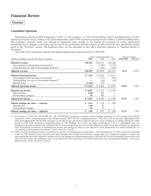### **Overview**

### **Consolidated Operations**

Reported net income for GTE Corporation ("GTE" or "the Company") in 1999 was \$4.0 billion, or \$4.12 per diluted share. In 1998, reported net income was \$2.2 billion, or \$2.24 per diluted share, and in 1997 reported net income was \$2.8 billion, or \$2.90 per diluted share. The Company's reported results were affected by significant items, changes in the method of accounting for certain international investments due to changes in ownership and the sale of the Government Systems business in 1999, which are each described in further detail in this "Overview" section. The significant items are also discussed, as they affect reportable segments, in "Segment Results of Operations.''

The table below summarizes reported and selected adjusted key financial results for 1999-1997:

|                                                             |            | Years Ended December 31, |            |           | Percent Change |
|-------------------------------------------------------------|------------|--------------------------|------------|-----------|----------------|
| (Dollars in Millions, Except Per-Share Amounts)             | 1999       | 1998                     | 1997       | 1999-1998 | 1998-1997      |
| Reported revenues                                           | \$25,336   | \$25,473                 | \$23,260   |           |                |
| Accounting for international investments <sup>(a)</sup>     |            | (1,782)                  | (1,755)    |           |                |
| Normalization for sale of Government Systems <sup>(b)</sup> |            | (392)                    | (383)      |           |                |
| <b>Adjusted revenues</b>                                    | \$25,336   | \$23,299                 | \$21,122   | 8.7%      | 10.3%          |
| Reported operating income                                   | \$7,336    | \$5,336                  | \$5,611    |           |                |
| Accounting for international investments <sup>(a)</sup>     |            | (577)                    | (585)      |           |                |
| Normalization for sale of Government Systems <sup>(b)</sup> |            | (50)                     | (54)       |           |                |
| Special items                                               | (1,116)    | 755                      |            |           |                |
| <b>Adjusted operating income</b>                            | \$6,220    | \$5,464                  | \$4,972    | 13.8%     | 9.9%           |
| Reported net income                                         | \$4,033    | \$2,172                  | \$2,794    |           |                |
| Special items                                               | (651)      | 482                      |            |           |                |
| Extraordinary charges                                       | 30         | 320                      |            |           |                |
| <b>Adjusted net income</b>                                  | \$3,412    | \$2,974                  | \$2,794    | 14.7%     | 6.4%           |
| Diluted earnings per share - reported                       | \$<br>4.12 | \$<br>2.24               | 2.90<br>S. |           |                |
| Special items                                               | (.66)      | .50                      |            |           |                |
| Extraordinary charges                                       | .03        | .33                      |            |           |                |
| Diluted earnings per share — adjusted                       | \$<br>3.49 | 3.07<br>S                | 2.90<br>S. | 13.7%     | 5.9%           |

<sup>(</sup>a) On January 31, 1999, BC TELECOM Inc. (BC TELECOM), previously a majority-owned Canadian subsidiary of GTE, merged with TELUS Corporation. GTE's ownership interest in the merged company, BCT.TELUS Communications Inc. (TELUS), is 26.7%; therefore, beginning in 1999, GTE deconsolidated BC TELECOM and began accounting for the investment in TELUS using the equity method of accounting. During the fourth quarter of 1998, GTE increased its ownership interest in CTI Holdings, S.A. (CTI) and began accounting for CTI on a consolidated basis. For comparative discussion purposes only, 1998 and 1997 revenues and operating income have been adjusted to reflect the current method of accounting for these international investments. Consolidated net income and earnings per share are not affected by these adjustments. For further information, see "Accounting for International Investments" in this "Overview" section.

<sup>(</sup>b) GTE's Government Systems business was sold in two parcels, with closing dates of September 1, 1999 and December 10, 1999, respectively. Reported results for 1999 include activity associated with these business units through their respective closing dates. For comparative purposes, revenues and operating income have been adjusted to include activity only through the corresponding periods in 1998 and 1997 for the Government Systems units that were sold. Net income and earnings per share are not affected by these adjustments. For further information, see "Strategic Repositioning — Net Assets Held for Sale" in this "Overview" section.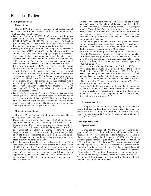During 1999, the Company recorded a net pretax gain of reported \$264 million of customer roaming revenues on a gross \$1.1 billion (\$651 million after-tax, or \$0.66 per diluted share), basis, whereas prior to 1999 the Compa \$1.1 billion (\$651 million after-tax, or \$0.66 per diluted share), basis, whereas prior to 1999 the Company netted these revenues with roaming charges settled with other carriers. Prior vear

- During the first quarter of 1999, the Company recorded a pretax customer roaming revenues gain of \$513 million associated with the merger of within operating income. gain of \$513 million associated with the merger of BC TELECOM and TELUS. The after-tax impact of this gain is \$308 million, or \$.31 per diluted share. See "Accounting for International Investments" for additional information.
- Uuring the first quarter of 1999, the Company also recorded a special charge of \$192 million (\$119 million after-tax, or \$.12 per special charge of \$192 million (\$119 million after-tax, or \$.12 per  $\cdot$  As a result of the property repositioning initiatives announced in diluted share) associated with employee separation programs. [998, the Company dis 1999, as planned, consistent with the original cost estimates. \$325 million in 1999.<br>• During the third quarter of 1999, the Company recorded special • As a result of adopt
- share). Included in the special items was a pretax gain of \$754 million on the sale of substantially all of GTE Government special charge of \$49 million (\$29 million after-tax, or \$.03 per diluted share) primarily related to the impairment of assets diluted share) primarily related to the impairment of assets <br>associated with the Company's decision to exit certain small, ition efforts for potential Year 2000 rollover issues. Year 2000
- pretax gain of \$90 million, primarily associated with the sale of \$153 million was incurred in 1999. the remaining major division of GTE Government Systems to DynCorp, partially offset by a special charge taken to exit certain DynCorp, partially oÅset by a special charge taken to exit certain **Extraordinary Charge** small non-strategic businesses. The after-tax impact of this net gain is \$46 million, or \$.05 per diluted share.<br>During the first quarter of 1999, GTE repurchased \$338 mil-

- Consolidated net income for 1999 includes \$1.2 billion of operat-<br>
ing losses related to GTE's continuing investments in its In-<br>
ternetworking and GTE Communications Corporation initiatives.<br>
Special Items ternetworking and GTE Communications Corporation initiatives.<br>
While the continued investment in the high-growth sectors of the<br>
telecommunications industry is essential to achieving GTE's During the first quarter of 1998, telecommunications industry is essential to achieving GTE's long-term growth objectives, these operating losses have partially
- to result in annual savings of approximately \$600 million. As a result of this program, the Company recorded net gains of
- **1999 Significant Items**  $\bullet$  During 1999, consistent with the emergence of the wireless industry's one-rate calling plans and the associated change in the Special Items<br>
Industry's one-rate calling plans and the associated change in the<br>
manner of reporting customer roaming revenues, the Company<br>
During 1999, the Company recorded a net pretax gain of<br> **Special Items** manner with roaming charges settled with other carriers. Prior year customer roaming revenues continue to be reported on a net basis
	- In the fourth quarter of 1999, the Company acquired several wireless properties from Ameritech Corporation, resulting in increased 1999 revenues of approximately \$186 million and a dilutive impact of approximately \$.02 per share.
	- diluted share) associated with employee separation programs. 1998, the Company discontinued depreciation on approximately<br>The charge included separation and related benefits such as 1.6 million non-strategic domestic acces The charge included separation and related benefits such as 1.6 million non-strategic domestic access lines and the Govern-<br>outplacement and benefit continuation costs for approximately ment Systems and Airfone businesses outplacement and benefit continuation costs for approximately ment Systems and Airfone businesses that were held for sale,<br>3,000 employees. The programs were completed in early April resulting in lower depreciation and amo resulting in lower depreciation and amortization expense of
	- During the third quarter of 1999, the Company recorded special . As a result of adopting Statement of Position (SOP) 98-1 items of \$705 million (\$416 million after-tax, or \$.42 per diluted "Accounting for the Costs of Comp "Accounting for the Costs of Computer Software Developed or Obtained for Internal Use" on January 1, 1999, the Company \$754 million on the sale of substantially all of GTE Government began capitalizing certain types of network software costs that Systems on September 1, 1999 to General Dynamics Corpora-<br>had not been previously capitalized Systems on September 1, 1999 to General Dynamics Corpora-<br>
	tion for \$1.0 billion in cash. The after-tax impact of this gain was standards. The net incremental increase in capitalized software in tion for \$1.0 billion in cash. The after-tax impact of this gain was standards. The net incremental increase in capitalized software in \$445 million, or \$.45 per diluted share. Also included was a 1999 compared to 1998 as 1999 compared to 1998 as a result of the adoption of SOP 98-1 was approximately \$203 million.
- associated with the Company's decision to exit certain small, tion efforts for potential Year 2000 rollover issues. Year 2000 ron-core business activities. non-core business activities.<br>
During the fourth quarter of 1999, the Company recorded a net mately \$372 million since inception, of which approximately mately \$372 million since inception, of which approximately

lion of high-coupon debt through a public tender offer prior to its **Other Significant Items** stated maturity, resulting in a one-time, after-tax extraordinary During 1999, the Company's results were also impacted by the charge of \$30 million (net of tax benefits of \$16 million), or following other significant items:

long-term growth objectives, these operating losses have partially plan to sell or exit various business activities and reduce costs offset the strong performance of GTE's traditional core opera-<br>through employee reduction offset the strong performance of GTE's traditional core opera-<br>through employee reductions and related actions. As a result of<br>tions. Management expects the operating losses associated with<br>these actions, during the first these actions, during the first quarter of 1998, the Company these initiatives to continue in 2000. recorded pretax charges of \$755 million, \$482 million after-tax, or ' In conjunction with continued cost-cutting initiatives, the Com- \$.50 per diluted share, for the year. The strategic actions to which pany initiated an employee reduction program in the first quarter the 1998 special charges relate were completed as planned consisted of 1999 (mentioned in "Special Items" above) that is expected tent with the original cos tent with the original cost estimates. The plan included the previ-<br>ously mentioned proposed sale of GTE Government Systems Corporation, GTE Airfone Incorporated and approximately approximately \$511 million associated with the lump-sum settle- 1.6 million non-strategic domestic access lines located in 13 states. ments of pension obligations for voluntary and involuntary em-<br>ployee retirements.<br> $\frac{1}{100}$  Net Assets Held for Sale". tioning — Net Assets Held for Sale".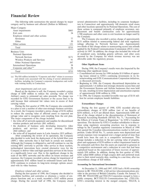| Major Category:                    |       |
|------------------------------------|-------|
| Asset impairments                  | \$483 |
| Exit costs                         | 34    |
| Employee related and other actions |       |
| Severance                          | 77    |
| Other                              | 30    |
| Other actions                      | 131   |
| Total                              | \$755 |
| <b>Business Unit:</b>              |       |
| National Operations                |       |
| <b>Network Services</b>            | \$171 |
| Wireless Products and Services     | 91    |
| <b>Other National Operations</b>   | 397   |
| <b>International Operations</b>    | 38    |
| Corporate and other <sup>(a)</sup> | 58    |
| Total                              | \$755 |

and related costs associated with the closing of several administrative ternetworking and GTE facilities, including the Company's corporate headquarters and world- as discussed previously. facilities, including the Company's corporate headquarters and worldwide training facility in Connecticut. <br>
• Beginning in 1998, the Company discontinued depreciation on

Based on the decision to sell, the Company recorded a pretax for sale, resulting in lower depreciation and and amortization in 1998. charge of \$200 million to reduce the carrying value of GTE of approximately \$100 million in 1998.<br>Airfone's assets to estimated net sales proceeds. No charge was • In 1998, the Company recorded favorable true-ups of \$118 m Airfone's assets to estimated net sales proceeds. No charge was  $\cdot$  In 1998, the Company recorded favorable trecorded for GTE Government Systems or the access lines to be lion for certain employee benefit liabilities. recorded for GTE Government Systems or the access lines to be sold because their estimated fair values were in excess of their carrying values.<br> **Extraordinary Charges**<br>
During the first quarter of 1998, the Company also committed

During the first quarter of 1998, GTE recorded after-tax to a plan to exit a number of other non-strategic business activities. As a result, the Company recorded a pretax charge of \$156 million extraordinary charges of \$320 million (net of tax benefits of As a result, the Company recorded a pretax charge of \$156 million), or \$.33 per diluted share.

- 
- 

also decided to scale back the deployment of the hybrid fiber coax<br>(HFC) video networks that it had built in certain test markets.<br>Although the Company is obligated to and will continue to use the plant and equipment of \$2 Although the Company is obligated to, and will continue to, use the plant and equipment of  $\frac{1}{27}$  million to reflect impairment based on existing HFC networks to provide video service in these markets, existing HFC networks to provide video service in these markets,<br>technological innovations have created alternative ways for the assets are expected to generate in<br>company to deliver video and high-speed data services in t scale of the HFC networks and the effect on future revenues and<br>expenses, the Company recorded a pretax charge for impairment of<br>approximately \$161 million based on estimated future cash flows.<br>extraordinary charge of \$20 GTE continues to evaluate its long-term strategic options associ- **Accounting for International Investments** ated with its video business.

charge. During the second half of 1998, the Company closed

The following table summarizes the special charges by major several administrative facilities, including its corporate headquar-<br>category and by business unit affected (Dollars in Millions): ters in Connecticut and approxi ters in Connecticut and approximately 140 domestic retail stores and other locations operated by its National Operations. The cost of these actions is composed primarily of employee severance, outplacement and benefit continuation costs for approximately 1,700 employees and other costs to exit locations no longer used by the Company.

The Company also recorded a pretax charge of approximately \$131 million related to nonrecurring federal and state regulatory rulings affecting its Network Services unit. Approximately two-thirds of this charge relates to nonrecurring access rate refunds applied by the Federal Communications Commission (FCC) retroactively in 1997. In addition, the charge also included the write-off of mandated costs, including generic software, and other costs incurred by the Company for which revenue recovery was not allowable under the regulatory process.

### **Other Significant Items**

During 1998, the Company's results were also impacted by the following other significant items:

- Consolidated net income for 1998 includes \$1.0 billion of operating losses related to GTE's continuing investments in its In-(a) The \$58 million included in "Corporate and other" relates to severance<br>and related costs associated with the closing of several administrative ternetworking and GTE Communications Corporation initiatives,
	- approximately 1.6 million non-strategic domestic access lines and *Asset impairments and exit costs* the Government Systems and Airfone businesses that were held<br> **Rased on the decision to sell** the Company recorded a pretax for sale, resulting in lower depreciation and amortization expe
		-

Under SEAS No. 71, "Accounting Standards (SFAS) No. 71, "Accounting Standards (SFAS) No. 71, "Accounting Standards to recognize costs resulting from the exit plan.<br>
Salvage value and to recognize costs resulting from the e • the write-off of impaired assets in Latin America (\$33 million). Petition. Under SFAS No. 71, certain assets were depreciated and certain expenses were recognized over a longer period of time than expenses were recognize

At December 31, 1998 and 1997, GTE had a 50.8% ownership *Employee related and other actions* interest in BC TELECOM, a full-service telecommunications pro-During the first quarter of 1998, the Company also decided to vider in the province of British Columbia, Canada. On January 31, consolidate facilities and centralize or eliminate a variety of em-<br>1999, BC TELECOM and TELUS 1999, BC TELECOM and TELUS Corporation merged to form a public company, BCT.TELUS Communications Inc. (TELUS). ployee functions and, as a result, recorded a \$107 million pretax public company, BCT.TELUS Communications Inc. (TELUS).<br>
charge. During the second half of 1998, the Company closed GTE's ownership interest in the merged co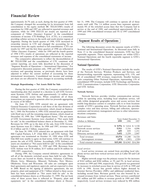the Company changed the accounting for its investment from full consolidation to the equity method. BC TELECOM's results of mately 8% of the switched access lines that the Company had in operations for 1998 and 1997 are reflected in reported revenues and service at the end of 1999, and contributed approximately 4% to expenses, while for 1999 TELUS net results are reported as a 1999 and 1998 consolidated re expenses, while for 1999 TELUS net results are reported as a component of "Other (Income) Expense" in the consolidated revenues. statements of income. CTI Holdings, S.A. (CTI), is a consortium providing cellular services in the north and south interior regions of Argentina. During the fourth quarter of 1998, GTE increased its ownership interest in CTI and changed the accounting for its investment from the equity method to full consolidation. CTI's net investment from the equity method to full consolidation. CTI's net<br>results for 1997 and the first three quarters of 1998 are reflected in<br>"Other (Income) Expense," while for 1999 and the fourth quarter<br>of 1998 CTI's result

current reporting, are more fully described in the discussion of **National Operations**<br>
"Segment Results of Operations — International Operations." For **National Operations**<br>
Comparative discussion purposes only, 1998 and comparative discussion purposes only, 1998 and 1997 consolidated<br>revenues and operating income, as previously shown, have been<br>adjusted to reflect the current method of accounting for these<br>international investments. Conso

During the first quarter of 1998, the Company committed to a repositioning plan that resulted in a decision to sell GTE Govern- **Network Services**

General Dynamics Corporation to sell three of the four divisions of outside of GTE's operating areas. Network Services also provides GTE Government Systems Corporation, which closed on Septem-<br>
complex voice and data servi GTE Government Systems Corporation, which closed on Septem-<br>her 1, 1999. On November 4, 1999. GTE entered into an agreement assistance and inventory management services to other telecommuber 1, 1999. On November 4, 1999, GTE entered into an agreement assistance and inventory match DynCorp to sell the remaining major division which closed on nications companies. with DynCorp to sell the remaining major division, which closed on December 10, 1999. See "1999 Significant Items." The net assets Revenues and Sales of GTE Government Systems were classified as "Net assets held Years" Net Assets and Suite of The Years Ended December 31, for sale" in the consolidated balance sheets at December 31, 1998. Revenues for 1999, up to the date of the sale, from GTE Government Systems were \$1.1 billion. In 1998 and 1997, revenues were \$1.4 billion and \$1.3 billion, respectively.

On June 24, 1999, GTE entered into an agreement with Oak Hill Capital Partners, L.P. (Oak Hill) to sell GTE Airfone. The agreement was terminated on October 19, 1999 when GTE and Oak Hill were unable to agree on final terms. GTE will continue to Intersegment revenues (473) (305) (220) pursue the sale of GTE Airfone. Accordingly, GTE Airfone's net Tatal attamped pursues \$15,101, \$14,204 assets are classified as "Net assets held for sale" in the consolidated balance sheets at December 31, 1999 and 1998. Revenues from GTE Airfone were \$138 million, \$157 million and \$136 million for *Local services*

sell all of the domestic switched access lines held for sale. These Waiting. access lines are located in Alaska, Arizona, Arkansas, California, Higher network usage was the primary reason for the increases Illinois, Iowa, Minnesota, Missouri, Nebraska, New Mexico, of \$162 million and \$284 million, or 3% and 5%, in local services Oklahoma, Texas and Wisconsin. All sales are contingent upon revenues in 1999 and 1998, respectively. This growth was generated final agreements and regulatory approvals, and are expected to close by increases in switched final agreements and regulatory approvals, and are expected to close by increases in switched access lines in service of 4.4% in 1999 and in 2000. Based on the signing of definitive agreements, the net 4.6% in 1998. Access in 2000. Based on the signing of definitive agreements, the net property, plant and equipment of \$1.7 billion related to these access Internet Service Providers (ISPs) and additional residential lines, lines has been reclassified as "Net assets held for sale" in the including second lines. Revenue growth was also boosted by in-<br>consolidated balance sheets as of December 31, 1999. The net book creased revenues from vertic consolidated balance sheets as of December 31, 1999. The net book creased revenues from vertical services. These services contributed value of these access lines is reflected in "Property, plant and \$81 million and \$91 mil value of these access lines is reflected in "Property, plant and equipment, net" in the consolidated balance sheets at Decem-

approximately 26.7% and, as such, during the first quarter of 1999, ber 31, 1998. The Company will continue to operate all of these the Company changed the accounting for its investment from full assets until sold. The 1.6

### **Segment Results of Operations**

of 1998 CTI's results of operations are reflected in the reported<br>reportable segments. Three reportable segments are within GTE's<br>revenues and expenses of the consolidated statements of income.<br>The comparative adjustments

consolidated 1999 revenues, include GTE Technology and Systems, **Strategic Repositioning - Net Assets Held for Sale** GTE Communications Corporation, GTE Directories Corporation and GTE Airfone.

strategic domestic access lines. When completed, all of these<br>transactions are expected to generate after-tax proceeds aggregating<br>in excess of \$4 billion.<br>On Iune 22, 1999 GTE entered into an agreement with<br>calls within d On June 22, 1999, GTE entered into an agreement with enable long-distance carriers to complete calls to or from locations eral Dynamics Corporation to sell three of the four divisions of ultside of GTE's operating areas. N

|                              |          | reans Ended Becompon 31.   |        |
|------------------------------|----------|----------------------------|--------|
| (Dollars in Millions)        | 1999     | 1998                       | 1997   |
|                              |          |                            |        |
| Local services               |          | $$5,976$ \$ 5,814 \$ 5,530 |        |
| Network access services      | 5,511    | 5,316                      | 4,896  |
| Toll services                | 655      | 859                        | 1,251  |
| Directory services and other | 3,432    | 3,259                      | 2,847  |
| Total revenues               | 15,574   | 15,248                     | 14.524 |
| Intersegment revenues        | (473)    | (305)                      | (220)  |
| Total external revenues      | \$15,101 | \$14,943 \$14,304          |        |

1999-1997, respectively.<br>
1999-1999, the Company entered definitive agreements to phone service and from vertical services such as Caller ID and Call phone service and from vertical services such as Caller ID and Call

respectively. Local services revenues were reduced by \$96 million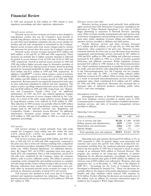in 1999 and increased by \$38 million in 1998 related to state *Directory services and other*

long-distance carriers that use the Company's local network to as inventory management and purchasing services, telephone equip-<br>provide long-distance services to their customers. Wireless provid-<br>ment sales, public teleph provide long-distance services to their customers. Wireless provid-<br>ers and other local telephone companies also pay access charges for operator services provided to affiliates and third parties. ers and other local telephone companies also pay access charges for operator services provided to affiliates and third parties.<br>Were services and the company of the Company of the Company of the company of the company of t wireless and toll calls transported or terminated by the Company. Overall, directory services and other revenues increased<br>Special access revenues arise from access charges paid by carriers \$173 million and \$412 million, o Special access revenues arise from access charges paid by carriers \$173 million and \$412 million, or 5% and 14%, for 1999 and 1998, and end-users for private lines that access the Company's network respectively, when compa

\$420 million, or 4% and 9%, in 1999 and 1998, respectively. These management and purchasing services increased by \$47 million in increases are partially due to higher customer demand as reflected 1999 and \$281 million in 1 increases are partially due to higher customer demand as reflected 1999 and \$281 million in 1998, and billing and collection revenues<br>by growth in access minutes of use of 8.0% and 10.2% in 1999 and increased by \$74 millio by growth in access minutes of use of 8.0% and 10.2% in 1999 and increased by \$74 million in 1998, as a result of recently acquired 1998, respectively. Growth in network access revenues in 1999 and third-party and affiliat 1998, respectively. Growth in network access revenues in 1999 and third-party and affiliated customers. Public telephone revenues<br>1998 also reflects higher network usage by alternative providers of increased \$34 million in 1998 also reflects higher network usage by alternative providers of increased \$34 million in 1998 related to the Telecommunications intraLATA toll services. Special access revenues, driven by growing Act, which mandated co intraLATA toll services. Special access revenues, driven by growing Act, which mandated compensation to payphone service providers demand for increased bandwidth by high-capacity users, increased for credit card and toll-f demand for increased bandwidth by high-capacity users, increased for credit card and toll-free calls originating from payphones. Prior<br>\$214 million and \$151 million in 1999 and 1998 respectively In to the Telecommunication \$214 million and \$151 million in 1999 and 1998, respectively. In to the Telecommunications Act, the Company was not compen-<br>addition. CyberPOP<sup>SM</sup>, a service which creates a point of presence sated for such calls. In 1999 addition, CyberPOP<sup>SM</sup>, a service which creates a point of presence sated for such calls. In 1999, a revised ruling reduced public (POP) for ISPs that operate in or near GTE's markets, contributed telephone revenues by \$31 (POP) for ISPs that operate in or near GTE's markets, contributed telephone revenues by \$31 million. Other revenues were also higher<br>\$45 million and \$98 million to revenue growth in 1999 and 1998. as a result of increased \$45 million and \$98 million to revenue growth in 1999 and 1998, as a result of increased telecommunications services revenues and respectively. Revenue growth was negatively impacted in both years equipment sales, which co respectively. Revenue growth was negatively impacted in both years equipment sales, which contributed \$114 million and \$31 million<br>by price reductions mandated by federal and state regulation. The for 1999 and 1998, respec by price reductions mandated by federal and state regulation. The for 1999 and 1998, respectively. Revenues also increased due to impact of price can filing reduced interstate access rates \$126 mil-<br>increased sales of adva impact of price cap filings reduced interstate access rates \$126 mil-<br>lion and \$140 million in 1999 and 1998, respectively (see "Regula- (E911) and voice messaging. lion and \$140 million in 1999 and 1998, respectively (see "Regulatory and Competitive Trends - Price Cap" for additional information). In 1997, the FCC also ordered significant changes *Intersegment revenues* that altered the structure of access charges collected by the Com-<br>Intersegment reve that altered the structure of access charges collected by the Com-<br>
Intersegment revenues at Network Services primarily repre-<br>
pany. As a result of the order, usage-sensitive access charges paid<br>
Intersegment revenues at pany. As a result of the order, usage-sensitive access charges paid sent local telephone services provided at market rates to GTE<br>by long-distance carriers were reduced by \$338 million in 1998. Communications Corporation, by long-distance carriers were reduced by \$338 million in 1998. Communications Corporation, which markets bundled telecommu-<br>This reduction in 1998 revenues was partially offset by \$298 million incations services, and sale of new per-line charges to long-distance carriers and increased charges paid by the end-user customer (see "Regulatory and Competitive Trends — Interstate Access Revision" for additional Operating Costs and Expenses information). Intrastate access charges were also reduced by \$129 million in 1999 and \$102 million in 1998 as a result of state ( regulatory proceedings.

Toll services revenue is earned primarily from calls made outside the Company's local calling area but within the same LATA (intraLATA). LATAs are geographic areas that were defined by the FCC in the 1980s.

lion, or  $24\%$  and  $31\%$ , in 1999 and 1998, respectively, compared to the prior year, due to lower toll volumes resulting from competition customer and access line growth were offset by productivity imfrom alternative providers, including GTE Communications Corpo- provements resulting from the employee-reduction program initiration (see "Other National Operations" for additional informa- ated in the first quarter of 1999 that is expected to result in annual tion). By August 1997, all of GTE's operating areas were open to savings of an estimated \$450 million at Network Services. This intraLATA toll competition. Prior to full competition, intraLATA program also resulted in the intraLATA toll competition. Prior to full competition, intraLATA toll calls were completed by the Company, unless the customer obligations for the affected employees. Accordingly, the Company dialed a code to access a different carrier. The ability to preselect a recognized net pension plan gains of \$509 million. In addition, net competing carrier changed this and enabled customers to complete software costs of competing carrier changed this and enabled customers to complete software costs of \$203 million were reflected in "Property, plant and toll calls using another carrier without having to dial an access code. equipment, net" toll calls using another carrier without having to dial an access code. Revenue reductions from intraLATA toll competition were par-Revenue reductions from intraLATA toll competition were par-<br>
SOP 98-1, "Accounting for the Costs of Computer Software<br>
tially offset by increased network access revenues for usage of our<br>
Developed or Obtained for Interna network by alternative providers of intraLATA toll services. partially offset by the absence of favorable adjustments to employee

initiated and regulatory-mandated rate reductions. These rate re-<br>ductions decreased toll services revenues by \$18 million in 1999 and \$46 million from an affiliate for customer information pages inductions decreased toll services revenues by \$18 million in 1999 and \$27 million in 1998.

Directory services revenues result primarily from publication rights received from GTE Directories Corporation (included in the discussion of "Other National Operations") for sales of Yellow *Network access services* Pages advertising to customers in Network Services' operating Network access services revenues are based on fees charged to areas. Other revenues include nonregulated sales and services such distance carriers that use the Company's local network to as inventory management and purchas

and end-users for private lines that access the Company's network. respectively, when compared to the prior year. Directory revenue<br>Network access services revenues increased \$195 million and remained relatively flat from Network access services revenues increased \$195 million and remained relatively flat from year to year. Revenues from inventory<br>million, or 4% and 9%, in 1999 and 1998, respectively. These management and purchasing service

nications services, and sales of inventory management services provided to affiliates.

| iliitulilatioli , Tiittastatu auguss Cilargus wuru also Tuulugu Dy<br>\$129 million in 1999 and \$102 million in 1998 as a result of state | (Dollars in Millions)               | 1999  | Years Ended December 31.<br>1998 | 1997  |
|--------------------------------------------------------------------------------------------------------------------------------------------|-------------------------------------|-------|----------------------------------|-------|
| regulatory proceedings.                                                                                                                    | Cost of services and sales          |       | $$5,126$ \$ 5,485 \$5,028        |       |
|                                                                                                                                            | Selling, general and administrative | 2.070 | 2.184                            | 2,165 |
| Toll services                                                                                                                              | Depreciation and amortization       | 2.564 | 2.591                            | 2,605 |
| Toll services revenue is earned primarily from calls made                                                                                  | Special charges                     |       |                                  |       |
| outside the Company's local calling area but within the same<br>$IATA$ (intual $ATA$ ) $IATAa$ are accomorable excess that were            | Total operating costs and expenses  |       | \$9,873 \$10,431 \$9,798         |       |

Toll services revenues decreased \$204 million and \$392 mil-<br>or 24% and 31%, in 1999 and 1998, respectively, compared to 1999 compared to 1998. In general, higher costs associated with Developed or Obtained for Internal Use." These cost decreases are Toll revenues also declined in both years due to Company-<br>benefits and other liabilities which reduced 1998 expenses by cluded in the Company's White Pages directories.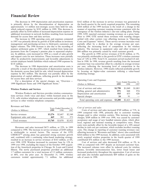is primarily driven by the discontinuation of depreciation on additional investment in network facilities resulting from increased demand for access lines and data services.

to 1997 was primarily driven by growth of \$244 million in inventory<br>management and purchasing services to third-party customers and partially offset by a decline in the average revenue per user, management and purchasing services to third-party customers and partially offset by a decline in the average revenue per user, higher volumes. The 1998 increase is also due to the recording of reflecting the increasing lev higher volumes. The 1998 increase is also due to the recording of reflecting the increasing level of competition in the wireless pension settlement gains in 1997, which resulted from lump-sum industry. The increase in equi pension settlement gains in 1997, which resulted from lump-sum industry. The increase in equipment sales and other reven<br>payments from the Company's pension plan to separated employ-<br>\$86 million was primarily caused by ret payments from the Company's pension plan to separated employ-<br>
ees. In addition, costs increased in 1998 as a result of sales growth<br>
The growth in 1998 service revenues of \$138 million, or 5%, ees. In addition, costs increased in 1998 as a result of sales growth and support costs for new initiatives. These increases were partially offset by productivity improvements and favorable adjustments to certain employee benefit liabilities which reduced 1998 expenses by \$118 million. Customer base was somewhat offset by a decline in average revenue

primarily a result of the discontinuation of depreciation expense for the domestic access lines held for sale, which lowered depreciation expense by \$63 million. The decrease was partially offset by the marketing strategy. depreciation of capital additions, reflecting growth in the demand<br>for access lines and data services.

For a description of the special charges, see "Overview — Operating Costs and Expenses<br>1999 Significant Items and 1998 Significant Items." (Dollars in Millions)

### **Wireless Products and Services**

Wireless Products and Services provides wireless communications services (both voice and data) within licensed areas in the U.S., sells wireless telephones and accessories and provides support services to other wireless telephone companies.

| Revenues and Sales |  |  |  |
|--------------------|--|--|--|
|--------------------|--|--|--|

|                           |         | Years Ended December 31, |         |
|---------------------------|---------|--------------------------|---------|
| (Dollars in Millions)     | 1999    | 1998                     | 1997    |
| Service revenues          | \$3,276 | \$2,687                  | \$2,549 |
| Equipment sales and other | 469     | 383                      | 373     |
| Total revenues            | \$3,745 | \$3,070                  | \$2,922 |
|                           |         |                          |         |

and, combined with a continuing value-based marketing strategy, resulted in an increase in service revenues of \$163 million, or 6%, contributed \$76 million to the 1999 increase. over 1998. GTE Wireless increased its customer base by 12% in Cost of services and sales decreased \$34 million, or 3%, in 1999 over 1998, excluding the impact of the October 1999 acquisi-<br>1998 as compared with 1997 despite 1.7 million customers for a total increase of 2.3 million customers, customers totaled approximately 7.1 million. An additional sale of assets in 1998.

The decrease in 1999 depreciation and amortization expenses \$162 million of the increase in service revenues was generated in rimarily driven by the discontinuation of depreciation on the fourth quarter by the newly acquir approximately 1.6 million non-strategic access lines held for sale, \$264 million of the 1999 increase is the result of a change in the which reduced expense by \$195 million in 1999. This decrease is manner of reporting customer roaming revenue consistent with the partially offset by \$168 million of increased depreciation expense on emergence of the wirele partially offset by \$168 million of increased depreciation expense on emergence of the wireless industry's one-rate calling plans. During additional investment in network facilities resulting from increased 1999, GTE repor and for access lines and data services.<br>The increase in 1998 operating costs and expenses compared settled with other carriers (see offsetting increase in "Operating settled with other carriers (see offsetting increase in "Operating

was primarily attributable to the growth in GTE's wireless customer base of 7.4% in 1998. Total U.S. customers served reached 4.8 million in 1998. In 1998, revenue growth resulting from the increased The decrease in 1998 depreciation and amortization costs is per user, reflecting the increasing level of competition in the arily a result of the discontinuation of depreciation expense for wireless industry. However, 1998 by focusing on higher-value customers utilizing a value-based

| Operating Costs and Expenses        |         | Years Ended December 31, |         |
|-------------------------------------|---------|--------------------------|---------|
| (Dollars in Millions)               | 1999    | 1998                     | 1997    |
| Cost of services and sales          | \$1,798 | \$1,049                  | \$1,083 |
| Selling, general and administrative | 871     | 848                      | 974     |
| Depreciation and amortization       | 515     | 435                      | 428     |
| Special charges                     | 24      | 91                       |         |
| Total operating costs and expenses  | \$3,208 | \$2,423                  | \$2,485 |

### Cost of services and sales

Costs of services and sales increased \$749 million, or 71%, in 1999 compared with 1998, primarily due to customer roaming charges paid to other wireless carriers. This increase in roaming charges, \$309 million in 1999 over 1998, was caused by customer acceptance and usage of new bundled minutes plans, which allow local, regional and national roaming at competitive rates. These costs were partially offset by the favorable impact of a 10% annual Revenues and sales increased \$675 million, or 22%, in 1999 decline in cash cost per customer, which excludes incollect roaming compared to 1998. The increase in service revenues of \$589 million costs. The change in reporting of customer roaming revenues (see is attributable to several factors. The success of the GTE offsetting increase in "Revenues and Sales" above) also contributed CHOICE<sup>SM</sup> pricing plans has generated strong customer growth \$264 million to the 1999 increase  $CHOICE^{SM}$  pricing plans has generated strong customer growth  $$264$  million to the 1999 increase. In addition, costs associated with and, combined with a continuing value-based marketing strategy, newly acquired wireless p

1998 as compared with 1997 despite an increased customer base.<br>The increased volumes were offset by reduced costs for wireless tion of the Ameritech properties in Chicago, St. Louis and Central The increased volumes were offset by reduced costs for wireless Illinois. The newly purchased properties provided an additional phones, favorable interconn Illinois. The newly purchased properties provided an additional phones, favorable interconnection fees, lower fraud losses and 1.7 million customers for a total increase of 2.3 million customers, increased productivity thr or 48%, over the prior year. At December 31, 1999, wireless and sales also includes approximately \$69 million of gains on the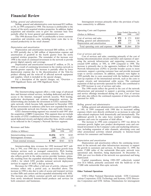Selling, general and administrative costs increased \$23 million, or 3%, in 1999 compared to 1998. The increase is attributable to the impact of the newly acquired wireless properties. In addition, higher<br>acquisition and retention costs to grow the customer base were<br>partially offset by lower general and administrative costs. (Dollars in Millions)

The 1998 decrease from 1997 is attributable to lower customer acquisition and retention costs, including lower costs due to increased productivity in the retail channel.

### *Depreciation and amortization*

Depreciation and amortization increased \$80 million, or 18%, in 1999 partially due to \$40 million of depreciation expense and<br>amortization of goodwill in the fourth quarter from the newly<br>acquired wireless properties. The remainder of the increase over<br>1998 is the result of continue

The Internetworking segment offers a wide range of advanced<br>data and Internet-related services, including dedicated and dial-up<br>access to the Internet, managed network security, Web hosting,<br>application development and sys ternetworking also includes the investment in GTE's national fiberoptic network, which became fully operational in December 1999. *Selling, general and administrative* Recent investments in undersea cable have now expanded the reach Selling, general and administrative costs increased \$51 million, of the nationwide network into Europe, Asia and Latin America. or 14% in 1999 compared with

GTE's Internetworking segment was created in mid-1997 after expenses which were directly attributed to an increase in sales and the acquisition of BBN Corporation. This segment does not include sales-related employees both the acquisition of BBN Corporation. This segment does not include sales-related employees both domestically and internationally. The the results of GTE's traditional local data businesses, such as high-<br>additional growth i speed dedicated circuits and digital subscriber lines, which continue to be reflected in the Company's Network Services segment.

|                          |         | Years Ended December 31, |       |  |
|--------------------------|---------|--------------------------|-------|--|
| (Dollars in Millions)    | 1999    | 1998                     | 1997  |  |
| Internetworking revenues | \$1,036 | \$579                    | \$185 |  |
| Intersegment revenues    | (69)    | (36)                     | (11)  |  |
| Total external revenues  | \$967   | \$543                    | \$174 |  |

Internetworking data revenues for 1999 increased \$457 mil-<br>
lion, or 79%, over 1998 due to customer and revenue growth from<br>
business services such as managed connectivity, Web hosting,<br>
wittual private networks and e-comm

revenues reflect only a partial year, as described above. The increase in 1998 is also due to sales of access and transport services **Other National Operations** to other ISPs and carriers and the expanded relationship with AOL. The increase also reflects customer growth and revenues derived GTE's Other National Operations include: GTE Communi-

*Selling, general and administrative Intersegment revenues primarily reflect the provision of back-*<br>Selling, general and administrative costs increased \$23 million, bone connectivity to affiliates.

|                                                                                                    |                     | Years Ended December 31 |                    |
|----------------------------------------------------------------------------------------------------|---------------------|-------------------------|--------------------|
| (Dollars in Millions)                                                                              | 1999                | 1998                    | 1997               |
| Cost of services and sales<br>Selling, general and administrative<br>Depreciation and amortization | \$972<br>425<br>191 | \$ 573<br>374<br>117    | \$302<br>136<br>86 |
|                                                                                                    |                     |                         |                    |
| Total operating costs and expenses                                                                 | \$1,588             | \$1,064                 | \$524              |

Depreciation and amortization increased \$7 million, or 2%, in creased \$399 million, or 70%, in 1999 compared to 1998. The increase is primarily due to the aggressive buildout of the Global as a result of continuing investm 1998 as a result of continuing investment in the wireless network to<br>
provide greater capacity. The increase is partially offset by lower<br>
depreciation expenses due to the discontinuation of the Tele-Go<br>
provide streamed a

Internetworking<br>Internetworking segment offers a wide range of advanced<br>Internetworking segment offers a wide range of advanced<br>Internetworking customer base<br>Internetworking segment offers a wide range of advanced<br>Internet

e nationwide network into Europe, Asia and Latin America. or 14%, in 1999 compared with 1998 due to increased selling<br>GTE's Internetworking segment was created in mid-1997 after expenses which were directly attributed to a additional growth in the sales force resulted in higher training expenses and costs for expansion of field offices.

The increase in 1998 costs compared to 1997 was driven by customer growth, higher new product development costs and con-Revenues and Sales<br>
Years Ended December 31, ture, including expansion of sales channels, advertising costs and<br>
Years Ended December 31, ture, including expansion of sales channels, advertising costs and other promotional activities related primarily to Internet-based services for consumers and businesses.

### Depreciation and amortization

Depreciation and amortization reflects the continuing invest-<br>ment in the network and other infrastructure necessary to support

from newly introduced Internet-based products and services for cations Corporation, GTE Technology and Systems, GTE Directo-<br>both consumers and businesses.<br>Intersegment ries Corporation and GTE Airfone. Eliminations for intersegment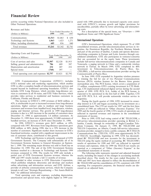activity occurring within National Operations are also included in pared with 1998 primarily due to increased capacity costs associ-<br>Other National Operations.<br>
Other National Operations.

Revenues and Sales ing costs.

|                               | Years Ended December 31, |                                  |         |  |  |
|-------------------------------|--------------------------|----------------------------------|---------|--|--|
| (Dollars in Millions)         | 1999                     | 1998                             | 1997    |  |  |
| Communications                | \$1,513                  | \$1,063                          | 630     |  |  |
| Technology and Systems        | 1,063                    | 1,423                            | 1,271   |  |  |
| Other, including eliminations | 685                      | 856                              | 840     |  |  |
| Total revenues                | \$3,261                  | \$3,342                          | \$2,741 |  |  |
| Operating Costs and Expenses  |                          |                                  |         |  |  |
| (Dollars in Millions)         | 1999                     | Years Ended December 31,<br>1998 | 1997    |  |  |
|                               |                          |                                  |         |  |  |

| Cost of services and sales                 | \$2,507 | \$2.528 | \$1,953 |
|--------------------------------------------|---------|---------|---------|
| Selling, general and administrative        | 786     | 689     | 587     |
| Depreciation and amortization              | 232     | 207     | 252     |
| Special items                              | (768)   | 397     |         |
| Total operating costs and expenses \$2,757 |         | \$3,821 | \$2,792 |

GTE Communications Corporation (GTECC) includes Services (PCS) wireless licenses for the Buenos Aires greater GTE's national sales and marketing organization, which enables metropolitan area. The PCS license, which covers GTE's national sales and marketing organization, which enables metropolitan area. The PCS license, which covers a population of GTE to offer a complete bundle of telecommunication services and 13 million, complements GTE's GTE to offer a complete bundle of telecommunication services and 13 million, complements GTE's existing investment in CTI Hold-<br>expand beyond its traditional operating boundaries. GTECC also ings. CTI implemented enhanced expand beyond its traditional operating boundaries. GTECC also ings. CTI implemented enhanced digital service during the second includes GTE Long Distance, which provides long-distance ser-<br>quarter of 1999. GTE PCS, S.A., includes GTE Long Distance, which provides long-distance ser-<br>vices to customers in all 50 states, and GTE Video Services, which<br>expected to be operational in the first half of 2000. Together. CTI vices to customers in all 50 states, and GTE Video Services, which expected to be operational in the first half of 2000. Together, CTI provides video services to residential and business customers in and GTE PCS, S.A. will California, Florida and Hawaii. Argentina.

The increase in GTECC's 1999 revenues of \$450 million, or<br>42%, is attributable in part to increased revenues from long-distance ship interest in CTI and began accounting for its investment on a December 31, 1998 to approximately 3.4 million customers. At statements of income.<br>December 31, 1999 there were approximately 312,000 customers of Prior to 1999. GT

\$280 million, or 88%, during 1998, due to a 59% increase in the TELUS Corporation, an Alberta, Canada full-service telecommu-<br>number of customers. Significant market share increases in GTE's incations provider, merged to f number of customers. Significant market share increases in GTE's nications provider, merged to form a public company, BCT.TELUS franchised territories, coupled with a significant improvement in the Communications Inc. (TEL franchised territories, coupled with a significant improvement in the Communications Inc. (TELUS). GTE owns approximately 26.7% rate of customer churn, contributed to this growth.

GTE Technology and Systems is primarily composed of GTE dated BC TELECOM and now accounts for the investment in Government Systems. The Company sold substantially all of its TELUS using the equity method of accounting. BC Government Systems. The Company sold substantially all of its<br>Government Systems business to General Dynamics on Septem-<br>results of operations for 1998 and 1997 are reflected in reported ber 1, 1999. The remaining major division was sold to DynCorp on revenues and expenses, while for 1999 the TELUS net results are December 10, 1999. The sale of the GTE Government Systems reported as a component of "Other ( business resulted in a decrease in Technology and Systems 1999 revenues compared to 1998. The results for 1999 only include a

which publishes telephone directories and develops and markets BC TELECOM and the consolidation of CTI, consistent with 1999 online advertising and information services; and GTE Airfone, a reporting. For comparative purpos provider of airborne communications services, which the Company cussed on an adjusted basis. intends to sell (see "Strategic Repositioning - Net Assets Held for Sale'' for additional information).

Total operating costs and expenses, excluding depreciation, amortization and special items, were slightly higher in 1999 comated with GTECC's revenue growth and higher provisions for uncollectibles, partially offset by lower advertising and telemarket-

For a description of the special items, see "Overview  $-$  1999 Significant Items and 1998 Significant Items."

### **International Operations**

GTE's International Operations, which represent 7% of 1999 consolidated revenues, provide telecommunications services in Argentina, the Dominican Republic, the Northern Mariana Islands<br>and part of the province of Québec, Canada and operate directoryadvertising companies in Europe and Latin America through consolidated subsidiaries. GTE also participates in ventures/consortia that are accounted for on the equity basis. These investments include full-service telecommunications companies in Canada and Venezuela, a paging network in China and a nationwide wireless network in Taiwan. In March 1999, GTE completed its 40% investment in Telecomunicaciones de Puerto Rico, Inc. (TELPRI), a full-service telecommunications provider serving the Commonwealth of Puerto Rico.

In June 1999, GTE expanded its Argentine wireless presence by winning the bid for one of two Personal Communications and GTE PCS, S.A. will provide nationwide wireless service in

42%, is attributable in part to increased revenues from long-distance ship interest in CTI and began accounting for its investment on a operations, higher contract sales to medium and large business consolidated basis. The operations, higher contract sales to medium and large business consolidated basis. The CTI net results for 1997 and the first three customers and revenues from bundled local, long-distance, wireless, quarters of 1998 are r customers and revenues from bundled local, long-distance, wireless, quarters of 1998 are reflected in "Other (Income) Expense." For paging and Internet services. The growth in 1999 long-distance 1999 and the fourth quarter paging and Internet services. The growth in 1999 long-distance 1999 and the fourth quarter of 1998, CTI's results of operations are revenues is due to a 26% increase in the number of customers since reflected in reported r reflected in reported revenues and expenses in the consolidated

December 31, 1999 there were approximately 312,000 customers of Prior to 1999, GTE had voting control of BC TELECOM, a bundled services, an increase of 263% since December 31, 1998. full-service telecommunications provider lled services, an increase of 263% since December 31, 1998. full-service telecommunications provider operating in British Co-<br>In 1998, GTECC's revenues grew \$433 million, or 69%, lumbia, Canada, through its ownership of An In 1998, GTECC's revenues grew \$433 million, or 69%, lumbia, Canada, through its ownership of Anglo-Canadian Tele-compared with 1997. Revenues from long-distance operations grew phone Company. On January 31, 1999, BC TELEC compared with 1997. Revenues from long-distance operations grew phone Company. On January 31, 1999, BC TELECOM and \$280 million, or 88%, during 1998, due to a 59% increase in the TELUS Corporation, an Alberta, Canada fullof customer churn, contributed to this growth. of TELUS. Accordingly, beginning in 1999, GTE has deconsoli-<br>GTE Technology and Systems is primarily composed of GTE dated BC TELECOM and now accounts for the investment in Government Systems business to General Dynamics on Septem- results of operations for 1998 and 1997 are reÖected in reported reported as a component of "Other (Income) Expense" in the consolidated statements of income.

revenues compared to 1998. The results for 1999 only include a The following table represents reported and adjusted financial partial year of GTE Government Systems revenue, whereas the results, including the impact of the partial year of GTE Government Systems revenue, whereas the results, including the impact of the changes in accounting methods<br>1998 and 1997 results include a full 12 months of revenue.<br>1998 and 1997 results for the years 1998 and 1997 results include a full 12 months of revenue. described above. The results for the years ended December 31,<br>Included in other revenues is GTE Directories Corporation, 1998 and 1997 have been adjusted to reflec Included in other revenues is GTE Directories Corporation, 1998 and 1997 have been adjusted to reflect the deconsolidation of which publishes telephone directories and develops and markets BC TELECOM and the consolidation reporting. For comparative purposes, the financial results are dis-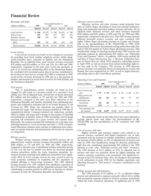| Revenues and Sales                 |              |                |                                  |            |              | Directory services and other                                                                                                           |
|------------------------------------|--------------|----------------|----------------------------------|------------|--------------|----------------------------------------------------------------------------------------------------------------------------------------|
| (Dollars in Millions)              | 1999         |                | Years Ended December 31,<br>1998 |            | 1997         | Directory services and other revenues result primarily from<br>sales of Yellow Pages advertising to local and national businesses,     |
|                                    | Reported     | Reported       | Adjusted                         | Reported   | Adjusted     | along with equipment and other product revenues and sales. On an                                                                       |
| Local services                     | \$368<br>291 | \$1,219<br>907 | \$294<br>312                     | \$1,076    | \$240<br>326 | adjusted basis, directory services and other revenues increased<br>\$243 million and \$105 million, or 60% and 35%, for 1999 and 1998, |
| Toll services<br>Wireless services | 548          | 422            | 542                              | 883<br>265 | 282          | respectively, compared to the prior year. The 1999 revenue increase                                                                    |
| Directory services and<br>other    | 647          | 786            | 404                              | 678        | 299          | reflected increased product revenues and sales combined with<br>higher Yellow Pages advertising revenues in Canada and Europe.         |
| Total revenues                     | \$1,854      | \$3,334        | \$1,552                          | \$2,902    | \$1,147      | Due to the deconsolidation of BC TELECOM in 1999, GTE<br>International Directories discontinued netting publication-right fees         |

Republic. On an adjusted basis, local services revenues increased hess in Puerto Rico for which GTE acquired a controlling interest<br>\$74 million and \$54 million or 25% and 23% for 1999 and 1998 in April 1999, as well as rev \$74 million and \$54 million, or 25% and 23%, for 1999 and 1998,<br>respectively, compared to the prior year. Local rate increases, as<br>part of an overall rate rebalancing effort in the Dominican Repub-<br>lic, combined with incre Local service revenues increased in 1998 due to a rate increase in Québec and increases in access lines in service for both Québec and <br>
Operating Costs and Expenses<br>
V<sub>200</sub> Exted Desember 21 the Dominican Republic.

Toll, or long-distance, service revenues are based on fees charged for calls made to a location outside of a customer's local calling area. On an adjusted basis, toll services revenues decreased \$21 million and \$14 million, or 7% and 4%, for 1999 and 1998, respectively, compared to the prior year. Rate reductions in the Dominican Republic and Québec stemming from rebalancing programs and competitive pressures led to an overall decrease in toll revenues for 1999. These rate reductions are partially offset by increased toll usage. Toll services revenues declined in 1998 due to competitively-driven, Company-initiated rate reductions, partially offset by higher toll usage and a change in the manner of reporting toll settlements in Québec. Early in 1998, the Québec carrier began The applicable results in the table above have been adjusted to reporting toll settlements on a gross revenue and expense basis. exclude special items an reporting toll settlements on a gross revenue and expense basis. exclude special items and reflect the deconsolidation of BC<br>Previously, the carriers recorded toll settlements on a net basis (see TELECOM and the consolidat Previously, the carriers recorded toll settlements on a net basis (see TELECO<br>offsetting increase in "Cost of services and sales"). GTE's Interna-<br>reporting. offsetting increase in "Cost of services and sales"). GTE's International Operations business units continue to implement price reduc-<br>tions on certain domestic and international toll services in response

Wireless services represent cellular and PCS services. On an<br>adjusted basis, wireless services revenues increased \$6 million and<br>\$260 million, or 1% and 92%, for 1999 and 1998, respectively,<br>compared to the prior year. Con wireless subscribers within the Latin American operations. In-<br>creased revenues resulting from additional subscribers were signifi-<br>cantly offset by lower average revenue per user, caused in part by<br>weak economic condition the CTI business operation and the Argentine customer base. Also contributing to revenue growth in 1998 was an increase in wireless contributing to revenue growth in 1220 was an increase in writing, general and administrative<br>customers in both the Dominican Republic and Québec.<br>The 1999 decrease of \$3 million, or 1%, in adjusted selling,

sales of Yellow Pages advertising to local and national businesses, along with equipment and other product revenues and sales. On an adjusted basis, directory services and other revenues increased \$243 million and \$105 million, or 60% and 35%, for 1999 and 1998, respectively, compared to the prior year. The 1999 revenue increase reflected increased product revenues and sales combined with higher Yellow Pages advertising revenues in Canada and Europe.<br>Due to the deconsolidation of BC TELECOM in 1999, GTE International Directories discontinued netting publication-right fees paid to TELUS against its Yellow Pages advertising revenues. This classiÑcation change in reporting increased both 1999 revenues and *Local services* Local service revenues are based on fees charged to customers operating expenses by approximately \$82 million (see "Operating for providing local fixed wireline telephone service within desig-<br>Costs and Expenses" below). I nated fraction areas, primarily in Québec and the Dominican<br>nated fraction areas, primarily in Québec and the Dominican<br>Republic On an adjusted basis local services revenues increased<br>Republic On an adjusted basis local se

| the Dominican Republic.                                                                                                                                                                                                                                                     |                                                                         |              |              | Years Ended December 31.                              |              |               |               |  |
|-----------------------------------------------------------------------------------------------------------------------------------------------------------------------------------------------------------------------------------------------------------------------------|-------------------------------------------------------------------------|--------------|--------------|-------------------------------------------------------|--------------|---------------|---------------|--|
|                                                                                                                                                                                                                                                                             | (Dollars in Millions)                                                   | 1999         |              |                                                       | 1998         | 1997          |               |  |
| Toll services                                                                                                                                                                                                                                                               |                                                                         |              |              | Reported Adjusted Reported Adjusted Reported Adjusted |              |               |               |  |
| Toll, or long-distance, service revenues are based on fees<br>charged for calls made to a location outside of a customer's local<br>calling area. On an adjusted basis, toll services revenues decreased<br>\$21 million and \$14 million, or 7% and 4%, for 1999 and 1998, | Cost of services and<br>sales<br>Selling, general and<br>administrative | \$719<br>493 | \$719<br>493 | \$1,147<br>856                                        | \$531<br>496 | \$ 882<br>771 | \$ 418<br>393 |  |
| respectively, compared to the prior year. Rate reductions in the<br>Dominican Republic and Québec stemming from rebalancing pro-                                                                                                                                            | Depreciation and<br>amortization                                        | 245          | 245          | 459                                                   | 230          | 523           | 195           |  |
| grams and competitive pressures led to an overall decrease in toll                                                                                                                                                                                                          | Special items                                                           | (513)        | —            | 38                                                    |              |               |               |  |
| revenues for 1999. These rate reductions are partially offset by<br>increased toll usage. Toll services revenues declined in 1998 due to<br>competitively-driven. Company-initiated rate reductions, partially                                                              | Total operating costs<br>and expenses                                   | \$944        | \$1,457      | \$2,500                                               | \$1,257      | \$2,176       | \$1,006       |  |

tions on certain domestic and international toll services in response<br>to competition.<br>The retwork and customer support costs related to in-<br>creased volumes, combined with higher equipment cost of sales Wireless services<br>Wireless services represent cellular and PCS services. On an the increase of \$188 million or 35% in adjusted cost of services and

general and administrative expenses primarily reflects lower selling and commission expenses related to wireless customer acquisitions within the Latin American operations. A significant part of 1999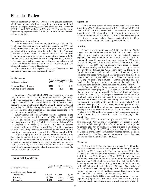wireless customer growth was attributable to prepaid customers, **Operations** which have significantly lower acquisition costs than traditional

The increases of \$15 million and \$35 million, or 7% and 18%, in adjusted depreciation and amortization expense for 1999 and **Investing** 1998, respectively, compared to the prior year, primarily reflect

|                        |       | Years Ended December 31, |       |
|------------------------|-------|--------------------------|-------|
| (Dollars in Millions)  | 1999  | 1998                     | 1997  |
| Reported Equity Income | \$324 | \$110                    | \$ 85 |
| Adjusted Equity Income | 324   | 263                      | 243   |

merged to form BCT.TELUS Communications Inc. (TELUS). wireless licenses that were auctioned by the government of Argen-<br>GTE owns approximately 26.7% of TELUS. Accordingly, begin-<br>ina for the Buenos Aires greater metropolit GTE owns approximately 26.7% of TELUS. Accordingly, beginning in 1999, GTE has deconsolidated BC TELECOM and now purchase price was \$301 million, of which approximately \$120 mil-<br>accounts for the investment in TELUS using the equity method of lion has been paid. In March 1999, G accounts for the investment in TELUS using the equity method of lion has been paid. In March 1999, GTE completed its 40% accounting. In addition, during the fourth quarter of 1998, GTE investment in TELPRI, a full-service accounting. In addition, during the fourth quarter of 1998, GTE investment in TELPRI, a full-service telecommunications provider<br>increased its ownership interest in CTI and began accounting for its serving the Commonwealth increased its ownership interest in CTI and began accounting for its investment on a consolidated basis. **pended** over \$900 million to acquire new operations, primarily

consolidated statements of income) of \$324 million for 1999 initiatives.<br>
increased \$61 million or 23% compared to 1998, after adjusting for In 1998, GTE committed to a plan to sell GTE Government increased \$61 million, or 23%, compared to 1998, after adjusting for In 1998, GTE committed to a plan to sell GTE Government<br>the changes in accounting method described above. Taiwan Cellu-<br>Systems, GTE Airfone and approxim

Adjusted equity income in 1998 increased \$20 million from approximately 1.6 million non-strategic domestic access lines and approximately 1.6 million non-strategic domestic access lines and and and and and and and and and 1997 due to increased earnings from GTE's investment in BC TELECOM. As described above, in the first quarter of 1999, GTE changed its method of accounting for this investment from consoli- **Financing** dation to the equity basis as a result of BC TELECOM's merger with TELUS. Adjusted results reflect this investment on the equity Cash provided by financing activities totaled \$1.9 billion dur-<br>has for all periods presented

### **Financial Condition**

| (Dollars in Millions)                                              | 1999                        | Years Ended December 31,<br>1998 | 1997                        | with \$3.9 billion and \$2.4 billion in 1998 and 1997. Certain of<br>GTE's domestic telephone operating subsidiaries have shelf regis-                                                                                                                                                                                     |
|--------------------------------------------------------------------|-----------------------------|----------------------------------|-----------------------------|----------------------------------------------------------------------------------------------------------------------------------------------------------------------------------------------------------------------------------------------------------------------------------------------------------------------------|
| Cash flows from (used in):<br>Operations<br>Investing<br>Financing | \$6.319<br>(7,749)<br>1.899 | \$ 5.890<br>(5.508)<br>(466)     | \$6.164<br>(5,893)<br>(125) | tration statements filed with the Securities and Exchange Commis-<br>sion that total \$1.9 billion as of December 31, 1999.<br>In August 1999, GTE announced the initiation of a share<br>repurchase program to offset shares issued under the Company's<br>employee-benefit and dividend-reinvestment programs. Under the |

which have significantly lower acquisition costs than traditional<br>customers. Adjusted selling, general and administrative expenses in<br>1998 increased \$103 million, or 26%, over 1997 primarily due to<br>higher selling expenses Cash from operations includes losses associated with the Com-*Depreciation and amortization* pany's Internetworking and GTECC growth initiatives.

1998, respectively, compared to the prior year, primarily reflect<br>expansion of the wireless networks within the Latin American<br>operations. The expansion and modernization of the Dominican<br>operations. The expansion and mode efficiency and productivity. Significant investments have also been Equity Income made to build and expand GTE's national fiber-optic data network. GTE expects capital expenditures to approximate \$5.8 billion in 2000, as the Company continues to provide the highest quality

voice and data communications available within the industry.<br>In October 1999, the Company acquired approximately half of<br>Ameritech's wireless properties. GTE paid \$3.25 billion in cash for the properties, which are located in St. Louis, Chicago and Central In January 1999, BC TELECOM and TELUS Corporation Illinois. In June 1999, the Company purchased one of two PCS<br>eed to form BCT.TELUS Communications Inc. (TELUS). wireless licenses that were auctioned by the government of A Equity income (reflected in "Other (Income) Expense" in the BBN Corporation, in connection with the Company's data biddated statements of income) of \$324 million for 1999 initiatives.

the changes in accounting method described above. Taiwan Cellu-<br>Iar Corporation, in which GTE has a 13.5% interest, became access lines. When completed, all of these transactions are expected lar Corporation, in which GTE has a 13.5% interest, became access lines. When completed, all of these transactions are expected operational in January 1998 and has added over 3 million customers to generate after-tax proceeds aggregating in excess of \$4 billion. In to date. This strong increase in customer growth contributed a late 1999, GTE sold i to date. This strong increase in customer growth contributed a late 1999, GTE sold its GTE Government Systems business for majority of the equity earnings growth for 1999 compared to 1998. \$1.2 billion. During 1999, the Co majority of the equity earnings growth for 1999 compared to 1998. \$1.2 billion. During 1999, the Company reached agreements to sell<br>Adjusted equity income in 1998 increased \$20 million from approximately 1.6 million non-st

basis for all periods presented. **For all periods presented.** For 1998 and 1997, respectively. The Company retired \$1.9 billion and \$125 million basis for all periods presented. of long-term debt and preferred securities in 1999 compared with \$2.0 billion and \$2.4 billion in 1998 and 1997. Included in these retirements were \$489 million of 9.25% monthly income preferred securities due 2024 which were redeemed in October 1999. The Company issued \$4.6 billion of long-term debt in 1999 compared with \$3.9 billion and \$2.4 billion in 1998 and 1997. Certain of GTE's domestic telephone operating subsidiaries have shelf regis-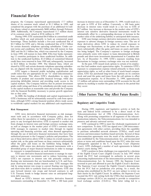program, the Company repurchased approximately 17.7 million increase in interest rates as of December 31, 1999, would result in a shares of its common stock valued at \$1.3 billion in 1999, and net gain to GTE of \$16 millio completed the program with the purchase of an additional 8.4 mil- decrease in interest rates would result in a net loss to GTE of lion shares valued at approximately \$600 million through February \$17 million. Any increase or decrease in the market value of GTE's

facilities which are used primarily to back up commercial paper borrowings. These facilities include a five-year syndicated line of exposure to adverse changes in foreign currency rates. The use of \$2.5 billion for GTE and a 364-day syndicated line of \$1.5 billion these derivatives allows GTE to reduce its overall exposure to for certain domestic telephone operating subsidiaries. Under cur-<br>exchange rate fluctuations for certain domestic telephone operating subsidiaries. Under cur-<br>
exchange rate fluctuations, as the gains and losses on these con-<br>
rent terms and conditions, the \$2.5 billion line will mature in June tracts substantiall rent terms and conditions, the \$2.5 billion line will mature in June 2002 and the \$1.5 billion line, which was renewed by the Company ties being hedged. The Company's exposure to foreign exchange in June 1999, will mature in June 2000. Fifty-four banks represent-<br>ing 12 countries participate in these syndicated facilities. In addi-<br>pounds and short-term investments denominated in Canadian doltion to the syndicated facilities, \$1.0 billion of committed bilateral credit lines were renewed in June 1999 and, subsequently, increased to \$2.0 billion in October 1999. The bilateral lines, which are In the past, GTE issued stock options to certain of its employshared by GTE and certain domestic telephone operating subsidiar- ees that had tandem stock appreciation rights. To minimize GTE's

credit ratios that are appropriate for an "A" rated telecommunica-<br>sation, GTE has purchased long-term call options on its common tions corporation. This allows GTE's shareholders to enjoy the stock and used the gains and losses from the call options to offset benefits of prudent and reasonable financial leverage, while also compensation expense. As benefits of prudent and reasonable financial leverage, while also protecting debtholder interest and providing ready access to the 2.5 million call options were outstanding. GTE accounts for the call capital markets. The Company believes that its present investment options by marking to market the gains and losses in the period that grade credit rating and those of its subsidiaries provide ready access they occur. to the capital markets at reasonable rates and provide the Company with the financial flexibility necessary to pursue growth opportunities as they arise.

In 2000, the funding of dividends and capital requirements for GTE's businesses will be substantially sourced by cash from operations, although GTE's strong financial position allows ready access to worldwide capital markets for any additional cash requirements. **Regulatory and Competitive Trends**

ment tools and, in accordance with Company policy, does not utilize them for speculative or trading purposes. GTE is also not a munications industry, the Telecommunications Act was intended to party to any leveraged derivatives. GTE is exposed to market risk preserve and advance universal service. from changes in interest rates and foreign currency exchange rates, GTE continued in 1999 to meet the wholesale requirements of as well as changes in the market price of GTE's common stock. new competitors. To date, GTE has signed over 1,200 interconnec-<br>GTE manages its exposure to market risks through its regular tion agreements with other carrier GTE manages its exposure to market risks through its regular operating and Ñnancing activities and, when deemed appropriate, to purchase unbundled network elements (UNEs), resell retail through the use of derivative financial instruments that have been services and interconnect facilities-based networks. Several of these authorized pursuant to the Company's policies and procedures. The interconnection agreements were the result of the arbitration prouse of these derivatives allows GTE to reduce its overall exposure to cess established by the Telecommunications Act, and incorporated market risk, as the gains and losses on these contracts substantially prices or terms a offset the gains and losses on the liabilities being hedged. In subsequently appealed to the U. S. Supreme Court (Supreme addition, GTE enters into derivative financial instruments with a Court). GTE challenged a number of such agreements in federal diversified group of major financial institutions in order to manage district courts during 1997.

sure to interest rate movements and to reduce borrowing costs. stated the FCC had overstepped its authority in several areas GTE's net exposure to interest rate risk primarily consists of concerning implementation of the interconnection provisions of the floating rate instruments that are benchmarked to U.S. and Euro-<br>
Telecommunications Act. In January 1999, the Supreme Court<br>
pean short-term money market interest rates. GTE manages this<br>
reversed in part and affirmed in pean short-term money market interest rates. GTE manages this reversed in part and affirmed in part the Eighth Circuit's decisions.<br>
risk by using interest rate swaps to convert floating rate long-term The Supreme Court re risk by using interest rate swaps to convert floating rate long-term The Supreme Court reversed the Eighth Circuit's determination and short-term debt to synthetic fixed rate instruments. GTE also that the FCC had no juris and short-term debt to synthetic fixed rate instruments. GTE also uses forward interest rate swaps and forward contracts to sell pricing rules established by the FCC are now subject to review on U.S. Treasury bonds to hedge interest rates on anticipated long-<br>their merits by the Eighth C term debt issuances. vacated the FCC rule setting forth the UNEs that incumbent local

instruments outstanding at December 31, 1999, a 100 basis point

net gain to GTE of \$16 million. Conversely, a 100 basis point 2000. Additionally, the Company repurchased 11.7 million shares interest rate sensitive derivative financial instruments would be of its common stock valued at \$536 million in 1997. of its common stock valued at \$536 million in 1997.<br>
Substantially offset by a corresponding decrease or increase in the During 1999, GTE maintained \$6.0 billion in committed credit market value of the underlying liability market value of the underlying liability or anticipated debt issuance.<br>GTE uses foreign currency derivative instruments to reduce its

pounds and short-term investments denominated in Canadian dollars. As of December 31, 1999, GTE's exposure resulting from fluctuations in foreign currency exchange rates was not material.

ies, are aligned with the maturity date of the existing 364-day line. exposure to compensation expense related primarily to these stock GTE targets a financial profile including capitalization and appreciation rights, as well as other forms of stock-based compen-

### **Other Factors That May Affect Future Results**

**Risk Management** During 1999, regulatory and legislative activity at both the state and federal levels continued to be a direct result of the GTE views derivative financial instruments as risk manage-<br>t tools and, in accordance with Company policy, does not Along with promoting competition in all segments of the telecom-

prices or terms and conditions based upon the FCC rules that were

its exposure to nonperformance on such instruments. GTE's position in these challenges was supported by a decision<br>GTE uses derivative financial instruments to manage its expo-<br>of the Eighth Circuit Court (Eighth Circuit) of the Eighth Circuit Court (Eighth Circuit) in July 1997 which their merits by the Eighth Circuit. In addition, the Supreme Court Based on GTE's interest rate sensitive derivative financial exchange carriers (ILECs) are required to provide to competitive unents outstanding at December 31, 1999, a 100 basis point local exchange carriers (CLECs). This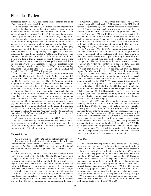elements, which must be available on either a stand-alone basis, or process would not result in a constitutionally prohibited "taking." as a combined local service "platform" if the elements have been In November 1999, the as a combined local service "platform" if the elements have been previously combined by the ILEC. ILECs are no longer required to cost inputs for the federal universal service cost model. GTE is provide unbundled operator services, including directory assistance seeking reconsideration. provide unbundled operator services, including directory assistance where alternate routing is available. In addition, in certain circum-<br>date of the new universal service mechanism for non-rural carriers stances, local and tandem switching need not be unbundled. How-<br>ever, the FCC expanded the definition of some UNEs by specifying they began designing their universal service programs. ever, the FCC expanded the definition of some UNEs by specifying they began designing their universal service programs.<br>that components of the loop UNE must be made available in sub-<br>In November 1999, the FCC released an o that components of the loop UNE must be made available in subloop components, and augmenting the types of call-related implementation of the new FCC federal high cost support mechathat state commissions can require ILECs to unbundle additional Telecommunications Act and the national policy framework instituted in the FCC's order. Furthermore, the order precludes states comparability within the borders of a state. Federal high cost from removing network elements from the FCC's list of unbundling support will be calculated by comparing the nationwide average appealed this order and GTE will participate. Support for only states that exceed 135% of the nationwide average.

requires ILECs to provide line sharing to CLECs by unbundled harmless" approach so that the amount of support provided to each access to the high-frequency portion of the local loop over which non-rural carrier under the n access to the high-frequency portion of the local loop over which the ILEC provides voice services. The FCC's stated intent in amount provided today. U S WEST has appealed this order on the adopting the line sharing order is to enable competitive carriers to basis that it fails to provide a sufficient amount of support. This provide digital subscriber line (DSL) services over the same lines FCC order also established a May 1, 2000 deadline by which state

have filed briefs and participated in oral arguments in September deaveraged retail rates and establish state universal service funds in 1999. The major issues are: (1) the FCC's cost methodology used concert with UNE deaveraging. to set prices, (2) its methodology for setting wholesale discounts, In December 1999, the FCC asked for comment on requests (3) the "proxy rates" it set for interconnection, UNEs, and whole-<br>sale discounts, (4) whether ILECs should be required to combine and the Rural Utilities Service (RUS) asking the FCC to redefine sale discounts, (4) whether ILECs should be required to combine UNEs that are not already combined, and (5) whether the FCC ""voice grade access'' in the FCC's universal service rules. The FCC can require ILECs to provide "superior quality" to competitors requires that, in order to be eligible for universal service support, a

Company has continued its own expansion into local, long-distance, Internet-access and wireless services both within and outside its quested the frequency range be changed to 200 Hz to 3,500 Hz.<br>
traditional operating areas. GTE now provides long-distance service GTE participated in this traditional operating areas. GTE now provides long-distance service to approximately 3.4 million customers.

GTE is active before both state and federal regulators advocat- **Price Cap** ing development and implementation of measures that will meet the requirements of the universal service provisions of the Telecom- The federal price cap regime allows access prices to change munications Act. Specifically, GTE urges regulators to identify and each year by a measure of inflation minus a productivity factor remove all hidden subsidies and to provide explicit universal service offset. In May 1999, the U.S. Court of Appeals for the District of

model for universal service. In July 1999, the United States Court found the FCC's choice of a 6.0% base factor and a 0.5% Consumer of Appeals for the Fifth Circuit (Fifth Circuit) affirmed in part, Productivity Dividend to be inadequately supported. The Court reversed in part, and remanded in part the FCC's universal service remanded the matter back to the FCC for further action and regime. In October 1999, the FCC released two orders in response established an April 2000 date by which the FCC must issue a to the Fifth Circuit decision. One order permits ILECs to continue revised decision. As a result to the Fifth Circuit decision. One order permits ILECs to continue to recover their universal service contributions from access charges or to establish end-user charges. The second order changed the cap productivity factor. Currently, it is unknown whether the single contribution basis for school/library funding to eliminate calcula- price cap productivity factor will be applied retroactively to July 1, tions based upon intrastate revenues. In January 2000, GTE re-<br>quested the Supreme Court to review the Fifth Circuit decision review in 2003, or whether one factor will apply from 1997 to 2000 quested the Supreme Court to review the Fifth Circuit decision review in 2003, or whether one factor will apply allowing the FCC to base universal service support from the results and another factor apply from 2000 to 2003 allowing the FCC to base universal service support from the results

proceeding before the FCC concerning what elements had to be of a hypothetical cost model rather than historical costs that were offered and under what conditions. incurred to provide local service. GTE argued that the Fifth Circuit In November 1999, the FCC reaffirmed that incumbents must ignored long standing legal precedent in permitting a major revision provide unbundled access to five of the original seven network to ILEC cost recovery mechanisms without ensuring the new

databases that must be unbundled as UNEs. The FCC also found is m for non-rural ILECs, including GTE. The effective date for that state commissions can require ILECs to unbundle additional the new federal universal service elements as long as they are consistent with the requirements of the will distribute federal high cost funds to states with higher than Telecommunications Act and the national policy framework insti-<br>average costs. The rol obligations. The United States Telecom Association (USTA) has cost with each state's average cost per line, and providing federal In December 1999, the FCC released another order that To guard against rate shock, the FCC also adopted a "hold simultaneously used by ILECs to provide basic phone services. commissions must create at least three deaveraged price zones for In June 1999, the Eighth Circuit established a schedule for UNEs. In January 2000, GTE request In June 1999, the Eighth Circuit established a schedule for UNEs. In January 2000, GTE requested the FCC grant a one year addressing the issues it did not decide in 1998. Parties to this action delay to give state commissi delay to give state commissions ample opportunity to implement

than what the ILEC provides to itself. A court decision is expected carrier must offer, among other things, voice grade access to the public switched telephone network. Current FCC rules specify that during the first half of 2000.<br>
during the switched telephone network. Current FCC rules specify that<br>
concurrent with competitors' entry into GTE markets, the voice grade access should occur in a frequency range between voice grade access should occur in a frequency range between approximately 300 Hertz (Hz) to 3,000 Hz. The petitioners re-FCC requirements. The network is not designed for the proposed ubiquitous requirement and would require a significant infrastructure investment and at least a decade to implement. **Universal Service**

subsidies.<br>In October 1998, the FCC issued an order selecting a cost of a 6.5% price cap productivity factor in a 1997 order. The Court of a 6.5% price cap productivity factor in a 1997 order. The Court a rulemaking proposal requesting comments on the interstate price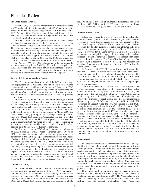Effective July 1999, access charges were further reduced using<br>a 6.5% productivity factor in compliance with FCC requirements to<br>reflect the impacts of access charge reform and in making GTE's reform and impact of access charge reform and in making GTE's **Internet Service Traffic** 1999 Annual Filing. The total annual financial impact of the

The Telecommunications Act required the FCC to "encourage" Corp., and Excite@Home and seeks an injunction to require open<br>the deployment on a reasonable and timely basis of advanced<br>telecommunications capability to all Ame was required to conduct a proceeding aimed at determining the parties compensate each other for the exchange of local traffic, availability of advanced telecommunications, and to take action to defined as traffic that is o

and less costly. These rules specify how ILECs will manage such customers. In a recent ruling, the FCC has clarified that ISP traffic items as alternate collocation arrangements, security, space prepa- is largely interstat permitted state commissions to arbitrate whether ILECs should<br>ration cost allocation, provisioning intervals and space exhaustion.<br>GTE asked the Court to review this order. In March 2000, the pay as reciprocal compensation GTE asked the Court to review this order. In March 2000, the Court issued a ruling granting, in part, challenges raised by GTE to

an ILEC's offering of DSL services to Internet Service Providers<br>(ISPs) pursuant to volume and term discount plans that are a<br>non-local traffic. component of the ISP's high-speed Internet service are not a retail oÅering, and thus not subject to the discounted resale obligation. **International** The order also concluded that an ILEC's DSL offering to end-users is a retail offering if the ILEC performs certain consumer-oriented<br>
functions, such as provisioning of customer premises equipment significant change. Many developed and developing countries are functions, such as provisioning of customer premises equipment significant change. Many developed and developing countries are<br>and wiring marketing billing and collection and accepting repair opening their telecommunicatio and wiring, marketing, billing and collection, and accepting repair requests directly from the end-user. The FCC concluded that these services are subject to discounted resale obligation, regardless of Countries are upgrading their existing networks making them more<br>whether the service is classified as telephone exchange service compatible with new Inter whether the service is classified as telephone exchange service compatible with new Internet, data, wireless, broadband and video<br>(local tariff) or exchange access service (access tariff). (local tariff) or exchange access service (access tariff).

In December 1998, the FCC released an order establishing cost recovery rules for local number portability (LNP) that permit- Throughout the Latin American region, telecommunication FCC, and in March 1999 instituted an end-user number portability

**Interstate Access Revision** fee. This charge is levied on all business and residential customers.<br>In June 1999, GTE's tariffed LNP charge was reviewed and

reduction was \$113 million. Similar filings during 1997 and 1998<br>
had already resulted in price reductions.<br>
In August 1999, GTE, along with a coalition of local exchange<br>
and long-distance companies (CALLS), submitted a p

Advanced Telecommunications Services<br>
Communications, Inc., (now a unit of AT&T Corp.), Comcast<br>
The Telecommunications Act required the ECC to "encourage Corp., and Excite@Home and seeks an injunction to require open

availability of advanced telecommunications, and to take action to<br>
reminating to the end-user of the other party within GTE's current<br>
competition.<br>
In March 1999, the FCC released an order adopting a number<br>
of new collo existing interconnection agreements, until the FCC reaches a decision on a long-term compensation scheme. GTE challenged the FCC's March 1999 order. The Court ruled that the FCC failed decision on a long-term compensation scheme. GTE challenged<br>to justify its requirement that H FCs must permit collocation of any this FCC conclusion in federa to justify its requirement that ILECs must permit collocation of any this FCC conclusion in federal district court. In March 2000, the CL EC equipment that was "used or useful" for interconnection or Court vacated and rema CLEC equipment that was "used or useful" for interconnection or<br>access to network elements. The Court remanded this portion of the area interstate, since the FCC failed to provide a satisfactory access to network elements. The Court remanded this portion of the are interstate, since the FCC failed to provide a satisfactory decision back to the FCC for further deliberation.<br>In November 1999, the FCC released an ord

service competition and removing old monopolistic structures.<br>Countries are upgrading their existing networks making them more forcing the development of new regulatory policies. Many countries continue to face the need for new regulations to deal with further **Number Portability**<br>Continue to face the need for new regulations to deal with further<br>In December 1998, the FCC released an order establishing global marketplace.

ted the recovery of carrier-specific costs directly related to the service providers will face further deregulation and a series of provision of long-term LNP via a federally tariffed end-user challenges and new opportunit challenges and new opportunities in 2000. The Venezuelan governmonthly charge. GTE subsequently filed an LNP tariff with the ment is considering a new telecommunications law, which will FCC, and in March 1999 instituted an end-user number portability further open its market. CONATEL (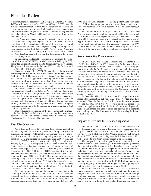evaluated recommendations from international industry experts and dures and activities for a ""multi-regional'' time/date contingency, if negotiated an agreement on tariff rebalancing, network moderniza- it occurs. tion commitments and quality of service standards. The agreement The estimated total multi-year cost of GTE's Year 2000 will take effect in March 2000 and will be valid through the Program is expected to total approximately \$380 million, of which remainder of 2000.<br>\$372 million has been expended through December 31, 1999.

basic operators in separate regions to four nationwide full-service Approximately 69% of GTE's program effort involved providers. GTE's international affiliate, CTI Integrales, is one of U.S. domestic operations. With the providers. GTE's international affiliate, CTI Integrales, is one of U.S. domestic operations. With the successful transition from 1999 these full-service providers and is expected to begin offering nation-<br>to 2000, GTE has these full-service providers and is expected to begin offering nation-<br>wide service in the first half of 2000. GTE's other Argentine efforts will be performed under normal business operations. wide service in the first half of 2000. GTE's other Argentine subsidiaries, CTI and GTE PCS, S.A. were awarded PCS licenses in 1999. Together they will provide the first nationwide wireless service in Argentina. **Recent Accounting Pronouncements**

In the Dominican Republic, Compañia Dominicana de Teléfonos, C. Por A. (CODETEL), a wholly-owned subsidiary of GTE, nos, C. Por A. (CODETEL), a wholly-owned subsidiary of GTE,<br>submitted a price rebalancing plan to its regulatory agency, Indotel. (FASB) issued SFAS No. 133, "Accounting for Derivative Instrusubmitted a price rebalancing plan to its regulatory agency, Indotel. (FASB) issued SFAS No. 133, "Accounting for Derivative Instru-The plan was implemented in January 2000. It calls for increased ments and Hedging Activities,'' which establishes accounting and

Since the privatization of TELPRI and changes in intra-island derivative instruments embedded in other contracts, and for hedg-<br>presubscription regulation, GTE has played an integral role in ing activities. The statement r presubscription regulation, GTE has played an integral role in ing activities. The statement requires entities that use derivative facilitating TELPRI's entry into the off-island long-distance mar-<br>instruments to measure t facilitating TELPRI's entry into the off-island long-distance mar-<br>ket. TELPRI is also aggressively pursuing the data and Internet them as assets or liabilities on the balance sheet. It also requires ket. TELPRI is also aggressively pursuing the data and Internet them as assets or liabilities on the balance sheet. It also requires markets as well as improving the quality of service in their core entities to reflect the markets as well as improving the quality of service in their core entities to reflect the gains or losses associated with changes in the wireline and wireless businesses. TELPRI continues to be the fair value of these deri wireline and wireless businesses. TELPRI continues to be the fair value of these derivatives, either in earnings or as a separate largest provider of local service on the island.

In Taiwan, where a Company affiliate provides PCS service, the underlying contract or transaction. The Company is currently the legislature passed a new Telecom Act in October 1999, which assessing the impact of adopting S increased the limits on foreign investment from 20% to 60% (40% January 1, 2001.<br>direct and 20% indirect investment). GTE is pursuing telecommu-<br>In December direct and 20% indirect investment). GTE is pursuing telecommu-<br>nications opportunities including entering the full-service provider<br>issued Staff Accounting Bulletin (SAB) No. 101. "Revenue Recnications opportunities including entering the full-service provider issued Staff Accounting Bulletin (SAB) No. 101, "Revenue Rec-<br>business with Taiwanese partners. In addition, Taiwan has been ognition in Financial Statem business with Taiwanese partners. In addition, Taiwan has been ognition in Financial Statements," which currently must be adopted working to meet World Trade Organization Basic Telecom Agree- by June 30, 2000. SAB No. 101 working to meet World Trade Organization Basic Telecom Agree-<br>ment requirements in order to become an integral member of that revenue recognition as well as criteria for when revenue is generally ment requirements in order to become an integral member of that revenue recognition as well as criteria for when revenue is generally<br>Iandmark agreement.<br>Iandmark agreement.

try in Canada, Québec Tel has been experiencing increasing com- of SAB No. 101. petition. To counter this threat, Québec Tel will expand its service offerings outside of its franchise territory.

### **Year 2000 Conversion**

will have, any material adverse impacts on the Company's results of July 27, 1998. Under the terms of the agreement, GTE shareholdoperations or liquidity. Additionally, the Company has not exper- ers will receive 1.22 shares of Bell Atlantic common stock for each ienced any material contingencies regarding customers or major share of GTE common stock they own. Bell Atlantic shareholders suppliers. GTE experienced no significant Year 2000 events, and will continue to own their existing shares after the merger.<br>Service to GTE's customers was unaffected by the rollover to The merger is expected to qualify as service to GTE's customers was unaffected by the rollover to January 1, 2000. GTE completed its Year 2000 renovation, conducted system testing and returned to production the essential the companies will be treated as if they had always been combined. systems that support its businesses substantially in advance of The completion of the merger is subject to a number of conditions, December 31, 1999. Additionally, GTE's portion of the public including certain regulatory a December 31, 1999. Additionally, GTE's portion of the public including certain regulatory approvals and receipt of opinions that switched telephone network (PSTN) in the United States was the merger will be tax-free. At an switched telephone network (PSTN) in the United States was upgraded for Year 2000, and all of GTE's access lines have been the shareholders of each company approved the merger. All state operating using Year 2000 compliant central office switches and regulatory commissions have now approved the merger and the only network elements since mid-year 1999. With the successful transi-<br>tion into 2000, GTE believes that the risk of disruptions arising working diligently to complete the merger and are targeting comtion into 2000, GTE believes that the risk of disruptions arising working diligently to complete the merger and are the from time/date transitions, that would affect GTE's ability to pletion of the merger in the second qua from time/date transitions, that would affect GTE's ability to provide basic services, has been eliminated.

planning to address potential Year 2000 and other time/date merger will have on future financial performance of the post-merger interruptions. These include: potential gradual system degradation combined company. Further i interruptions. These include: potential gradual system degradation combined company. Further information about the proposed after January 1, 2000; possible accumulation of processing errors or merger is provided in the fol after January 1, 2000; possible accumulation of processing errors or merger is provided in the following discussion of "Recent Develop-<br>degraded performance; leap year processing through February 29, ments" and in Note 19 degraded performance; leap year processing through February 29,

telecommunications regulator) and Compañia Anónima Nacional 2000; and potential impacts of degrading performance from part-<br>Teléfonos de Venezuela (CANTV), an affiliate of GTE, recently ners. GTE's disaster preparedness re ners. GTE's disaster preparedness recovery plans include proce-

inder of 2000.<br>The Argentine telecom market has recently moved from two Year 2000 renovation costs are expensed in the year incurred. Year 2000 renovation costs are expensed in the year incurred.

local rates effective in June 2000.<br>Since the privatization of TELPRI and changes in intra-island derivative instruments embedded in other contracts, and for hedglargest provider of local service on the island. component of component of comprehensive income, depending on the nature of In Taiwan, where a Company affiliate provides PCS service, the underlying contract or transaction. assessing the impact of adopting SFAS No. 133, which is effective

mark agreement.<br>Due to further liberalization of the telecommunications indus-<br>Due to further liberalization of the telecommunications indus-<br>direct selling costs. The Company is currently assessing the impact direct selling costs. The Company is currently assessing the impact

### **Proposed Merger with Bell Atlantic Corporation**

Bell Atlantic and GTE Corporation have announced a pro-GTE does not believe that the Year 2000 rollover has had, or posed merger of equals under a definitive merger agreement dated

which means that for accounting and financial reporting purposes

This Financial Review is based on GTE's own historical GTE continues to enhance its normal business continuity financial results. It does not reflect the impact that the proposed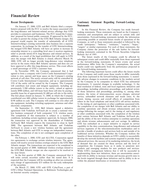On January 27, 2000, GTE and Bell Atlantic filed a compre-<br>hensive proposal with the FCC to resolve the issues associated with hensive proposal with the FCC to resolve the issues associated with<br>the long-distance and Internet-related service offerings that GTE<br>provides to consumers and businesses. The FCC issued the Company's<br>estimates and assumpt

of the securities.

On March 27, 2000, GTE sold GTE CyberTrust, a part of GTE's Other National Operations, to Baltimore Technologies plc, an Internet security company.

## **Recent Developments Cautionary Statement Regarding Forward-Looking**

addition, as a result of the legal problem that will apply to GTE. The folior results of the Company could be affected by the constrained vector of the state of the state of the state of the state of the state of the state Atlantic merger. The transactions are expected to be completed in<br>the second quarter of 2000. Additional wireless overlaps related to<br>the GTE/Bell Atlantic merger are also expected to be resolved in<br>the near future.<br>In the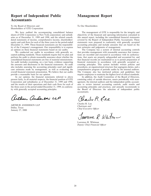## **Report of Independent Public Management Report Accountants**

To the Board of Directors and To Our Shareholders: Shareholders of GTE Corporation:

We have audited the accompanying consolidated balance The management of GTE is responsible for the integrity and sheets of GTE Corporation (a New York corporation) and subsidi-<br>objectivity of the financial and operating in dated statements of income, comprehensive income, shareholders' December 31, 1999. These financial statements are the responsibil-<br>ity of the Company's management. Our responsibility is to express best estimates and judgments of management. ity of the Company's management. Our responsibility is to express an opinion on these financial statements based on our audits.

cepted auditing standards. Those standards require that we plan and perform the audit to obtain reasonable assurance about whether the perform the audit to obtain reasonable assurance about whether the tions, that assets are properly safeguarded and accounted for, and consolidated financial statements are free of material misstatement. that financial reco An audit includes examining, on a test basis, evidence supporting the amounts and disclosures in the financial statements. An audit counting principles. This system includes written policies and also includes assessing the accounting principles used and signifi-<br>procedures, an organizati also includes assessing the accounting principles used and signifi-<br>cant estimates made by management, as well as evaluating the comprehensive program of periodic audits by the internal auditors. cant estimates made by management, as well as evaluating the overall financial statement presentation. We believe that our audits provide a reasonable basis for our opinion.<br>In our opinion, the financial statements referred to above In addition, the Audit Committee of the Board of Directors,

Corporation and subsidiaries as of December 31, 1999 and 1998, and the results of their operations and their cash flows for each of the three years in the period ended December 31, 1999, in conform-

arthur andersa LP

ARTHUR ANDERSEN LLP **Charles R. Lee**<br>
Dallas, Texas *Chairman and Chief Executive Officer*<br>
January 27, 2000

objectivity of the financial and operating information contained in this annual report, including the consolidated financial statements aries as of December 31, 1999 and 1998, and the related consoli-<br>dated statements of income, comprehensive income, shareholders' covered by the Report of Independent Public Accountants. These equity and cash flows for each of the three years in the period ended statements were prepared in conformity with generally accepted December 31, 1999. These financial statements are the responsibil-<br>accounting principles

The Company has a system of internal accounting controls. We conducted our audits in accordance with generally ac-<br>ad auditing standards. Those standards require that we plan and tions are recorded and executed in accordance with its authorizathat financial records are maintained so as to permit preparation of financial statements in accordance with generally accepted ac-The Company also has instituted policies and guidelines that

In our opinion, the financial statements referred to above In addition, the Audit Committee of the Board of Directors, net fairly, in all material respects, the financial position of GTE consisting solely of outside direct present fairly, in all material respects, the financial position of GTE consisting solely of outside directors, meets periodically with man-<br>Corporation and subsidiaries as of December 31, 1999 and 1998, agement, the inter ants to review internal accounting controls, audit results and accounting principles and practices, and annually recommends to ity with generally accepted accounting principles. the Board of Directors the selection of independent public accountants.

Charles R Ree

Sawrence R Whitm-

Lawrence R. Whitman *Deputy Chief Financial Officer*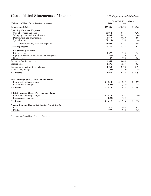## **Consolidated Statements of Income** *GTE Corporation and Subsidiaries*

|                                                         | Years Ended December 31, |            |                      |  |  |
|---------------------------------------------------------|--------------------------|------------|----------------------|--|--|
| (Dollars in Millions, Except Per-Share Amounts)         | 1999                     | 1998       | 1997                 |  |  |
| <b>Revenues and Sales</b>                               | \$25,336                 | \$25,473   | \$23,260             |  |  |
| <b>Operating Costs and Expenses</b>                     |                          |            |                      |  |  |
| Cost of services and sales                              | 10,954                   | 10,741     | 9,203                |  |  |
| Selling, general and administrative                     | 4,405                    | 4,821      | 4,560                |  |  |
| Depreciation and amortization                           | 3,757                    | 3,820      | 3,886                |  |  |
| Special items                                           | (1,116)                  | 755        |                      |  |  |
| Total operating costs and expenses                      | 18,000                   | 20,137     | 17,649               |  |  |
| <b>Operating Income</b>                                 | 7,336                    | 5,336      | 5,611                |  |  |
| Other (Income) Expense                                  |                          |            |                      |  |  |
| $Interest - net$                                        | 1,277                    | 1,253      | 1,145                |  |  |
| Equity in income of unconsolidated companies            | (432)                    | (240)      | (217)                |  |  |
| Other $-$ net                                           | 137                      | 278        | 265                  |  |  |
| Income before income taxes                              | 6,354                    | 4,045      | 4,418                |  |  |
| Income taxes                                            | 2,291                    | 1,553      | 1,624                |  |  |
| Income before extraordinary charges                     | 4,063                    | 2,492      | 2,794                |  |  |
| Extraordinary charges                                   | (30)                     | (320)      |                      |  |  |
| <b>Net Income</b>                                       | \$4,033                  | \$2,172    | \$2,794              |  |  |
|                                                         |                          |            |                      |  |  |
| Basic Earnings (Loss) Per Common Share:                 |                          |            |                      |  |  |
| Before extraordinary charges                            | \$<br>4.18               | 2.59<br>\$ | \$<br>2.92           |  |  |
| Extraordinary charges                                   | (.03)                    | (.33)      |                      |  |  |
| <b>Net Income</b>                                       | \$<br>4.15               | \$2.26     | $\mathbb{S}$<br>2.92 |  |  |
| Diluted Earnings (Loss) Per Common Share:               |                          |            |                      |  |  |
| Before extraordinary charges                            | \$<br>4.15               | \$<br>2.57 | \$<br>2.90           |  |  |
| Extraordinary charges                                   | (.03)                    | (.33)      |                      |  |  |
| <b>Net Income</b>                                       | \$<br>4.12               | \$<br>2.24 | \$<br>2.90           |  |  |
|                                                         |                          |            |                      |  |  |
| <b>Average Common Shares Outstanding (in millions):</b> |                          |            |                      |  |  |
| <b>Basic</b>                                            | 972                      | 963        | 958                  |  |  |
| Diluted                                                 | 979                      | 968        | 962                  |  |  |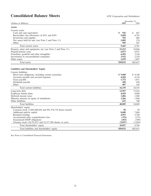## **Consolidated Balance Sheets** *GTE Corporation and Subsidiaries*

|                                                             | December 31. |           |  |  |
|-------------------------------------------------------------|--------------|-----------|--|--|
| (Dollars in Millions)                                       | 1999         | 1998      |  |  |
| <b>Assets</b>                                               |              |           |  |  |
| Current assets                                              |              |           |  |  |
| Cash and cash equivalents                                   | \$<br>936    | \$<br>467 |  |  |
| Receivables, less allowances of \$551 and \$395             | 5,058        | 4,785     |  |  |
| Inventories and supplies                                    | 702          | 668       |  |  |
| Net assets held for sale (see Note 2 and Note 11)           | 1.802        | 274       |  |  |
| Other                                                       | 945          | 587       |  |  |
| Total current assets                                        | 9,443        | 6,781     |  |  |
| Property, plant and equipment, net (see Note 2 and Note 11) | 23,233       | 24,866    |  |  |
| Prepaid pension costs                                       | 6.073        | 4,927     |  |  |
| Franchises, goodwill and other intangibles                  | 6,492        | 3,144     |  |  |
| Investments in unconsolidated companies                     | 3,932        | 2,210     |  |  |
| Other assets                                                | 1,659        | 1,687     |  |  |
| Total assets                                                | \$50,832     | \$43,615  |  |  |
| Liabilities and Shareholders' Equity                        |              |           |  |  |
| Current liabilities                                         |              |           |  |  |
| Short-term obligations, including current maturities        | \$9,608      | \$4,148   |  |  |
| Accounts payable and accrued expenses                       | 4,410        | 4,138     |  |  |
| Taxes payable                                               | 1,372        | 1,071     |  |  |
| Dividends payable                                           | 458          | 470       |  |  |
| Other                                                       | 487          | 528       |  |  |
| Total current liabilities                                   | 16,335       | 10,355    |  |  |
| Long-term debt                                              | 13,957       | 15,418    |  |  |
| Employee benefit plans                                      | 4.418        | 4.404     |  |  |
| Deferred income taxes                                       | 3,406        | 1,948     |  |  |
| Minority interests in equity of subsidiaries                | 1,266        | 1,984     |  |  |
| Other liabilities                                           | 623          | 740       |  |  |
| <b>Total liabilities</b>                                    | 40.005       | 34,849    |  |  |
| Shareholders' equity                                        |              |           |  |  |
| Common stock (1,002,200,284 and 991,374,778 shares issued)  | 50           | 50        |  |  |
| Additional paid-in capital                                  | 8.680        | 7,884     |  |  |
| Retained earnings                                           | 4,953        | 2,740     |  |  |
| Accumulated other comprehensive loss                        | (376)        | (375)     |  |  |
| Guaranteed ESOP obligations                                 | (453)        | (509)     |  |  |
| Treasury stock (34,791,857 and 23,377,388 shares, at cost)  | (2,027)      | (1,024)   |  |  |
| Total shareholders' equity                                  | 10,827       | 8,766     |  |  |
| Total liabilities and shareholders' equity                  | \$50,832     | \$43,615  |  |  |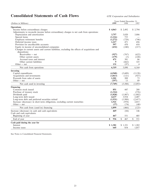## **Consolidated Statements of Cash Flows** *GTE Corporation and Subsidiaries*

|                                                                                                                                | Years Ended December 31, |           |                |  |  |
|--------------------------------------------------------------------------------------------------------------------------------|--------------------------|-----------|----------------|--|--|
| (Dollars in Millions)                                                                                                          | 1999                     | 1998      | 1997           |  |  |
| Operations                                                                                                                     |                          |           |                |  |  |
| Income before extraordinary charges                                                                                            | \$4.063                  | \$2,492   | \$2,794        |  |  |
| Adjustments to reconcile income before extraordinary charges to net cash from operations:                                      |                          |           |                |  |  |
| Depreciation and amortization                                                                                                  | 3,757                    | 3,820     | 3,886          |  |  |
| Special items                                                                                                                  | (1,116)                  | 755       |                |  |  |
| Employee retirement benefits                                                                                                   | (1,272)                  | (728)     | (746)          |  |  |
| Deferred income taxes                                                                                                          | 1,217                    | 471       | 456            |  |  |
| Provision for uncollectible accounts                                                                                           | 597                      | 470       | 418            |  |  |
| Equity in income of unconsolidated companies                                                                                   | (432)                    | (240)     | (217)          |  |  |
| Changes in current assets and current liabilities, excluding the effects of acquisitions and                                   |                          |           |                |  |  |
| dispositions:                                                                                                                  |                          |           |                |  |  |
| Receivables - net                                                                                                              | (927)                    | (767)     | (622)          |  |  |
| Other current assets                                                                                                           | (179)                    | (5)       | (220)          |  |  |
| Accrued taxes and interest                                                                                                     | 471                      | 381       | 86             |  |  |
| Other current liabilities                                                                                                      | 9                        | (662)     | 325            |  |  |
| $Other - net$                                                                                                                  | 131                      | (97)      | $\overline{4}$ |  |  |
| Net cash from operations                                                                                                       | 6,319                    | 5,890     | 6,164          |  |  |
| Investing                                                                                                                      |                          |           |                |  |  |
| Capital expenditures                                                                                                           | (4,940)                  | (5,609)   | (5,128)        |  |  |
| Acquisitions and investments                                                                                                   | (3,813)                  | (121)     | (927)          |  |  |
| Proceeds from sales of assets                                                                                                  | 1,201                    | 209       | 73             |  |  |
| $Other - net$                                                                                                                  | (197)                    | 13        | 89             |  |  |
| Net cash used in investing                                                                                                     | (7,749)                  | (5,508)   | (5,893)        |  |  |
|                                                                                                                                |                          |           |                |  |  |
| Financing<br>Common stock issued                                                                                               | 851                      | 447       | 288            |  |  |
|                                                                                                                                |                          |           |                |  |  |
| Purchase of treasury stock                                                                                                     | (1,314)                  |           | (576)          |  |  |
| Dividends paid                                                                                                                 | (1,828)                  | (1,807)   | (1,802)        |  |  |
| Long-term debt issued                                                                                                          | 4,637                    | 3,934     | 2,407          |  |  |
| Long-term debt and preferred securities retired<br>Increase (decrease) in short-term obligations, excluding current maturities | (1,931)                  | (1,988)   | (2,417)        |  |  |
| Other $-$ net                                                                                                                  | 1,521<br>(37)            | (978)     | 2,015          |  |  |
|                                                                                                                                |                          | (74)      | (40)           |  |  |
| Net cash from (used in) financing                                                                                              | 1,899                    | (466)     | (125)          |  |  |
| Increase (decrease) in cash and cash equivalents                                                                               | 469                      | (84)      | 146            |  |  |
| Cash and cash equivalents:                                                                                                     |                          |           |                |  |  |
| Beginning of year                                                                                                              | 467                      | 551       | 405            |  |  |
| End of year                                                                                                                    | \$<br>936                | \$<br>467 | \$<br>551      |  |  |
| Cash paid during the year for                                                                                                  |                          |           |                |  |  |
| Interest                                                                                                                       | \$1,381                  | \$1,321   | \$1,282        |  |  |
| Income taxes                                                                                                                   | 645                      | 854       | 1,057          |  |  |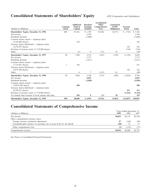## **Consolidated Statements of Shareholders' Equity** *GTE Corporation and Subsidiaries*

| (Dollars in Millions)                                | Common<br><b>Stock</b> | <b>Additional</b><br>Paid-in<br>Capital | <b>Retained</b><br><b>Earnings</b><br>(Deficit) | Accumulated<br>Other<br>Comprehensive<br>Loss | Guaranteed<br><b>ESOP</b><br><b>Obligations</b> | <b>Treasury</b><br><b>Stock</b> | <b>Total</b> |
|------------------------------------------------------|------------------------|-----------------------------------------|-------------------------------------------------|-----------------------------------------------|-------------------------------------------------|---------------------------------|--------------|
| <b>Shareholders' Equity, December 31, 1996</b>       | \$49                   | \$7,416                                 | \$1,370                                         | \$(168)                                       | \$ (575)                                        | \$ (756)                        | \$7,336      |
| Net income                                           |                        |                                         | 2,794                                           |                                               |                                                 |                                 | 2,794        |
| Dividends declared                                   |                        |                                         | (1,800)                                         |                                               |                                                 |                                 | (1,800)      |
| Common shares issued — employee plans                |                        |                                         |                                                 |                                               |                                                 |                                 |              |
| $(3,341,606 \text{ shares})$                         |                        | 146                                     |                                                 |                                               |                                                 |                                 | 146          |
| Treasury shares distributed — employee plans         |                        |                                         |                                                 |                                               |                                                 |                                 |              |
| $(3,279,387 \text{ shares})$                         |                        |                                         |                                                 |                                               |                                                 | 142                             | 142          |
| Purchase of treasury stock (11,719,200 shares)       |                        |                                         |                                                 |                                               |                                                 | (536)                           | (536)        |
| Other                                                |                        | (2)                                     | 8                                               | (75)                                          | 25                                              |                                 | (44)         |
| Shareholders' Equity, December 31, 1997              | 49                     | 7,560                                   | 2,372                                           | (243)                                         | (550)                                           | (1,150)                         | 8,038        |
| Net income                                           |                        |                                         | 2,172                                           |                                               |                                                 |                                 | 2,172        |
| Dividends declared                                   |                        |                                         | (1,811)                                         |                                               |                                                 |                                 | (1, 811)     |
| Common shares issued — employee plans                |                        |                                         |                                                 |                                               |                                                 |                                 |              |
| $(7,121,891 \text{ shares})$                         | 1                      | 320                                     |                                                 |                                               |                                                 |                                 | 321          |
| Treasury shares distributed — employee plans         |                        |                                         |                                                 |                                               |                                                 |                                 |              |
| $(2,875,700 \text{ shares})$                         |                        |                                         |                                                 |                                               |                                                 | 126                             | 126          |
| Other                                                |                        | $\overline{4}$                          | 7                                               | (132)                                         | 41                                              |                                 | (80)         |
| Shareholders' Equity, December 31, 1998              | 50                     | 7,884                                   | 2,740                                           | (375)                                         | (509)                                           | (1,024)                         | 8,766        |
| Net income                                           |                        |                                         | 4,033                                           |                                               |                                                 |                                 | 4,033        |
| Dividends declared                                   |                        |                                         | (1,828)                                         |                                               |                                                 |                                 | (1,828)      |
| Common shares issued — employee plans                |                        |                                         |                                                 |                                               |                                                 |                                 |              |
| $(10,825,506 \text{ shares})$                        |                        | 540                                     |                                                 |                                               |                                                 |                                 | 540          |
| Treasury shares distributed — employee plans         |                        |                                         |                                                 |                                               |                                                 |                                 |              |
| $(6,320,331 \text{ shares})$                         |                        |                                         |                                                 |                                               |                                                 | 311                             | 311          |
| Purchase of treasury stock (17,734,800 shares)       |                        |                                         |                                                 |                                               |                                                 | (1,314)                         | (1,314)      |
| Tax benefit from exercise of stock options and other |                        | 256                                     | 8                                               | (1)                                           | 56                                              |                                 | 319          |
| <b>Shareholders' Equity, December 31, 1999</b>       | \$50                   | \$8,680                                 | \$4,953                                         | \$(376)                                       | \$ (453)                                        | \$(2,027)                       | \$10,827     |

## **Consolidated Statements of Comprehensive Income**

| (Dollars in Millions)                                                           | 1999             | Years Ended December 31,<br>1998 | 1997    |
|---------------------------------------------------------------------------------|------------------|----------------------------------|---------|
| Net income                                                                      | \$4,033          | \$2,172                          | \$2,794 |
| Other comprehensive income (loss):                                              |                  |                                  |         |
| Foreign currency translation adjustments                                        | 27               | (144)                            | (90)    |
| Unrealized gains (losses) on securities, net of taxes of $\S(13)$ , \$6 and \$8 | (28)             | 12                               | 15      |
| Other comprehensive loss                                                        | $\left(1\right)$ | (132)                            | (75)    |
| Comprehensive income                                                            | \$4,032          | \$2,040                          | \$2,719 |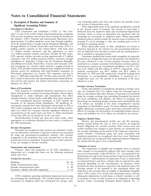pany'') is one of the world's largest telecommunications companies accounts. Gains or losses on disposition are amortized with the with an array of products and services that is among the broadest in remaining net investme with an array of products and services that is among the broadest in remaining net investment in telephone plant. When depreciable the industry. GTE's National and International Operations serve telephone plant is retired the industry. GTE's National and International Operations serve telephone plant is retired outside the normal course of business, for approximately 35 million telephone access lines through subsidiar-<br>example if a local ex ies in the United States, Canada and the Dominican Republic, and through affiliates in Canada, Puerto Rico and Venezuela. GTE is a leading wireless operator in the United States, with more than 7.1 million wireless customers and the opportunity to serve 72.5 million potential wireless customers. Outside the fifty states, GTE operates wireless networks serving approximately 6.7 million customers with 34.8 million potential wireless customers through amortized on a straight-line basis over the periods to be benefited or subsidiaries in Argentina, Canada and the Dominican Republic, 40 years, whichever is l subsidiaries in Argentina, Canada and the Dominican Republic, and affiliates in Canada, Puerto Rico, Taiwan and Venezuela. GTE and affiliates in Canada, Puerto Rico, Taiwan and Venezuela. GTE amortized in a manner consistent with historical attrition patterns.<br>also participates in a venture which operates a paging network in Amortization expense f also participates in a venture which operates a paging network in Amortization expense for consolidated subsidiaries was \$175 mil-<br>China. GTE provides internetworking services ranging from dial-up lion, \$131 million and \$9 Internet access for residential and small-business consumers to Web-based applications for *Fortune 500* companies and has in Web-based applications for *Fortune 500* companies and has in December 31, 1999 and 1998, respectively. Goodwill resulting from place a 17,000 mile nationwide OC-192 fiber-optic network. GTE is investments in unconsolidate place a 17,000 mile nationwide OC-192 fiber-optic network. GTE is investments in unconsolidated subsidiaries is amortized on a also a leader in directories and telecommunications-based informa-<br>straight-line basis over the tion services and systems. For further information concerning our whichever is less. business, see Note 15.

of less than 20% are accounted for on the cost basis.<br>Reclassifications of prior-year data have been made, where

|                                         | $20 - 40$ |
|-----------------------------------------|-----------|
| Inside communications plant             | $5 - 10$  |
| Outside communications plant            | $8 - 40$  |
| Furniture, vehicles and other equipment | $3 - 10$  |

investment in telephone plant less anticipated net salvage value

**1. Description of Business and Summary of** over remaining useful asset lives and requires the periodic review and revision of depreciation rates.

**Significant Accounting Policies**<br> **Significant Accounting Policies**<br> **Significant Accounting Policies**<br> **Significant** Accounting Policies<br> **Significant** Accounting Policies<br> **Significant** Accounting Policies<br> **Significant Pription of Business** in the normal course of business, the amount of such plant is GTE Corporation and subsidiaries ("GTE" or "the Com-<br>deducted from the respective plant and accumulated depreciation GTE Corporation and subsidiaries ("GTE" or "the Com-<br>
pany") is one of the world's largest telecommunications companies<br>
accounts. Gains or losses on disposition are amortized with the example if a local exchange is sold, any resulting gain or loss is included in operating income.

> When depreciable assets of other subsidiaries are retired or otherwise disposed of, the related cost and accumulated depreciation are deducted from the plant accounts and any resulting gain or loss is included in operating income.

> Franchises, goodwill and certain other intangibles are generally lion, \$131 million and \$96 million in 1999-97, respectively. Accu-<br>mulated amortization was \$957 million and \$819 million at straight-line basis over the periods to be benefited or 40 years,

**Example 10**<br> **Example 10**<br> **Example 10**<br> **Example 10**<br> **Example 10**<br> **Example 10**<br> **Example 10**<br> **Example 10**<br> **Example 10**<br> **Example 10**<br> **Example 10**<br> **Example 10**<br> **Example 10**<br> **Example 10**<br> **Example 10**<br> **Example 10** 

Reclassifications of prior-year data have been made, where<br>appropriate or as otherwise disclosed in these notes, to conform to<br>the 1999 presentation.<br>benefits earned during the year as well as interest on projected<br>benefit **Revenue Recognition**<br>
Revenues are recognized when services are rendered or prod-<br>
ucts are delivered to customers. Long-term contracts are accounted<br>
for using the percentage-of-completion method, with revenues<br>
recogniz

**Depreciation and Amortization**<br>
Property, plant and equipment of all GTE subsidiaries is<br>
depreciated on a straight-line basis over the following estimated<br>
useful asset lives:<br>
Let all asset lives:<br>
Let all asset lives:<br> **Average lives (in years)** Disposed Of," a determination of impairment, if any, is made based<br>Disposed Of," a determination of impairment, if any, is made based<br>on estimated future cash flows, salvage value or expected net proceeds depending on the circumstances. In instances where goodwill has been recorded in connection with impaired assets, the carrying amount of the goodwill is first eliminated before any reduction to the carrying value assets. GTE's policy is to record asset impairment losses, and any GTE's telephone operating subsidiaries depreciate assets using subsequent adjustments to such losses as initially recorded, as well<br>remaining life methodology. This method depreciates the net as net gains or losses on sale the remaining life methodology. This method depreciates the net as net gains or losses on sales of assets as a component of operating investment in telephone plant less anticipated net salvage value income. Under Accountin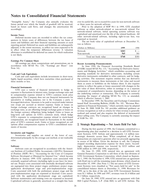future period over which the benefit of goodwill will be received, based on future cash flows, and changes the amortization life Prior to the adoption of SOP 98-1 in 1999, GTE classified accordingly. software as either network-related or non-network related. For

**Income Taxes**<br>
Deferred income taxes are recorded to reflect the tax conse-<br>
Deferred income taxes are recorded to reflect the tax conse-<br>
quences in future years of differences between the tax bases of<br>
assets and liabil adjusted, to the extent necessary, to reflect tax rates expected to be in effect when the temporary differences reverse. A valuation allowance is established for deferred tax assets for which realization<br>is not likely.

### **Earnings Per Common Share**

All earnings per share computations and presentations are in<br>accordance with SFAS No. 128, "Earnings per Share" (see In June 1998, the Financial Accounting Standards Board<br>Note 14). (FASB) issued SFAS No. 133, "Accounting

highly liquid securities, which have maturities when purchased of three months or less.

Financial Instruments<br>
entities to reflect the gains or losses associated with changes in the<br>
exposure to forme are sensited instruments to hedge its<br>
exposure to fluctuations in interest rates, foreign exchange rates at<br> price of GTE's common stock. Gains or losses recognized on call options offset compensation expense in GTE's consolidated state- **2. Strategic Repositioning — Net Assets Held For Sale** ments of income.

Software costs are recognized in accordance with the Ameri-<br>
100 million in 1999 and 1998, respectively.<br>
100 million in 1999 and 1998, respectively.<br>
100 June 22, 1999, GTE entered into an agreement with can Institute of Certified Public Accountants (AICPA) Statement On June 22, 1999, GTE entered into an agreement with of Position (SOP) 98-1, "Accounting for the Costs of Computer General Dynamics Corporation to sell three of Position (SOP) 98-1, "Accounting for the Costs of Computer Software Developed or Obtained for Internal Use,'' which became GTE Government Systems Corporation, which closed on Septemeffective in January 1999. GTE capitalizes costs associated with ber 1, 1999. On November 4, 1999, GTE entered into an agreement externally acquired software (including right-to-use fees) for inter-<br>
mail use. Project costs associated with internally developed software<br>
December 10, 1999. (See Note 3.) The net assets of GTE Governnal use. Project costs associated with internally developed software are segregated into three project stages: preliminary project stage, application development stage and post-implementation stage. Costs associated with both the preliminary project stage and the 1999, up to the date of the sale, from GTE Government Systems post-implementation stage are expensed as incurred. Costs associ- were \$1.1 billion. In 1998 and 1997, revenues were \$1.4 billion and ated with the application development stage are capitalized. \$1.3 billion, respectively.<br>Software maintenance and training costs are expensed as incurred. On June 24, 1999, GTE entered into an agreement with Oak Software maintenance and training costs are expensed as incurred. Capitalized software is generally amortized on a straight-line basis

"Intangible Assets," the Company also annually evaluates the over its useful life, not to exceed five years for non-network software future period over which the benefit of goodwill will be received, or three years for net

network-related software, initial operating systems software was

| (Dollars in Millions) | 1999  | 1998  |
|-----------------------|-------|-------|
| Network               | \$203 |       |
| Non-network           | 565   | 301   |
| Total net book value  | \$768 | \$301 |
|                       |       |       |

ments and Hedging Activities,'' which establishes accounting and **Cash and Cash Equivalents**<br>Cash and cash equivalents include investments in short-term. derivative instruments embedded in other contracts, and for hedg-<br>Cash and cash equivalents include investments in short-term. Cash and cash equivalents include investments in short-term, derivative instruments embedded in other contracts, and for hedginstruments to measure these instruments at fair value and record them as assets or liabilities on the balance sheet. It also requires

During the first quarter of 1998, the Company committed to a **Inventories and Supplies**<br>Inventories and supplies are stated at the lower of cost,<br>determined principally by the average cost method, or net realizable<br>value.<br>Inventories and supplies are stated at the lower of cost,<br>det stopped recording depreciation expense for these assets. Accord-**Software** ingly, depreciation expense was lowered by \$325 million and

ment Systems were classified as "Net assets held for sale" in the consolidated balance sheets at December 31, 1998. Revenues for

Hill Capital Partners, L.P. (Oak Hill) to sell GTE Airfone. The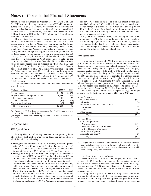agreement was terminated on October 19, 1999 when GTE and tion for \$1.03 billion in cash. The after-tax impact of this gain Oak Hill were unable to agree on final terms. GTE will continue to was \$445 million, or \$.45 per d Oak Hill were unable to agree on final terms. GTE will continue to pursue the sale of GTE Airfone. Accordingly, GTE Airfone's net special charge of \$49 million (\$29 million after-tax, or \$.03 per assets are classified as "Net assets held for sale" in the consolidated diluted share) primarily related to the impairment of assets balance sheets at December 31, 1999 and 1998. Revenues from associated with the Company's decision to exit certain small, GTE Airfone were \$138 million, \$157 million and \$136 million for non-core business activities. GTE Airfone were \$138 million, \$157 million and \$136 million for

sell all of the domestic switched access lines held for sale. These the remaining major division of GTE Government Systems to access lines are located in Alaska, Arizona, Arkansas, California, DynCorp, partially offset by a special charge taken to exit certain Illinois, Iowa, Minnesota, Missouri, Nebraska, New Mexico, small non-strategic business Oklahoma, Texas and Wisconsin. All sales are contingent upon final agreements and regulatory approvals, and are expected to close in 2000. Based on the signing of definitive agreements, the net<br>property, plant and equipment of \$1.7 billion related to these access **1998 Special Items** lines has been reclassified as "Net assets held for sale" in the consolidated balance sheets as of December 31, 1999. The net book During the first quarter of 1998, the Company committed to a value of these access lines is reflected in "Property, plant and plan to sell or exit various b value of these access lines is reflected in "Property, plant and plan to sell or exit various business activities and reduce costs equipment net" in the consolidated balance sheets at Decem-<br>through employee reductions and equipment, net" in the consolidated balance sheets at Decem-<br>hrough employee reductions and related actions. As a result of<br>these actions, during the first quarter of 1998, the Company<br>per 31, 1998 (see Note 11). The Compa ber 31, 1998 (see Note 11). The Company will continue to operate these actions, during the first quarter of 1998, the Company all of these assets until sold. The 1.6 million access lines represent recorded pretax charges o all of these assets until sold. The 1.6 million access lines represent recorded pretax charges of \$755 million, \$482 million after-tax, or approximately 8% of the switched access lines that the Company \$.50 per diluted sha approximately 8% of the switched access lines that the Company \$.50 per diluted share, for the year. The strategic actions to which had in service at the end of 1999, and contributed approximately  $4\%$  the 1998 special c had in service at the end of 1999, and contributed approximately 4% the 1998 special charges relate were completed as planned consisted reverse and  $5\%$  to 1997 consoli-<br>tent with the original cost estimates. The plan inc to 1999 and 1998 consolidated revenues and 5% to 1997 consolidated revenues. posed sale of GTE Government Systems Corporation, GTE

| (Dollars in Millions)              | 1999 <sup>(a)</sup> | $1998^{(b)}$ | $\mu$ and $\mu$ and $\mu$ and $\mu$ and $\mu$ and $\mu$ and $\mu$ and $\mu$ and $\mu$ and $\mu$ and $\mu$ and $\mu$ and $\mu$ and $\mu$ and $\mu$ and $\mu$ and $\mu$ and $\mu$ and $\mu$ and $\mu$ and $\mu$ and $\mu$ and $\mu$ and $\mu$ and $\mu$<br>The following table summarizes the special charges by major |       |
|------------------------------------|---------------------|--------------|----------------------------------------------------------------------------------------------------------------------------------------------------------------------------------------------------------------------------------------------------------------------------------------------------------------------|-------|
| Current assets                     | 24                  | \$524        | category and by business unit affected (Dollars in Millions):                                                                                                                                                                                                                                                        |       |
| Property, plant and equipment, net | 1.871               | 282          | Major Category:                                                                                                                                                                                                                                                                                                      |       |
| Other noncurrent assets            | 10                  | 122          | Asset impairments                                                                                                                                                                                                                                                                                                    | \$483 |
| Current liabilities                | (40)                | (413)        | Exit costs                                                                                                                                                                                                                                                                                                           | 34    |
| Noncurrent liabilities             | (63)                | (241)        | Employee related and other actions                                                                                                                                                                                                                                                                                   |       |
| Net assets held for sale           | \$1,802             | \$274        | Severance                                                                                                                                                                                                                                                                                                            | 77    |

(a) Represents GTE Airfone and approximately 1.6 million non-strategic access lines, as described above.

(b) Represents GTE Government Systems and GTE Airfone, as described above. Business Unit:

### **3. Special Items**

### **1999 Special Items**

During 1999, the Company recorded a net pretax gain of  $$1.1$  billion (\$651 million after-tax, or \$0.66 per diluted share), which included the following:

- During the first quarter of 1999, the Company recorded a pretax and related costs associated with the closing of \$513 million associated with the merger of BC<br>TELECOM and TELUS, as described in Note 5. The after-tax<br>impa
- During the first quarter of 1999, the Company also recorded a special charge of \$192 million (\$119 million after-tax, or \$.12 per *Asset impairments and exit costs* diluted share) associated with employee separation programs. Based on the decision to sell, the Company recorded a pretax 3,000 employees. The programs were completed in early April 1999, as planned, consistent with the original cost estimates.
- ' During the third quarter of 1999, the Company recorded special carrying values. items of \$705 million (\$416 million after-tax, or \$.42 per diluted During the first quarter of 1998, the Company also committed

1999-1997, respectively.<br>
1999-1999, the Company entered definitive agreements to<br>
1999, the Company entered definitive agreements to<br>
1999, the Company entered definitive agreements to<br>
1999, the Company entered definitiv pretax gain of \$90 million, primarily associated with the sale of small non-strategic businesses. The after-tax impact of this net gain is \$46 million, or \$.05 per diluted share.

The components of the net assets held for sale at December 31 Airfone Incorporated and approximately 1.6 million non-strategic are as follows: domestic access lines located in 13 states. The status of these transactions as of December 31, 1999 is discussed in Note 2.

| Major Category:                    |       |
|------------------------------------|-------|
| Asset impairments                  | \$483 |
| Exit costs                         | 34    |
| Employee related and other actions |       |
| Severance                          | 77    |
| Other                              | 30    |
| Other actions                      | 131   |
| Total                              | \$755 |
| <b>Business Unit:</b>              |       |
| <b>National Operations</b>         |       |
| <b>Network Services</b>            | \$171 |
| Wireless Products and Services     | 91    |
| <b>Other National Operations</b>   | 397   |
| International Operations           | 38    |
| Corporate and other <sup>(a)</sup> | 58    |
|                                    |       |

The charge included separation and related benefits such as charge of \$200 million to reduce the carrying value of outplacement and benefit continuation costs for approximately GTE Airfone's assets to estimated net sales proceeds. No charge 3,000 employees. The programs were completed in early April was recorded for GTE Government Syst be sold because their estimated fair values were in excess of their

share). Included in the special items was a pretax gain of to a plan to exit a number of other non-strategic business activities. \$754 million on the sale of substantially all of GTE Government As a result, the Company recorded a pretax charge of \$156 million Systems on September 1, 1999 to General Dynamics Corpora-<br>to reduce the carrying value of af to reduce the carrying value of affected assets to expected net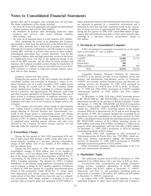- 
- the shutdown of business units developing interactive video products and services and excess printing facilities

• the write-off of impaired assets in Latin America (\$33 million).

After completing the review of its operations, the Company also decided to scale back the deployment of the hybrid fiber coax<br>
(HFC) video networks that it had built in certain test markets.<br> **5. Investments in Unconsolidated Companies**<br>
Although the Company is obligated to, and w existing HFC networks to provide video service in these markets, technological innovations have created alternative ways for the Company to deliver video and high-speed data services in the future at a significantly lower cost. Due to the significant change in the scale of the HFC networks and the effect on future revenues and expenses, the Company recorded a pretax charge for impairment of approximately \$161 million based on estimated future cash flows. GTE continues to evaluate its long-term strategic options associated with its video business.

consolidate facilities and centralize or eliminate a variety of employee functions and, as a result, recorded a \$107 million pretax vertising services. On December 22, 1998, GTE increased its charge. During the second half of 1998, the Company closed ownership interest in CANTV from 25.9% to 26.4%. At Decem-<br>several administrative facilities, including its corporate headquar-<br>ber 31, 1999 and 1998, GTE's invest ters in Connecticut and approximately 140 domestic retail stores and other locations operated by its National Operations. The cost of respectively.<br>
these actions is composed primarily of employee severance, out-<br>
At December 31, 1998, GTE had a 50.8% ownership interest these actions is composed primarily of employee severance, out-<br>
At December 31, 1998, GTE had a 50.8% ownership interest<br>
placement and benefit continuation costs for approximately 1,700 in BC TELECOM Inc. (BC TELECOM), a placement and benefit continuation costs for approximately 1,700 in BC TELECOM Inc. (BC TELECOM), a full-service telecom-<br>employees and other costs to exit locations no longer used by the munications provider in the provin employees and other costs to exit locations no longer used by the Company. On January 31, 1999, BC TELECOM and TELUS Corporation

\$131 million related to nonrecurring federal and state regulatory cations Inc. (TELUS). GTE's ownership interest in the merged rulings affecting its Network Services unit. Approximately two-<br>company, TELUS, is approximatel rulings affecting its Network Services unit. Approximately twothirds of this charge relates to nonrecurring access rate refunds first quarter of 1999, the Company changed the accounting for its applied by the Federal Communications Commission (FCC) retro-<br>investment from full consoli applied by the Federal Communications Commission (FCC) retroactively in 1997. In addition, the charge also included the write-off GTE's consolidated results include the following amounts related to incurred by the Company for which revenue recovery was not allowable under the regulatory process.

lion of high-coupon debt through a public tender offer prior to its vides local, wireless, long-distance, paging, and Internet-access stated maturity, resulting in a one-time, after-tax extraordinary services. At December stated maturity, resulting in a one-time, after-tax extraordinary services. At December 31, 1999, GTE's inves charge of \$30 million (net of tax benefits of \$16 million), or included unamortized goodwill of \$222 million. charge of \$30 million (net of tax benefits of \$16 million), or

During the first quarter of 1998, GTE recorded after-tax extraordinary charges of \$320 million (net of tax benefits of \$256 million), or \$.33 per diluted share. Approximately \$300 mil- **6. Shareholders' Equity** lion of the charge related to the discontinuation of SFAS No. 71, "Accounting for the Effects of Certain Types of Regulation," by The authorized common stock of GTE at December 31, 1999, GTE's Canadian operations. The decision by GTE's Canadian consisted of two billion shares with a par value of \$.05 per share.<br>
subsidiaries to discontinue using regulatory accounting practices Accumulated other comprehensi subsidiaries to discontinue using regulatory accounting practices Accumulated other comprehensive loss includes cumulative was in response to rulings by the Canadian regulatory commission foreign currency translation adjus was in response to rulings by the Canadian regulatory commission in March of 1998 that opened the Canadian telecommunications market to full competition. Under SFAS No. 71, certain assets respectively (see Note 1); and cumulative unrealized gains on were depreciated and certain expenses were recognized over a investments in securities of \$4 million, \$32 million and \$20 million longer period of time than would have been the case in a competi-<br>at December 31, 1999-97, r longer period of time than would have been the case in a competi-<br>tive environment. This charge includes a reduction in the net In August 1999, GTE announced the initiation of a share tive environment. This charge includes a reduction in the net In August 1999, GTE announced the initiation of a share carrying value of property, plant and equipment of \$270 million to repurchase program to offset shares i carrying value of property, plant and equipment of \$270 million to

salvage value and to recognize costs resulting from the exit plan. reflect impairment based on the estimated cash flows that the assets are expected to generate in a competitive environment and a are expected to generate in a competitive environment and a • the write-off of network equipment and supplies for discontinued reduction in costs that had been capitalized based on the expectawireless products and services (\$81 million);<br>the shutdown of business units developing interactive video during the first quarter of 1998, GTE called \$800 million of highcoupon debt and preferred stock prior to their stated maturity date,  $($42 \text{ million})$$ ; and resulting in a one-time, after-tax extraordinary charge of the write-off of impaired assets in Latin America  $($33 \text{ million})$ .  $$20 \text{ million}$ .

GTE's investments in companies accounted for on the equity basis at December 31, were as follows:

| (Dollars in Millions) | 1999    | 1998    |
|-----------------------|---------|---------|
| CANTV                 | \$1,880 | \$1,751 |
| TELUS                 | 1,175   |         |
| Puerto Rico           | 380     |         |
| Other investments     | 497     | 459     |
| Total                 | \$3,932 | \$2,210 |

Compañia Anónima Nacional Teléfonos de Venezuela *Employee related and other actions* (CANTV) is the primary provider of local telephone service and During the first quarter of 1998, the Company also decided to national and international long-distance service in Venezuel national and international long-distance service in Venezuela.<br>CANTV also provides wireless, Internet-access and directory adber 31, 1999 and 1998, GTE's investment in CANTV included<br>unamortized goodwill of \$740 million and \$765 million,

The Company also recorded a pretax charge of approximately merged to form a public company called BCT.TELUS Communi of mandated costs, including generic software, and other costs BC TELECOM: revenues of \$2.2 billion, operating income of incurred by the Company for which revenue recovery was not \$589 million, total assets of \$2.6 billion property, plant and equipment, and long-term debt of \$686 million. At December 31, 1999, GTE's investment in TELUS included

**4. Extraordinary Charges 4. Extraordinary Charges In March 1999, GTE** completed its 40% investment in During the first quarter of 1999, GTE repurchased \$338 mil-<br>Telecomunicaciones de Puerto Rico, Inc. (TELPRI), which pro-

\$.03 per diluted share.<br>
During the first quarter of 1998. GTE recorded after-tax and other international investments.

 $$(407)$  million and  $$(263)$  million at December 31, 1999-97,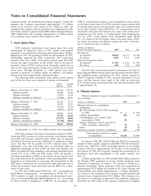program, the Company repurchased approximately 17.7 million shares of its common stock valued at \$1.3 billion in 1999, and an exercise price equal to the fair market value of its common stock completed the program with the purchase of an additional 8.4 mil- on the date of grant. Under SFAS No. 123, compensation cost is lion shares valued at approximately \$600 million through February measured at the grant date based on the value of the award and is 2000. Additionally, the Company repurchased 11.7 million shares recognized over the service or vesting period. Had compensation of its common stock valued at \$536 million in 1997.

GTE maintains broad-based stock option plans that cover substantially all employees. Prior to 1997, options were granted separately or in conjunction with stock appreciation rights (SARs). Beginning in 1997, the granting of SARs was discontinued. In 1997, shareholders approved the GTE Corporation 1997 Long-Term Incentive Plan (the LTIP). Each option granted under the LTIP conveys the right to purchase, at fair market value on the date of the grant, shares of GTE common stock. Generally, options have a term of ten years and become vested over a period not to exceed seven years. Through December 31, 1999, options have been The fair value of each option grant is estimated on the date of granted to purchase 55 million shares. In addition, 19.4 million grant using the Black-Scholes option pricing model with the follow-<br>options have been granted under predecessor plans. The weighted-average assumptions for t

|                                | Stock<br>Options | Average<br>Price | of approximately 3%.                                               |      |       |
|--------------------------------|------------------|------------------|--------------------------------------------------------------------|------|-------|
| Balance, December 31, 1996     | 25,914           | \$37.36          | 8. Minority Interests                                              |      |       |
| Options granted                | 22,208           | 45.28            |                                                                    |      |       |
| Options exercised              | (3,951)          | 33.58            | Minority interests in equity of subsidiaries as of December 31     |      |       |
| Options cancelled or forfeited | (1,046)          | 40.31            | was as follows:                                                    |      |       |
| Balance, December 31, 1997     | 43,125           | 41.71            | (Dollars in Millions)                                              | 1999 | 1998  |
| Options granted                | 14.703           | 53.97            | Minority interests in consolidated                                 |      |       |
| Options exercised              | (8,672)          | 39.34            | subsidiaries:                                                      |      |       |
| Options cancelled or forfeited | (2,461)          | 44.78            | BC TELECOM (50.8% GTE ownership)                                   |      |       |
|                                |                  |                  | in $1998$ )                                                        | \$   | \$550 |
| Balance, December 31, 1998     | 46,695           | 45.85            |                                                                    |      |       |
| Options granted                | 27,379           | 66.53            | Cellular partnerships                                              | 422  | 139   |
| Options exercised              | (13, 737)        | 44.58            | CTI Holdings, S.A. (58.0% GTE)                                     |      |       |
| Options cancelled or forfeited | (1,710)          | 58.62            | ownership in 1999)                                                 | 99   |       |
| Balance, December 31, 1999     | 58,627           | \$55.44          | Québec Telephone (50.2% and 50.1%)<br>GTE ownership, respectively) | 76   | 85    |

GTE also maintains the Equity Participation Program (EPP). Under the EPP, a portion of certain executives' cash bonuses under  $\theta$ the LTIP and Executive Incentive Plan (EIP) must be deferred and held in restricted stock units (RSUs) for a minimum of three In January 1999, BC TELECOM and TELUS Corporation years, and then will be payable in GTE common stock. EPP merged to form a public company called BCT.TELUS Communiparticipants may also irrevocably elect to voluntarily defer an cations Inc. (TELUS). GTE's ownership interest in the merged additional percentage of their LTIP and EIP cash bonuses into company TELUS, is approximately 26.7% and, as such, during the RSUs, provided that their mandatory and voluntary deferrals do not first quarter of 1999, the Company changed the accounting for its exceed 25% of the LTIP and EIP awards. GTE will provide a investment from full consolidat matching contribution in RSUs in the amount of one unit for every Note 5). four units deferred by the participant. These matching RSUs were Cellular partnerships for 1999 include \$286 million related to designed as an inducement to encourage full participation in the the October 1999 acquisition of several wireless properties from EPP and to compensate the executives for their agreement not to Ameritech Corporation, of which a 7% interest is owned by a realize the economic value associated with the RSUs for a mini-<br>minority shareholder. These proper realize the economic value associated with the RSUs for a mini-<br>minority shareholder. These properties which were purchased for<br>mum of three years.<br>Chicago and<br>mum of three years.

for Stock Issued to Employees" (APB 25). In accordance with

employee-benefit and dividend-reinvestment programs. Under the APB 25, compensation expense is not recognized for stock options program, the Company repurchased approximately 17.7 million on the date of grant since it is G cost for GTE's stock options been determined under SFAS No. 123, based on the fair market value at the grant dates, GTE's **7. Stock Option Plans 1. Stock Option Plans 1. Stock Option Plans ber 31** would have been as follows:

| (Dollars in Millions,<br>Except Per-Share Amounts) | 1999    | 1998    | 1997    |
|----------------------------------------------------|---------|---------|---------|
| Net Income                                         |         |         |         |
| As reported                                        | \$4,033 | \$2,172 | \$2,794 |
| Pro forma                                          | 3.921   | 2.113   | 2,769   |
| Diluted Earnings Per Share                         |         |         |         |
| As reported                                        | \$4.12  | \$2.24  | \$2.90  |
| Pro forma                                          | 4.01    | 2.18    | 2.88    |

options have been granted under predecessor plans. ing weighted-average assumptions for those options granted in<br>The following table summarizes stock option activity during 1999-97: expected volatility of 19%, expected mat 1999-97: expected volatility of 19%, expected maturities of seven each of the last three years (number of options in thousands): years, risk-free interest rates equal to the yield on seven-year U.S. Treasury notes on the grant date and expected dividend yield of approximately 3%.

### 8. Minority Interests

| Balance, December 31, 1997                                         | 43,125   | 41.71   | (Dollars in Millions)                                              | 1999    | 1998    |
|--------------------------------------------------------------------|----------|---------|--------------------------------------------------------------------|---------|---------|
| Options granted                                                    | 14.703   | 53.97   | Minority interests in consolidated                                 |         |         |
| Options exercised                                                  | (8,672)  | 39.34   | subsidiaries:                                                      |         |         |
| Options cancelled or forfeited                                     | (2,461)  | 44.78   | BC TELECOM (50.8% GTE ownership                                    |         |         |
| Balance, December 31, 1998                                         | 46.695   | 45.85   | in $1998$ )                                                        |         | 550     |
| Options granted                                                    | 27,379   | 66.53   | Cellular partnerships                                              | 422     | 139     |
| Options exercised                                                  | (13,737) | 44.58   | CTI Holdings, S.A. (58.0% GTE)                                     |         |         |
| Options cancelled or forfeited                                     | (1,710)  | 58.62   | ownership in 1999)                                                 | 99      |         |
| Balance, December 31, 1999                                         | 58,627   | \$55.44 | Québec Telephone (50.2% and 50.1%)<br>GTE ownership, respectively) | 76      | 85      |
|                                                                    |          |         | Other                                                              | 35      | 20      |
| At December 31, 1999, 33.6 million options were exercisable.       |          |         | Preferred securities issued by subsidiaries                        | 634     | 1,190   |
| GTE also maintains the Equity Participation Program (EPP).         |          |         | Total minority interests in equity<br>of subsidiaries              | \$1,266 | \$1,984 |
| Under the EPP, a portion of certain executives' cash bonuses under |          |         |                                                                    |         |         |

investment from full consolidation to the equity method (see

approximately \$3.25 billion are located in St. Louis, Chicago and In 1995, the FASB issued SFAS No. 123, "Accounting for Central Illinois and include approximately 1.7 million subscribers. Stock-Based Compensation." As permitted by SFAS No. 123, As a result of this acquisition, the Company recorded goodwill and GTE continues to apply the recognition and measurement provi-<br>customer base of approximately \$2.85 customer base of approximately \$2.85 billion. The Company is in sions of Accounting Principles Board Opinion No. 25, "Accounting the process of completing an appraisal of the properties acquired to for Stock Issued to Employees" (APB 25). In accordance with determine the final values o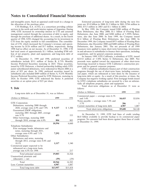CTI Holdings, S.A. (CTI), is a consortium providing cellular 2002; \$713 million in 2003 and \$1.1 billion in 2004. services in the north and south interior regions of Argentina. During In May 1999, the Company issued \$300 million of Floating 1998, GTE increased its ownership interest in CTI and assumed Rate Debentures, due May 2000; \$1 1998, GTE increased its ownership interest in CTI and assumed<br>management control through the conversion of debt to equity, and Debentures, due June 2000; and \$200 million of 5.399% Debenmanagement control through the conversion of debt to equity, and Debentures, due June 2000; and \$200 million of 5.399% Deben-<br>through the purchase of additional shares. As a result, in the fourth tures, also due June 2000. through the purchase of additional shares. As a result, in the fourth tures, also due June 2000. In June 1999, the Company issued quarter of 1998, GTE changed the accounting for its investment in \$1.4 billion of Floating R CTI from the equity method to full consolidation. The consolida-<br>
Universe December 1999, the Company issued \$975 million of Floating Rate<br>
Debentures, due December 2000 and \$400 million of Floating Rate tion of CTI, which increased the Company's revenues and operat-<br>ing income by \$126 million and \$17 million, respectively, during ing income by \$126 million and \$17 million, respectively, during Debentures, due January 2001. The net proceeds of all 1999 1998 had no effect on net income. As of December 31, 1998, CTI issuances were applied to repay sho had total assets of approximately \$1.1 billion, including \$700 mil- in and advances to subsidiaries to finance their operations, including lion of net property, plant and equipment, and long-term debt of acquisitions, and for general corporate purposes.

At December 31, 1999 and 1998, preferred securities of \$225.0 million of 5.50% Series G Debentures, due 2009. Net subsidiaries include \$511 million of Series B, 8.75% Monthly proceeds were applied toward the repayment of o Income Preferred Securities maturing in 2025. These securities, issued by GTE Delaware, a limited partnership holding solely GTE gram and for general corporate purposes.<br>
junior subordinated debentures, were redeemed in March 2000 at a GTE's telephone subsidiaries finance part of their junior subordinated debentures, were redeemed in March 2000 at a price of \$25 per share. In 1998, preferred securities issued by programs through the use of short-term loans, including commersubsidiaries also included \$489 million of Series A, 9.25% Monthly cial paper, which are refinanced at later dates by the issuance of Income Preferred Securities issued by GTE Delaware, maturing in long-term debt or equity. As a result of this practice, at times, the 2024. In October 1999, GTE redeemed the Series A preferred Company has negative working securities at an option price of \$25 per share. by GTE's telephone subsidiaries are secured by a lien on substan-

### **9. Debt** follows:

| (Dollars in Millions)                                    | 1999     | 1998     | and $5.4\%$                                                       | \$4,415 | \$3,056 |
|----------------------------------------------------------|----------|----------|-------------------------------------------------------------------|---------|---------|
|                                                          |          |          | Notes payable — average rates $7.3\%$ and                         |         |         |
| GTE Corporation:                                         |          |          | $3.7\%$                                                           | 206     | 5       |
| Debentures, maturing 2000 through                        |          |          | Current maturities of long-term debt                              | 4,987   | 1,087   |
| 2028, average rates $6.9\%$ and $7.9\%$                  | \$9,337  | \$5,300  | Total short-term obligations                                      | \$9,608 | \$4,148 |
| Guaranteed ESOP obligations,                             |          |          |                                                                   |         |         |
| maturing 2001 through 2005, average                      |          |          | At December 31, 1999, GTE had lines of credit totaling            |         |         |
| rate 9.7%                                                | 453      | 555      | \$6.0 billion available to provide backup to its commercial paper |         |         |
| Other borrowings, maturing 2000                          | 804      |          | program. No amounts had been drawn against these lines of credit  |         |         |
| through 2010, average rate $6.9\%$                       |          | 805      | at December 31, 1999.                                             |         |         |
|                                                          | 10,594   | 6,660    |                                                                   |         |         |
| Telephone Subsidiaries:                                  |          |          |                                                                   |         |         |
| First mortgage bonds, debentures and                     |          |          |                                                                   |         |         |
| notes, maturing through 2031,                            |          |          |                                                                   |         |         |
| average rates $6.9\%$ and $7.1\%$<br>Other Subsidiaries: | 7,292    | 8,347    |                                                                   |         |         |
| Debentures and notes, maturing                           |          |          |                                                                   |         |         |
| through 2012, average rates 8.8% and                     |          |          |                                                                   |         |         |
| 10.1%                                                    | 1,117    | 1,340    |                                                                   |         |         |
| Commercial paper expected to be                          |          |          |                                                                   |         |         |
| refinanced on a long-term basis,                         |          |          |                                                                   |         |         |
| average rate 4.5% for 1998                               |          | 217      |                                                                   |         |         |
|                                                          | 19,003   | 16,564   |                                                                   |         |         |
| Total principal amount<br>Unamortized premium and        |          |          |                                                                   |         |         |
| $(discount) - net$                                       | (59)     | (59)     |                                                                   |         |         |
|                                                          |          |          |                                                                   |         |         |
| Total<br>Less: Current maturities                        | 18,944   | 16,505   |                                                                   |         |         |
|                                                          | 4,987    | 1,087    |                                                                   |         |         |
| Total long-term debt                                     | \$13,957 | \$15,418 |                                                                   |         |         |

and intangible assets. Such an appraisal could result in a change in Estimated payments of long-term debt during the next five the allocation of the purchase price.<br>
years are: \$5.0 billion in 2000; \$1.3 billion in 2001; \$ years are: \$5.0 billion in 2000;  $$1.3$  billion in 2001;  $$784$  million in

> \$1.4 billion of Floating Rate Debentures, due June 2000. In issuances were applied to repay short-term borrowings, investments

\$712 million.<br>At December 31, 1999 and 1998, preferred securities of \$225.0 million of 5.50% Series G Debentures, due 2009. Net proceeds were applied toward the repayment of other short-term<br>borrowings incurred to finance GTE California's construction pro-

> Company has negative working capital. First mortgage bonds issued tially all telephone property, plant and equipment.

Total short-term obligations as of December 31 were as

| Long-term debt as of December 31, was as follows:                      |         |         | (Dollars in Millions)                                | 1999    | 1998    |
|------------------------------------------------------------------------|---------|---------|------------------------------------------------------|---------|---------|
| ollars in Millions)                                                    | 1999    | 1998    | Commercial paper — average rates 6.1%<br>and $5.4\%$ | \$4,415 | \$3,056 |
| TE Corporation:                                                        |         |         | Notes payable — average rates $7.3\%$ and<br>$3.7\%$ | 206     |         |
| Debentures, maturing 2000 through                                      |         |         | Current maturities of long-term debt                 | 4.987   | 1,087   |
| 2028, average rates $6.9\%$ and $7.9\%$<br>Guaranteed ESOP obligations | \$9.337 | \$5,300 | Total short-term obligations                         | \$9,608 | \$4,148 |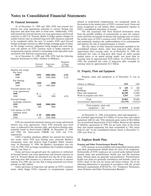interest rate swap agreements primarily to convert Öoating rate GTE's consolidated statements of income. long-term and short-term debt to fixed rates. Additionally, GTE The risk associated with these financial instruments arises had entered into forward interest rate swap agreements and forward from the possible inability of had entered into forward interest rate swap agreements and forward from the possible inability of counterparties to meet the contract contracts to sell U.S. Treasury Bonds to hedge against changes in terms and from movemen contracts to sell U.S. Treasury Bonds to hedge against changes in terms and from movements in interest and exchange rates as well as market interest rates on planned long-term debt issuances expected the market price of GT market interest rates on planned long-term debt issuances expected the market price of GTE's common stock. GTE carefully evaluates to be completed within the next 12 months. GTE used forward and continually monitors the cr foreign exchange contracts to offset foreign exchange gains or losses on the foreign currency obligations being hedged and used longterm call options on GTE common stock to hedge exposure to compensation expense related to outstanding stock-equivalent units approximate their carrying value. As of December 31, 1999, the

|                                      | Notional<br>Amount | Expiration<br>Dates | Weighted-<br>Average<br>Pay Rate | 1990, the estimated fail value of folig-term debt executed its<br>carrying value by approximately \$1.5 billion. |           |          |  |  |  |
|--------------------------------------|--------------------|---------------------|----------------------------------|------------------------------------------------------------------------------------------------------------------|-----------|----------|--|--|--|
| Interest rate swaps:<br>Pay fixed    |                    |                     |                                  | 11. Property, Plant and Equipment                                                                                |           |          |  |  |  |
| 1999                                 | \$351              | 2000-2002           | 6.5%                             |                                                                                                                  |           |          |  |  |  |
| 1998                                 | 648                | 1999-2008           | 6.3%                             | Property, plant and equipment as of December 31 was as                                                           |           |          |  |  |  |
| Pay floating                         |                    |                     |                                  | follows:                                                                                                         |           |          |  |  |  |
| 1999                                 | \$200              | <b>2000</b>         |                                  |                                                                                                                  |           |          |  |  |  |
| 1998                                 | 124                | 1999-2001           |                                  | (Dollars in Millions)                                                                                            | 1999      | 1998     |  |  |  |
| Forward interest rate                |                    |                     |                                  | Land                                                                                                             | \$<br>349 | 349      |  |  |  |
| swap agreements:                     |                    |                     |                                  | <b>Buildings</b>                                                                                                 | 4,451     | 4,397    |  |  |  |
| 1999                                 |                    |                     |                                  | Plant and equipment                                                                                              | 46,340    | 51,489   |  |  |  |
| 1998                                 | 100                | 1999                | 6.2%                             | Work in progress and other                                                                                       | 3,263     | 3,454    |  |  |  |
| Forward foreign                      |                    |                     |                                  | Total                                                                                                            | 54,403    | 59,689   |  |  |  |
| exchange contracts:                  |                    |                     |                                  | Accumulated depreciation                                                                                         | (31,170)  | (34,823  |  |  |  |
| 1999                                 | \$440              | 2000-2004           |                                  | Total property, plant and                                                                                        |           |          |  |  |  |
| 1998                                 | 409                | 2004                |                                  | equipment $-$ net                                                                                                | \$23,233  | \$24,866 |  |  |  |
| Call options on GTE<br>common stock: |                    |                     |                                  |                                                                                                                  |           |          |  |  |  |
| 1999                                 | \$99               | 2000-2006           |                                  | At December 31, 1998, total property, plant and equipment —                                                      |           |          |  |  |  |
| 1998                                 | 315                | 1999-2006           |                                  | net included approximately \$1.6 billion of access lines and related                                             |           |          |  |  |  |

rates, as indicated in the previous table, and receives floating rates, lines and related equipment has been reclassified to "Net assets primarily based on three-month LIBOR. At December 31, 1999 held for sale" in the cons and 1998, the three-month LIBOR was  $6.0\%$  and  $5.1\%$ , respectively.

GTE's Canadian telephone affiliate has entered into interest rate swaps, where GTE pays floating rates, primarily Banker's **12. Employee Benefit Plans**<br>Acceptance rates, and receives fixed Canadian Dollar treasury<br>rates. At December 31, 1998, the Banker's Acceptance rate was **Pensio** rates. At December 31, 1998, the Banker's Acceptance rate was **Pension and Other Postretirement Benefit Plans**<br>5.1%. In 1999, GTE no longer consolidates this Canadian telephone GTE sponsors several qualified and nonqualifi 5.1%. In 1999, GTE no longer consolidates this Canadian telephone

of forward interest rate swap agreements and forward contracts to pension plans and postretirement health care and life insurance sell U.S. Treasury Bonds are amortized over the life of the associ-<br>plans. Pension plans are sell U.S. Treasury Bonds are amortized over the life of the associpations. Pension plans are generally noncontributory. Postretirement ated long-term debt issuance as a decrease or increase to interest health care plans ar ated long-term debt issuance as a decrease or increase to interest health care plans are generally contributory and include a limit on expense. For 1998, the net loss that is being amortized over future GTE's share of the expense. For 1998, the net loss that is being amortized over future

Gains and losses on long-term call options on GTE's common disclosure requirements of SFAS No. 132, "Employers' disclosure requirements of SFAS No. 132, "Employers' Disclosure to compensation expense about Pensions and Oth stock, which hedge GTE's exposure to compensation expense

related to stock-based compensation, are recognized based on **10. Financial Instruments** fluctuations in the market price of GTE's common stock. Gains and As of December 31, 1999 and 1998, GTE had entered into losses recognized on call options offset compensation expense in

and continually monitors the creditworthiness of its counterparties and believes the risk of nonperformance is remote.

The fair values of other financial instruments included in the consolidated balance sheets, other than long-term debt, closely iated with deferred compensation plans.<br>As of December 31, 1999 and 1998, GTE had the following market prices or an option pricing model, was lower than its As of December 31, 1999 and 1998, GTE had the following market prices or an option pricing model, was lower than its financial instruments in effect (Dollars in Millions): carrying value by approximately \$510 million. As o carrying value by approximately \$510 million. As of December 31, 1998, the estimated fair value of long-term debt exceeded its carrying value by approximately \$1.5 billion.

### 11. Property, Plant and Equipment

| 1999<br>1998                                              | \$200<br>124 | 2000<br>1999-2001 |      | (Dollars in Millions)                                                         | 1999                            | 1998                            |
|-----------------------------------------------------------|--------------|-------------------|------|-------------------------------------------------------------------------------|---------------------------------|---------------------------------|
| Forward interest rate<br>swap agreements:<br>1999<br>1998 | 100          | 1999              | 6.2% | Land<br><b>Buildings</b><br>Plant and equipment<br>Work in progress and other | 349<br>4.451<br>46,340<br>3.263 | 349<br>4,397<br>51,489<br>3,454 |
| Forward foreign<br>exchange contracts:                    |              |                   |      | Total<br>Accumulated depreciation                                             | 54,403<br>(31, 170)             | 59.689<br>(34, 823)             |
| 1999<br>1998                                              | \$440<br>409 | 2000-2004<br>2004 |      | Total property, plant and<br>equipment $-$ net                                | \$23.233                        | \$24,866                        |
| Call options on GTF                                       |              |                   |      |                                                                               |                                 |                                 |

At December 31, 1998, total property, plant and equipment net included approximately \$1.6 billion of access lines and related equipment held for sale. This represents gross assets of \$4.4 billion GTE has entered into domestic interest rate swaps and forward less accumulated depreciation of \$2.8 billion. Based on the signing interest rate swap agreements, where GTE primarily pays fixed of definitive agreements in 19 of definitive agreements in 1999, the net book value of the access held for sale" in the consolidated balance sheets at December 31, 1999 (see Note 2).

affiliate (see Note 5). and other postretirement benefit plans for most of its employees. Gains and losses recognized upon the expiration or settlement Substantially all GTE employees are covered under defined benefit revard interest rate swap agreements and forward contracts to pension plans and postretirement periods was \$85 million. following information is presented in accordance with the revised<br>Gains and losses on long-term call options on GTE's common disclosure requirements of SFAS No. 132, "Employers' Disclosures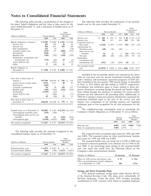the plans' benefit obligations and fair value of plan assets for the years ended December 31, and a statement of funded status as of December 31:

|                                                                                                                                                            |                                                            |                                                               |                                                                          | Uther                                                                     |                                                                                                                                                                                                                                                                                                                                                                                                                                                                                                           |           |                                                    |                            |      |                                            |      |
|------------------------------------------------------------------------------------------------------------------------------------------------------------|------------------------------------------------------------|---------------------------------------------------------------|--------------------------------------------------------------------------|---------------------------------------------------------------------------|-----------------------------------------------------------------------------------------------------------------------------------------------------------------------------------------------------------------------------------------------------------------------------------------------------------------------------------------------------------------------------------------------------------------------------------------------------------------------------------------------------------|-----------|----------------------------------------------------|----------------------------|------|--------------------------------------------|------|
|                                                                                                                                                            |                                                            |                                                               |                                                                          | Postretirement                                                            |                                                                                                                                                                                                                                                                                                                                                                                                                                                                                                           | 1999      | 1998                                               | 1997                       | 1999 | 1998                                       | 1997 |
| (Dollars in Millions)                                                                                                                                      |                                                            | Pension Benefits                                              |                                                                          | Benefits                                                                  |                                                                                                                                                                                                                                                                                                                                                                                                                                                                                                           |           |                                                    |                            |      |                                            |      |
|                                                                                                                                                            | 1999                                                       | 1998                                                          | 1999                                                                     | 1998                                                                      | Service cost                                                                                                                                                                                                                                                                                                                                                                                                                                                                                              | 281<br>\$ | \$<br>293                                          | 259<br><sup>\$</sup>       | \$38 | \$<br>44                                   | \$43 |
| Benefit obligation at January 1                                                                                                                            | \$8,789                                                    | \$8,649                                                       | \$3,701                                                                  | \$4,104                                                                   | Interest cost                                                                                                                                                                                                                                                                                                                                                                                                                                                                                             | 586       | 651                                                | 618                        | 209  | 234                                        | 240  |
| Service cost                                                                                                                                               | 281                                                        | 293                                                           | 38                                                                       | 44                                                                        | Expected return on                                                                                                                                                                                                                                                                                                                                                                                                                                                                                        |           |                                                    |                            |      |                                            |      |
| Interest cost                                                                                                                                              | 586                                                        | 651                                                           | 209                                                                      | 234                                                                       | plan assets                                                                                                                                                                                                                                                                                                                                                                                                                                                                                               | (1,326)   | (1,307)                                            | (1,193)                    | (42) | (39)                                       | (32) |
| Plan amendments                                                                                                                                            | 161                                                        | 10                                                            |                                                                          | (34)                                                                      | Amortization of:                                                                                                                                                                                                                                                                                                                                                                                                                                                                                          |           |                                                    |                            |      |                                            |      |
|                                                                                                                                                            |                                                            |                                                               | $\hspace{0.1mm}-\hspace{0.1mm}$                                          |                                                                           | Transition asset                                                                                                                                                                                                                                                                                                                                                                                                                                                                                          | (68)      | (76)                                               | (89)                       |      |                                            |      |
| Actuarial (gain) loss                                                                                                                                      | (674)                                                      | 527                                                           | (860)                                                                    | (272)                                                                     | Prior service cost                                                                                                                                                                                                                                                                                                                                                                                                                                                                                        |           |                                                    |                            |      |                                            |      |
| Divestitures                                                                                                                                               | (538)                                                      | $\qquad \qquad -$                                             | (2)                                                                      | $\qquad \qquad$                                                           | (benefit)                                                                                                                                                                                                                                                                                                                                                                                                                                                                                                 | 24        | 26                                                 | 9                          | (74) | (79)                                       | (75) |
| Benefits paid                                                                                                                                              | (310)                                                      | (792)                                                         | (234)                                                                    | (230)                                                                     | Net gain                                                                                                                                                                                                                                                                                                                                                                                                                                                                                                  | (65)      | (60)                                               | (42)                       | (17) | (9)                                        | (4)  |
| Settlements, curtailments and                                                                                                                              |                                                            |                                                               |                                                                          |                                                                           | Settlements,                                                                                                                                                                                                                                                                                                                                                                                                                                                                                              |           |                                                    |                            |      |                                            |      |
| terminations, net                                                                                                                                          | (774)                                                      | (66)                                                          | 25                                                                       | (2)                                                                       | curtailments and                                                                                                                                                                                                                                                                                                                                                                                                                                                                                          |           |                                                    |                            |      |                                            |      |
| Assets held for sale                                                                                                                                       |                                                            | (435)                                                         |                                                                          | (175)                                                                     | terminations, net                                                                                                                                                                                                                                                                                                                                                                                                                                                                                         | (511)     | (16)                                               | (205)                      | (8)  | (2)                                        |      |
| Other                                                                                                                                                      | 37                                                         | (48)                                                          | 21                                                                       | 32                                                                        | Net periodic benefit                                                                                                                                                                                                                                                                                                                                                                                                                                                                                      |           |                                                    |                            |      |                                            |      |
| Benefit obligation at                                                                                                                                      |                                                            |                                                               |                                                                          |                                                                           | cost                                                                                                                                                                                                                                                                                                                                                                                                                                                                                                      |           | $$(1,079)$ \$ $(489)$ \$ $(643)$ \$106 \$149 \$172 |                            |      |                                            |      |
| December 31                                                                                                                                                |                                                            |                                                               | \$7,558 \$8,789 \$2,898 \$3,701                                          |                                                                           |                                                                                                                                                                                                                                                                                                                                                                                                                                                                                                           |           |                                                    |                            |      |                                            |      |
| January 1<br>Actual return on plan assets<br><b>Divestitures</b><br>Company contributions<br>Benefits paid<br>Settlements<br>Assets held for sale<br>Other | \$17,949<br>2,915<br>(683)<br>82<br>(310)<br>(1,359)<br>45 | $$16,934$ \$<br>2,511<br>45<br>(792)<br>(63)<br>(626)<br>(60) | 556<br>40<br>199<br>(235)<br>—<br>$\overbrace{\phantom{12322111}}$<br>19 | -S<br>524<br>83<br>217<br>(230)<br>$\overline{\phantom{0}}$<br>(71)<br>33 | lion (included in the first quarter 1999 special charge, as described<br>in Note 3), \$19 million and \$64 million in 1999-97, respectively.<br>Curtailment and settlement gains or losses related to these pro-<br>grams, divestitures occurring during the period and benefit obliga-<br>tions settled through the purchase of annuities for certain retiree<br>pensions are also reflected in the preceding table. Additionally, in<br>1999 the Company's lump-sum pension distributions surpassed the |           |                                                    |                            |      |                                            |      |
| Fair value of plan assets at                                                                                                                               |                                                            |                                                               |                                                                          |                                                                           | settlement threshold equal to the sum of the service cost and                                                                                                                                                                                                                                                                                                                                                                                                                                             |           |                                                    |                            |      |                                            |      |
| December 31                                                                                                                                                | \$18,639                                                   | \$17,949                                                      | 579<br>S                                                                 | -S<br>556                                                                 | interest cost components of net periodic pension cost requiring                                                                                                                                                                                                                                                                                                                                                                                                                                           |           |                                                    |                            |      |                                            |      |
|                                                                                                                                                            |                                                            |                                                               |                                                                          |                                                                           | settlement gain or loss recognition for all cash settlements for the                                                                                                                                                                                                                                                                                                                                                                                                                                      |           |                                                    |                            |      |                                            |      |
| Funded status as of December 31<br>Unrecognized transition asset<br>Unrecognized prior service cost<br>(benefit)<br>Unrecognized gain                      | \$11,081<br>(152)<br>368<br>(5,630)                        | \$9,160<br>(244)<br>241<br>(4,626)                            | (543)<br>(655)                                                           | \$(2,319) \$(3,145)<br>(626)<br>(50)                                      | year.<br>The weighted-average assumptions used in measuring the<br>Company's benefit obligations as of December 31 are as follows:                                                                                                                                                                                                                                                                                                                                                                        |           |                                                    | Pension<br><b>Benefits</b> |      | Other<br>Postretirement<br><b>Benefits</b> |      |
|                                                                                                                                                            |                                                            |                                                               |                                                                          |                                                                           |                                                                                                                                                                                                                                                                                                                                                                                                                                                                                                           |           |                                                    | 1999                       | 1998 | 1999                                       | 1998 |
| Net amount recognized                                                                                                                                      | \$5,667                                                    | \$4,531                                                       |                                                                          | $\{(3,517) \quad \{(3,821)\}$                                             |                                                                                                                                                                                                                                                                                                                                                                                                                                                                                                           |           |                                                    |                            |      |                                            |      |

The following table provides the amounts recognized in the consolidated balance sheets as of December 31: The expected return on pension plan assets for 1999 and 1998

| (Dollars in Millions)                              | Pension Benefits                    | Other<br>Postretirement<br>Benefits     | plan assets for 1999 and 1998 was $8.00\%$ .<br>The assumed health care cost trend rate is 6.50% in 2000 and                           |
|----------------------------------------------------|-------------------------------------|-----------------------------------------|----------------------------------------------------------------------------------------------------------------------------------------|
|                                                    | 1998<br>1999                        | 1998<br>1999                            | is assumed to decrease gradually to an ultimate rate of 5.50% in the<br>year 2004. A one percentage point change in the assumed health |
| Prepaid pension costs<br>Accrued benefit liability | \$6,073\$54,927\$<br>(406)<br>(396) | $-$ \$ $-$<br>(3,821)<br>(3,517)        | care cost trend rate would have the following effects on the<br>Company's other postretirement benefits:                               |
| Net amount recognized                              |                                     | $$5,667$ $$4,531$ $$(3,517)$ $$(3,821)$ | (Dollars in Millions)<br>1% Decrease<br>1% Increase                                                                                    |

The following tables provide a reconciliation of the changes in The following table provides the components of net periodic plans' benefit obligations and fair value of plan assets for the venefit cost for the years ended

| als chucu Decenioci 91, anu a statement of funucu status as of<br>ecember 31: |                  |                              | Other                             |                    | (Dollars in Millions)                         |               | Pension Benefits |           |               | Other<br>Postretirement<br>Benefits |             |
|-------------------------------------------------------------------------------|------------------|------------------------------|-----------------------------------|--------------------|-----------------------------------------------|---------------|------------------|-----------|---------------|-------------------------------------|-------------|
| ollars in Millions)                                                           | Pension Benefits |                              | Postretirement<br><b>Benefits</b> |                    |                                               | 1999          | 1998             | 1997      | 1999          | 1998                                | 1997        |
|                                                                               | 1999             | 1998                         | 1999                              | 1998               | Service cost                                  | \$<br>281     | 293              | 259<br>S. | \$38          | \$44                                | \$43        |
| nefit obligation at January 1                                                 | \$8,789          | \$8,649                      | \$3,701                           | \$4,104            | Interest cost<br>Expected return on           | 586           | 651              | 618       | 209           | 234                                 | 240         |
| Service cost<br>Interest cost                                                 | 281<br>586       | 293<br>651                   | 38<br>209                         | 44<br>234          | plan assets<br>Amortization of:               | (1,326)       | (1,307)          | (1,193)   | (42)          | (39)                                | (32)        |
| Plan amendments<br>Actuarial (gain) loss                                      | 161<br>(674)     | 10<br>527                    | —<br>(860)                        | (34)<br>(272)      | <b>Transition</b> asset<br>Prior service cost | (68)          | (76)             | (89)      |               |                                     |             |
| Divestitures<br>Benefits paid<br>Settlements, curtailments and                | (538)<br>(310)   | (792)                        | (2)<br>(234)                      | –<br>(230)         | (benefit)<br>Net gain<br>Settlements.         | 24<br>(65)    | 26<br>(60)       | 9<br>(42) | (74)<br>(17)  | (79)<br>(9)                         | (75)<br>(4) |
| terminations, net<br>Assets held for sale<br>Other                            | (774)<br>37      | (66)<br>(435)                | 25<br>—<br>21                     | (2)<br>(175)<br>32 | curtailments and<br>terminations, net         | (511)         | (16)             | (205)     | (8)           | (2)                                 |             |
| nefit obligation at<br>December 31                                            |                  | (48)<br>\$7558 \$8789 \$2898 |                                   | \$3701             | Net periodic benefit<br>cost                  | $$(1,079)$ \$ | $(489)$ \$       |           | $(643)$ \$106 | \$149                               | \$172       |

| Omeognized prior service cost<br>(benefit)<br>Unrecognized gain | 368<br>(5,630) | 241<br>(4.626) | (543)<br>(655)                          | (626)<br>(50) |                               | Pension<br><b>Benefits</b> |       | Other<br>Postretirement<br>Benefits |       |
|-----------------------------------------------------------------|----------------|----------------|-----------------------------------------|---------------|-------------------------------|----------------------------|-------|-------------------------------------|-------|
| Net amount recognized                                           |                |                | $$5,667$ $$4,531$ $$(3,517)$ $$(3,821)$ |               |                               | 1999                       | 1998  | 1999                                | 1998  |
|                                                                 |                |                |                                         |               | Discount rate                 | 8.00%                      | 7.00% | 8.00%                               | 7.00% |
|                                                                 |                |                |                                         |               | Rate of compensation increase | 5.50%                      | 4.75% |                                     |       |

was 9.00%. The expected return on other postretirement benefits plan assets for 1999 and 1998 was 8.00%.

| (Dollars in Millions)                                                                    | 1% Increase | 1% Decrease |
|------------------------------------------------------------------------------------------|-------------|-------------|
| Effect on 1999 service and interest costs<br>Effect on postretirement benefit obligation | \$19        | \$ (16)     |
| as of December 31, 1999                                                                  | 206         | (176)       |

### **Savings and Stock Ownership Plans**

GTE sponsors employee savings plans under Section 401(k) of the Internal Revenue Code. The plans cover substantially all full-time employees. Under the plans, GTE provides matching contributions in GTE common stock based on qualified employee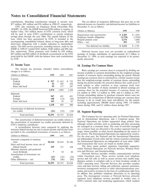contributions. Matching contributions charged to income were The tax effects of temporary differences that give rise to the \$77 million, \$95 million and \$76 million in 1999-97, respectively. deferred income tax (benefits)

GTE also maintains an Employee Stock Ownership Plan December 31 are as follows: (ESOP). In 1989, the ESOP borrowed \$700 million to acquire, at market value, 24.6 million shares of GTE common stock, which will be used to meet GTE's contributions to certain employee savings plans through the year 2004. The unpaid balance of the loan, which has been guaranteed by GTE, is included in the accompanying consolidated balance sheets as long-term debt and short-term obligations with a similar equity. The debt service payments, including interest, made by the ESOP in 1999-97 totaled \$105 million, \$100 million and \$96 million, respectively. These payments were funded by \$50 million, Deferred income taxes were not provided on undistributed \$47 million and \$49 million of dividends accumulated on the GTE earnings of foreign subsidiaries of approximately \$1.3 billion at stock held by the ESOP, with the balance from cash contributions December 31, 1999, as such stock held by the ESOP, with the balance from cash contributions December 31, 1999, as such earnings are expected to be perma-<br>http://weinvested.

| (Dollars in Millions)                              | 1999              | 1998                    | 1997                | $\frac{1}{111}$ and $\frac{1}{111}$ and $\frac{1}{111}$ and $\frac{1}{111}$ and $\frac{1}{111}$ and $\frac{1}{111}$ and $\frac{1}{111}$ and $\frac{1}{111}$<br>number of common shares outstanding during the period. Diluted                                                                                                                   |
|----------------------------------------------------|-------------------|-------------------------|---------------------|-------------------------------------------------------------------------------------------------------------------------------------------------------------------------------------------------------------------------------------------------------------------------------------------------------------------------------------------------|
| Current:<br>Federal<br>Foreign<br>State and local  | \$927<br>52<br>95 | 612<br>S.<br>293<br>177 | \$725<br>256<br>187 | earnings per common share is calculated in a similar manner except<br>that the weighted-average number of common shares outstanding<br>during the period includes the potential dilution that could occur if<br>stock options or other contracts to issue common stock were<br>exercised. The number of shares included in diluted earnings per |
|                                                    | 1,074             | 1,082                   | 1,168               | common share for the potential issuance of common shares was                                                                                                                                                                                                                                                                                    |
| Deferred:<br>Federal<br>Foreign<br>State and local | 947<br>148<br>143 | 451<br>(14)<br>56       | 451<br>(26)<br>65   | 6.6 million in 1999, 5.2 million in 1998, and 4.3 million in 1997.<br>Certain outstanding options to purchase common shares were not<br>included in the computation of diluted earnings per common share<br>because to do so would have been anti-dilutive for the period,<br>including approximately 200,000 shares during 1999, 1.0 million   |
|                                                    | 1,238             | 493                     | 490                 | shares during 1998, and 8.5 million shares during 1997.                                                                                                                                                                                                                                                                                         |
| Amortization of deferred investment<br>tax credits | (21)              | (22)                    | (34)                | 15. Segment Reporting                                                                                                                                                                                                                                                                                                                           |
| Total provision                                    | \$2,291           | \$1,553                 | \$1,624             | The Company has two approximating its National Operations                                                                                                                                                                                                                                                                                       |

the amortization of investment tax credits previously deferred by GTE's telephone subsidiaries.<br>GTE's telephone subsidiaries.

| (Dollars in Millions)                | 1999    | 1998    | 1997    |
|--------------------------------------|---------|---------|---------|
| Amounts computed at statutory        |         |         |         |
| rates                                | \$2,224 | \$1,416 | \$1,546 |
| State and local income taxes, net of |         |         |         |
| federal benefit                      | 155     | 151     | 164     |
| Minority interests and preferred     |         |         |         |
| stock dividends                      | 7       | 54      | 44      |
| Amortization of investment tax       |         |         |         |
| credits                              | (21)    | (22)    | (34)    |
| Other differences — net              | (74)    | (46)    | (96)    |
| Total provision                      | \$2,291 | \$1,553 | \$1,624 |

deferred income tax (benefits) and deferred income tax liabilities at

| (Dollars in Millions)         | 1999    | 1998     |
|-------------------------------|---------|----------|
| Depreciation and amortization | \$2,369 | \$1,625  |
| Employee benefit obligations  | (1,734) | (1, 810) |
| Prepaid pension costs         | 2,174   | 1,688    |
| Other — net                   | 303     | 278      |
| Net deferred tax liability    | \$3,112 | \$1,781  |

nently reinvested.

### **13. Income Taxes 14. Earnings Per Common Share**

The income tax provision (benefit) before extraordinary Basic earnings per common share is computed by dividing net income available to common shareholders by the weighted-average number of common shares outstanding during the period. Diluted earnings per common share is calculated in a similar manner except common share for the potential issuance of common shares was 6.6 million in 1999, 5.2 million in 1998, and 4.3 million in 1997. Certain outstanding options to purchase common shares were not<br>included in the computation of diluted earnings per common share<br>because to do so would have been anti-dilutive for the period,<br>including approximately 200,000 shares during 1998, and 8.5 million shares during 1997.

### 15. Segment Reporting

The Company has two operating units, its National Operations The amortization of deferred investment tax credits relates to and its International Operations, and a Corporate group. The mortization of investment tax credits previously deferred by National Operations are further segme A reconciliation between taxes computed by applying the are managed on a common basis. The costs of activities managed<br>tory federal income tax rate to pretax income and income taxes on a common basis are allocated to the p statutory federal income tax rate to pretax income and income taxes<br>provided in the consolidated statements of income is as follows:<br>(Dollars in Millions) 1999 1998 1997 1998 1997 1998 1997 For the most part, the National are independent of each other and the various countries comprising the International Operations are independent of each other. Affiliated transactions that occur are based on market prices.<br>The three major product segments (reportable segments)

within National Operations are Network Services, Wireless Products and Services, and Internetworking.

Network Services provides wireline communication services within franchised areas. These services include local telephone service and toll calls as well as access services that enable longdistance carriers to complete calls to or from locations outside of GTE's operating areas. Network Services also provides complex voice and data services, billing and collection, operator assistance, inventory management services to other telecommunications companies and receives revenues in the form of a publication right from an affiliate that publishes telephone directories in its operating areas. The intersegment revenues at Network Services primarily represent local telephone services provided at market rates to GTE's national sales and marketing organization, which markets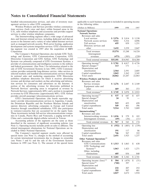bundled telecommunication services, and sales of inventory man- applicable to each business segment is included in operating income agement services to other GTE companies.

| Wireless Products and Services provides wireless communica-                                                                               | (Dollars in Millions)                               | 1999         | 1998         | 1997           |
|-------------------------------------------------------------------------------------------------------------------------------------------|-----------------------------------------------------|--------------|--------------|----------------|
| tions services (both voice and data) within licensed areas in the                                                                         | <b>National Operations:</b>                         |              |              |                |
| U.S., sells wireless telephones and accessories and provides support<br>services to other wireless telephone companies.                   | <b>Network Services</b>                             |              |              |                |
| The Internetworking segment offers a wide range of advanced                                                                               | Revenues and sales                                  |              |              |                |
| data and Internet-related services, including dedicated and dial-up                                                                       | Local services                                      | \$5,976      | \$5,814      | \$5,530        |
| access to the Internet and a variety of value-added Internet services                                                                     | Network access services<br>Toll services            | 5,511<br>655 | 5,316<br>859 | 4,896<br>1,251 |
| such as managed network security, Web-server hosting, application                                                                         | Directory services and                              |              |              |                |
| development and systems integration services. GTE's Internetwork-<br>ing segment was created in 1997 after the acquisition of BBN         | other                                               | 3,432        | 3,259        | 2,847          |
| Corporation.                                                                                                                              | Total revenues                                      | 15,574       | 15,248       | 14,524         |
| The Company's National Operations also include GTE Tech-                                                                                  | Intersegment                                        |              |              |                |
| nology and Systems, GTE Communications Corporation, GTE                                                                                   | revenues                                            | (473)        | (305)        | (220)          |
| Directories Corporation and GTE Airfone. GTE Technology and                                                                               | Total external revenues                             | \$15,101     | \$14,943     | \$14,304       |
| Systems was primarily composed of GTE Government Systems, a                                                                               | Operating income <sup>(a)</sup>                     | \$5,701      | \$4,817      | \$4,726        |
| provider of communications and intelligence systems to the military<br>and federal government. (See Note 2 for information related to the | Special charges <sup>(b)</sup>                      | 113          | 171          |                |
| sale of GTE Government Systems in late 1999.) GTE Communi-                                                                                | Depreciation and                                    |              |              |                |
| cations provides nationwide long-distance service, video services in                                                                      | amortization                                        | 2,564        | 2,591        | 2,605          |
| selected markets and bundled telecommunications services through                                                                          | Capital expenditures                                | 2,843        | 3,362        | 3,245          |
| its national sales and marketing organization. GTE Directories                                                                            | Total assets                                        | 24,862       | 23,287       | 22,883         |
| publishes telephone directories for which it receives advertising                                                                         | <b>Wireless Products and Services</b>               |              |              |                |
| revenue and develops and markets on-line advertising and informa-<br>tion services for consumers and advertisers on the Internet. A       | Revenues and sales<br>Service revenues              | \$3,276      | \$2,687      | \$2,549        |
| portion of the advertising revenue for directories published in                                                                           | Equipment sales and                                 |              |              |                |
| Network Services' operating areas is recognized as revenue by                                                                             | other                                               | 469          | 383          | 373            |
| Network Services (approximately 60%) and a portion is recognized                                                                          | Total revenues <sup>(c)</sup>                       | \$3,745      | \$3,070      | \$2,922        |
| as revenue by GTE Directories (approximately 40%). GTE Airfone                                                                            | Operating income <sup>(a)</sup>                     | \$<br>537    | \$           | \$<br>437      |
| provides aircraft-passenger telecommunications services.<br>GTE's International Operations (the fourth reportable seg-                    | Special charges <sup>(b)</sup>                      | 24           | 647<br>91    |                |
| ment) provide telecommunications services in Argentina, Canada,                                                                           | Depreciation and                                    |              |              |                |
| the Dominican Republic and the Northern Mariana Islands and                                                                               | amortization                                        | 515          | 435          | 428            |
| operate directory advertising companies in Europe and Central                                                                             | Capital expenditures                                | 549          | 461          | 396            |
| America through consolidated subsidiaries. GTE also participates                                                                          | Total assets                                        | 9,514        | 5,783        | 5,889          |
| in ventures/consortia that are accounted for on the equity basis.                                                                         | Internetworking <sup>(d)</sup>                      |              |              |                |
| These investments include full-service telecommunications compa-                                                                          | Revenues and sales                                  |              |              |                |
| nies in Canada, Puerto Rico and Venezuela, a paging network in<br>China and a nationwide digital-cellular network in Taiwan.              | Internetworking revenues                            | \$1,036      | \$<br>579    | \$<br>185      |
| Accounting policies of the segments are the same as those                                                                                 | Intersegment revenues                               | (69)         | (36)         | (11)           |
| described in the summary of significant accounting policies (see                                                                          | Total external revenues                             | \$<br>967    | \$<br>543    | \$<br>174      |
| Note 1). Operating income includes profit on sales to affiliates. The                                                                     | Operating loss                                      | \$<br>(552)  | \$<br>(485)  | (339)<br>\$    |
| related intersegment eliminations for National Operations are in-                                                                         | Depreciation and<br>amortization                    |              |              |                |
| cluded in Other National Operations.<br>The Company's reported segment results were affected by                                           | Capital expenditures                                | 191<br>746   | 117<br>567   | 86<br>322      |
| special items (see Note 3), changes in the method of accounting                                                                           | Total assets                                        | 2,651        | 1,925        | 1,237          |
| for certain international investments due to changes in ownership                                                                         | Other National Operations <sup>(d)</sup>            |              |              |                |
| (see Notes 5 and 8) and the sale of the Government Systems                                                                                | Revenues and sales                                  |              |              |                |
| business in 1999 (see Note 2). The amount of the special items                                                                            | <b>GTE</b> Communications                           | \$1,513      | \$1,063      | \$<br>630      |
|                                                                                                                                           | GTE Technology and                                  |              |              |                |
|                                                                                                                                           | Systems <sup>(e)</sup>                              | 1,063        | 1,423        | 1,271          |
|                                                                                                                                           | Other, including                                    |              |              |                |
|                                                                                                                                           | eliminations                                        | 685          | 856          | 840            |
|                                                                                                                                           | Total revenues                                      | \$3,261      | \$3,342      | \$2,741        |
|                                                                                                                                           | Operating income $\left( \text{loss} \right)^{(a)}$ | \$<br>504    | \$ (479)     | \$<br>(51)     |
|                                                                                                                                           | Special items <sup>(b)</sup>                        | (768)        | 397          |                |
|                                                                                                                                           | Depreciation and<br>amortization                    | 232          | 207          | 252            |
|                                                                                                                                           | Capital expenditures                                | 355          | 507          | 481            |
|                                                                                                                                           | Total assets                                        | 2,827        | 2,672        | 1,918          |
|                                                                                                                                           |                                                     |              |              |                |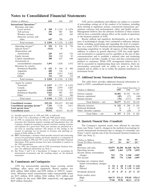| (Dollars in Millions)                        | 1999      | 1998        | 1997        |
|----------------------------------------------|-----------|-------------|-------------|
| International Operations: (f)                |           |             |             |
| Revenues and sales                           |           |             |             |
| Local services                               | \$<br>368 | \$<br>1,219 | \$<br>1,076 |
| Toll services                                | 291       | 907         | 883         |
| Wireless services                            | 548       | 422         | 265         |
| Directory services and                       |           |             |             |
| other                                        | 647       | 786         | 678         |
| Total revenues                               | \$1,854   | \$3,334     | \$2,902     |
| Operating income <sup>(a)</sup>              | \$<br>910 | \$<br>834   | \$<br>726   |
| Special items <sup>(b)</sup>                 | (513)     | 38          |             |
| Depreciation and                             |           |             |             |
| amortization                                 | 245       | 459         | 523         |
| Equity income                                | 324       | 110         | 85          |
| Capital expenditures                         | 380       | 657         | 648         |
| Investments in                               |           |             |             |
| unconsolidated companies                     | 3,491     | 1,820       | 1,932       |
| Revenues by country                          |           |             |             |
| Dominican Republic                           | \$<br>652 | \$<br>564   | \$<br>488   |
| Argentina                                    | 480       | 126         |             |
| Canada                                       | 410       | 2,415       | 2,262       |
| Other                                        | 312       | 229         | 152         |
| Total revenues                               | \$1,854   | \$3,334     | \$2,902     |
| Assets by country                            |           |             |             |
| Venezuela                                    | \$1,837   | \$1,727     | \$1,622     |
| Canada                                       | 1,560     | 2,979       | 3,847       |
| Argentina                                    | 1,604     | 1,129       | 217         |
| Dominican Republic                           | 1,016     | 907         | 825         |
| Other                                        | 927       | 543         | 366         |
| Total assets                                 | \$6,944   | \$7,285     | \$6,877     |
| <b>Consolidated revenues</b>                 | \$25,336  | \$25,473    | \$23,260    |
| Consolidated operating income <sup>(a)</sup> | 7,336     | 5,336       | 5,611       |
| Total special items <sup>(b)</sup>           | (1,116)   | 755         |             |
| <b>Consolidated assets</b>                   | 50,832    | 43,615      | 42,142      |

(a) Includes special items in 1999 and 1998, as indicated.

(b) See Note 3 for a description of 1999 and 1998 special items.

- (c) In 1999, in conjunction with the rollout of ""one rate'' wireless pricing structures that eliminate separate roaming and long-distance fees, the **18. Quarterly Financial Data (Unaudited)**<br>Structures that eliminate separate roaming and long-distance fees, the company changed its reporting to pres next company changed its reporting to present customer foaming revenues<br>and expenses on a gross basis. Prior year amounts are presented on a<br>net basis in operating expenses. The impact of this change in the items (see Note
- (d) BBN Technologies, a business which provides research and contracting 1999 (see Note 2). services for government entities, previously reported as a component of Internetworking in 1998 and 1997, is now included with Other National Operations. Prior period amounts have been reclassified to conform to the 1999 presentation.
- (e) In late 1999, the Company sold its GTE Government Systems business. For additional information see Note 2.<br>(f) See Notes 5 and 8 for a description of changes in accounting for
- international investments and the resulting impact on the financial

### 16. Commitments and Contingencies

GTE has noncancelable operating leases covering certain buildings, office space and equipment. Rental expense was \$436 million, \$464 million and \$399 million in 1999-97, respec-436 million, \$464 million and \$399 million in 1999-97, respectively. Minimum rental commitments under noncancelable leases<br>
47 \$ .47 \$ .47 \$ .47 \$ .47 \$ .47 \$ .47 \$ .47 \$ .47 \$ .47 \$ .47 \$ .47 \$ .47 \$ .47 \$ .47 \$ .47 \$ .47

GTE and its subsidiaries and affiliates are subject to a number of proceedings arising out of the conduct of its business, including those relating to regulatory actions, commercial transactions, government contracts and environmental, safety and health matters. Management believes that the ultimate resolution of these matters will not have a materially adverse effect on the results of operations or the financial position of GTE.

Recent judicial and regulatory developments, as well as the pace of technological change, have continued to influence industry trends, including accelerating and expanding the level of competition. As a result, GTE's National and International Operations face increasing competition in virtually all aspects of their business. In addition, to achieve its growth objectives, GTE has made significant investments to expand its service capability in the area of data communications and to establish a national sales and marketing organization to provide a bundle of voice and data communication products to customers. While GTE management believes that it will be successful in implementing these new initiatives, there are uncertainties associated with its ability to grow to the levels targeted and its ability to do so within the planned timeframes or investment levels.

### **17. Additional Income Statement Information**

The table below provides additional financial information re-<br>lated to GTE's consolidated income statements:

| Canada                                                                    | 1.560            | 2.979        | 3.847      |                                           |              | Years Ended December 31, |              |
|---------------------------------------------------------------------------|------------------|--------------|------------|-------------------------------------------|--------------|--------------------------|--------------|
| Argentina                                                                 | 1.604            | 1,129        | 217        | (Dollars in Millions)                     | 1999         | 1998                     | 1997         |
| Dominican Republic<br>Other                                               | 1.016<br>927     | 907<br>543   | 825<br>366 | Interest expense<br>Interest capitalized  | \$1,402      | \$1,397                  | \$1,283      |
| Total assets                                                              | \$6.944          | \$7.285      | \$6,877    | Interest income                           | (49)<br>(76) | (27)<br>(117)            | (48)<br>(90) |
| <b>Consolidated revenues</b>                                              | \$25,336         | \$25,473     | \$23,260   | Total Interest — net                      | \$1,277      | \$1,253                  | \$1,145      |
| Consolidated operating income <sup>(a)</sup><br>Total special items $(b)$ | 7,336<br>(1,116) | 5,336<br>755 | 5,611      | Minority interests<br>Preferred dividends | 122          | 290                      | \$245<br>12  |
| <b>Consolidated assets</b>                                                | 50,832           | 43,615       | 42,142     | Other (income) expense                    |              | (20)                     | 8            |
| $(a)$ Includes special items in 1000 and 1009 as indicated                |                  |              |            | Total Other — net                         | 137          | 278                      | \$265        |

manner of reporting was an increase in revenues and operating ex-<br>penses of \$264 million in 1999.<br>Notes 5 and 8) and the sale of the Government Systems business in Notes 5 and 8) and the sale of the Government Systems business in

| Internetworking in 1998 and 1997, is now included with Other National<br>Operations. Prior period amounts have been reclassified to conform to                                                                                                                                                      | (Dollars in Millions,<br>Except Per-Share Amounts)<br>1999<br>Revenues and sales<br>Operating income<br>Income before extraordinary<br>charges |                  | 1st<br>Qtr <sup>(a)</sup><br>\$5,879<br>1.682<br>912 |                  | 2nd<br>Otr<br>\$6,288<br>1.461<br>776 |                 | 3rd<br>$Qtr^{(b)}$<br>\$6,428<br>2,378<br>1,368 |        | 4th<br>$Qtr^{(c)}$        |  |
|-----------------------------------------------------------------------------------------------------------------------------------------------------------------------------------------------------------------------------------------------------------------------------------------------------|------------------------------------------------------------------------------------------------------------------------------------------------|------------------|------------------------------------------------------|------------------|---------------------------------------|-----------------|-------------------------------------------------|--------|---------------------------|--|
| the 1999 presentation.<br>In late 1999, the Company sold its GTE Government Systems busi-<br>ness. For additional information see Note 2.<br>See Notes 5 and 8 for a description of changes in accounting for<br>international investments and the resulting impact on the financial<br>statements. |                                                                                                                                                |                  |                                                      |                  |                                       |                 |                                                 |        | \$6,741<br>1,815<br>1,007 |  |
| <b>Commitments and Contingencies</b>                                                                                                                                                                                                                                                                | Net income<br>Earnings per common share<br>before extraordinary charges:                                                                       |                  | 882                                                  |                  | 776                                   |                 | 1.368                                           |        | 1.007                     |  |
| GTE has noncancelable operating leases covering certain<br>dings, office space and equipment. Rental expense was                                                                                                                                                                                    | Basic<br>Diluted                                                                                                                               |                  | .94S<br>.93 <sub>0</sub>                             | $\mathbf{s}$     |                                       | $.79 \t S 1.39$ | $.80 \t S 1.40 \t S 1.04$                       | \$1.03 |                           |  |
| i million, \$464 million and \$399 million in 1999-97, respec-<br>y. Minimum rental commitments under noncancelable leases                                                                                                                                                                          | Dividends declared<br>Stock market price:                                                                                                      | $\$\quad 47$     |                                                      | $\mathbf{s}$     |                                       |                 | 47 \$ 47 \$ 47                                  |        |                           |  |
| $$255$ million, $$218$ million, $$164$ million, $$131$ million and<br>million for the years 2000-2004, respectively, and aggregate<br>million thereafter.                                                                                                                                           | High<br>Low                                                                                                                                    | \$69.75<br>57.00 |                                                      | \$76.13<br>59.50 |                                       |                 | \$78.50<br>68.13                                |        | \$78.13<br>67.31          |  |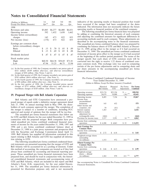|     |                                                                   |                   |                                                                            |     | 4th                                                                                     | indicative of the operating results or financial position that would                                                              |
|-----|-------------------------------------------------------------------|-------------------|----------------------------------------------------------------------------|-----|-----------------------------------------------------------------------------------------|-----------------------------------------------------------------------------------------------------------------------------------|
|     |                                                                   |                   |                                                                            |     | Qtr                                                                                     | have occurred if the merger had been completed at the dates                                                                       |
|     |                                                                   |                   |                                                                            |     |                                                                                         | indicated. The information does not necessarily indicate the future                                                               |
|     |                                                                   |                   |                                                                            |     | \$6,831                                                                                 | operating results or financial position of the combined company.                                                                  |
| 592 |                                                                   |                   |                                                                            |     | 1,662                                                                                   | The following unaudited pro forma financial data was prepared                                                                     |
|     |                                                                   |                   |                                                                            |     |                                                                                         | by adding or combining the historical amounts of each company                                                                     |
| 142 |                                                                   | 673               |                                                                            | 822 | 855                                                                                     | and adjusting the combined amounts for significant differences in                                                                 |
|     |                                                                   | 673               |                                                                            | 822 | 855                                                                                     | accounting methods used by each company. These adjustments are                                                                    |
|     |                                                                   |                   |                                                                            |     |                                                                                         | described in the accompanying notes to the financial statements.                                                                  |
|     |                                                                   |                   |                                                                            |     |                                                                                         | The unaudited pro forma combined balance sheet was prepared by                                                                    |
|     |                                                                   |                   |                                                                            |     |                                                                                         | combining the balance sheets of GTE and Bell Atlantic at Decem-                                                                   |
|     |                                                                   |                   |                                                                            |     |                                                                                         | ber 31, 1999, giving effect to the merger as if it had occurred on                                                                |
|     |                                                                   |                   |                                                                            |     |                                                                                         | December 31, 1999. The unaudited pro forma combined condensed                                                                     |
|     |                                                                   | .47               |                                                                            | .47 | .47<br>$\mathbf{\hat{s}}$                                                               | statement of income gives effect to the merger as if it had occurred                                                              |
|     |                                                                   |                   |                                                                            |     |                                                                                         | at the beginning of the earliest period presented. The terms of the<br>merger specify that each share of GTE common stock will be |
|     |                                                                   |                   |                                                                            |     |                                                                                         | converted into the right to receive 1.22 shares of combined com-                                                                  |
|     |                                                                   |                   |                                                                            |     | 53.94                                                                                   | pany common stock. This exchange ratio was used in computing                                                                      |
|     | 1st<br>$Qtr^{(d)}$<br>\$5,885<br>(178)<br>.15<br>\$60.50<br>47.94 | .15S<br>-S<br>.47 | 2nd<br>Qtr<br>\$6,277<br>1,432<br>.69<br><sup>\$</sup><br>\$64.38<br>55.25 | S.  | 3rd<br>Otr<br>\$6,480<br>1,650<br>.70 <sup>°</sup><br><sup>\$</sup><br>\$58.69<br>46.75 | .85S<br>.89<br>.85S<br>.88<br>\$71.81                                                                                             |

charges of \$30 million. (See Notes 3 and 4).

- (b) In the third quarter of 1999, the Company recorded a net pretax gain of
- 
- charges of \$755 million (\$482 million after-tax) and after-tax extraordinary charges of \$320 million. (See Notes 3 and 4).

### 19. Proposed Merger with Bell Atlantic Corporation

The following unaudited pro forma combined condensed finan-<br>cial statements are presented assuming that the merger of GTE and Bell Atlantic will be accounted for as a pooling of interests. Under this method of accounting, the companies are treated as if they had always been combined for accounting and financial reporting purposes. These unaudited pro forma financial statements have been prepared from, and should be read in conjunction with, the historical consolidated financial statements and accompanying notes of GTE and Bell Atlantic, which are included in this report and Bell GTE and Bell Atlantic, which are included in this report and Bell See accompanying Notes to Unaudited Pro Forma Combined Condensed Atlantic's Form 10-K, respectively, for the year ended Decem-<br>Financial Statements. ber 31, 1999. The unaudited pro forma financial information is presented for illustration purposes only and is not necessarily

The following unaudited pro forma financial data was prepared<br>by adding or combining the historical amounts of each company and adjusting the combined amounts for significant differences in accounting methods used by each company. These adjustments are described in the accompanying notes to the financial statements. statement of income gives effect to the merger as if it had occurred at the beginning of the earliest period presented. The terms of the merger specify that each share of GTE common stock will be converted into the right to receive 1.22 shares of combined company common stock. This exchange ratio was used in computing certain of the pro forma adjustments and in computing share and (a) In the first quarter of 1999, the Company recorded a net pretax gain of per share amounts in the accompanying unaudited pro forma \$321 million (\$189 million after-tax), and after-tax extraordinary financial information

\$705 million (\$416 million after-tax). (See Note 3).<br>
(c) In the fourth quarter of 1999, the Company recorded a net pretax gain<br>
of \$90 million (\$46 million after-tax). (See Note 3).<br>
(d) In the first quarter of 1998, the

| charges of \$755 million (\$482 million after-tax) and after-tax ex-<br>traordinary charges of \$320 million. (See Notes 3 and 4).                                                                                                                                              |                                                                                            | Historical<br><b>Bell Atlantic</b> | Historical<br><b>GTE</b> | Pro Forma<br>Adjustments | Pro Forma<br>Combined |
|---------------------------------------------------------------------------------------------------------------------------------------------------------------------------------------------------------------------------------------------------------------------------------|--------------------------------------------------------------------------------------------|------------------------------------|--------------------------|--------------------------|-----------------------|
| 19. Proposed Merger with Bell Atlantic Corporation                                                                                                                                                                                                                              | Operating revenues<br>Operating expenses                                                   | \$33,174<br>24,679                 | \$25,336<br>18,000       | $s -$<br>$(36)^{(3d)}$   | \$58,510<br>42,643    |
|                                                                                                                                                                                                                                                                                 | Operating income                                                                           | 8.495                              | 7,336                    | 36                       | 15,867                |
| Bell Atlantic and GTE Corporation have announced a pro-<br>posed merger of equals under a definitive merger agreement dated<br>July 27, 1998. At annual meetings held in May 1999, the share-                                                                                   | Income from<br>unconsolidated<br>businesses<br>Other income and                            | 143                                | 432                      |                          | 575                   |
| holders of each company approved the merger. The completion of                                                                                                                                                                                                                  | (expense), net                                                                             | 54                                 | (61)                     |                          | (7)                   |
| the merger is subject to a number of conditions, including FCC                                                                                                                                                                                                                  | Interest expense                                                                           | 1,263                              | 1,353                    |                          | 2,616                 |
| approval and receipt of opinions that the merger will be tax-free.<br>The unaudited pro forma financial statements that follow are<br>for GTE and Bell Atlantic for the year ended December 31, 1999 in                                                                         | Mark-to-market<br>adjustment for<br>exchangeable notes<br>Provision for income taxes       | (664)<br>2,557                     | 2,291                    | $14^{-(3e)}$             | (664)<br>4,862        |
| connection with the proposed merger. Both companies have pro-<br>vided unaudited pro forma combined condensed financial state-<br>ments of income for the years ended December 31, 1998, 1997 and                                                                               | Income from continuing<br>operations                                                       | \$4,208                            | \$4,063                  | \$22                     | \$8,293               |
| 1996 and a pro forma combined condensed balance sheet at<br>December 31, 1998 in a joint proxy statement and prospectus filed<br>with the Securities and Exchange Commission dated April 13,                                                                                    | <b>Basic Earnings Per</b><br><b>Common Share</b><br>Income from continuing<br>operations   | 2.72<br>\$                         | \$4.18                   |                          | 3.03<br>\$            |
| 1999. Bell Atlantic has supplied all information contained in this<br>report relating to Bell Atlantic and GTE has supplied all informa-<br>tion relating to GTE.                                                                                                               | Weighted-average shares<br>outstanding<br>(in millions)                                    | 1,553                              | 972                      | $214^{(3c)}$             | 2,739                 |
| The following unaudited pro forma combined condensed finan-<br>cial statements are presented assuming that the merger of GTE and<br>Bell Atlantic will be accounted for as a pooling of interests. Under<br>this method of accounting, the companies are treated as if they had | <b>Diluted Earnings Per</b><br><b>Common Share</b><br>Income from continuing<br>operations | 2.66<br>S.                         | \$4.15                   |                          | 2.99<br>S.            |
| always been combined for accounting and financial reporting pur-<br>poses. These unaudited pro forma financial statements have been<br>prepared from and should be read in conjunction with the histori-                                                                        | Weighted-average<br>$shares$ - diluted<br>(in millions)                                    | 1,583                              | 979                      | $215^{(3c)}$             | 2,777                 |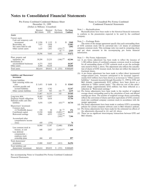(Dollars in Millions) (Unaudited)

|                                                                                                                                      | Historical<br>Bell Atlantic | Historical<br><b>GTE</b>  | Pro Forma<br>Adjustments                                            | Pro Forma<br>Combined          | Note $1$ — Reclassifications<br>Reclassifications have been made to the historical financial statements                                                                                                                                                                                                                                                                                               |
|--------------------------------------------------------------------------------------------------------------------------------------|-----------------------------|---------------------------|---------------------------------------------------------------------|--------------------------------|-------------------------------------------------------------------------------------------------------------------------------------------------------------------------------------------------------------------------------------------------------------------------------------------------------------------------------------------------------------------------------------------------------|
| <b>Assets</b>                                                                                                                        |                             |                           |                                                                     |                                | to conform to the presentation expected to be used by the combined<br>company.                                                                                                                                                                                                                                                                                                                        |
| Current assets<br>Cash and temporary cash<br>investments<br>Receivables, net<br>Net assets held for sale<br>Other current assets     | \$1,936<br>7,025            | \$1,132<br>5,058<br>1,802 | \$                                                                  | 3,068<br>\$<br>12,083<br>1,802 | Note $2$ — Exchange Ratio<br>The terms of the merger agreement specify that each outstanding share<br>of GTE common stock will be converted into 1.22 shares of combined<br>company common stock. This exchange ratio was used in computing share                                                                                                                                                     |
|                                                                                                                                      | 1,635                       | 1,451                     | $(232)^{(3b)}$<br>$65^{'}$ (3e)                                     | 2,919                          | and per share amounts in the accompanying pro forma financial                                                                                                                                                                                                                                                                                                                                         |
|                                                                                                                                      | 10,596                      | 9,443                     | (167)                                                               | 19,872                         | information.                                                                                                                                                                                                                                                                                                                                                                                          |
| Plant, property and<br>equipment, net                                                                                                | 39,299                      | 23,233                    | $(166)^{(3d)}$                                                      | 62,366                         | Note $3$ — Pro Forma Adjustments<br>(a) A pro forma adjustment has been made to reflect the issuance of<br>1,180 million shares of combined company common stock in exchange<br>for all outstanding shares of GTE common stock as per the exchange<br>ratio stated in Note 2, above. The adjustment also reflects the cancella-                                                                       |
| Investments in<br>unconsolidated businesses<br>Other assets                                                                          | 6,275<br>6,444              | 3,932<br>14,224           |                                                                     | 10,207<br>20,668               |                                                                                                                                                                                                                                                                                                                                                                                                       |
| Total assets                                                                                                                         | \$62,614                    | \$50,832                  | (333)<br>\$                                                         | \$113,113                      | tion of shares of GTE treasury stock, but does not reflect the impact of<br>fractional shares.                                                                                                                                                                                                                                                                                                        |
| <b>Liabilities and Shareowners'</b><br>Investment                                                                                    |                             |                           |                                                                     |                                | (b) A pro forma adjustment has been made to reflect direct incremental<br>merger-related costs. Amounts anticipated to be incurred (approxi-<br>mately \$143 million) have been shown as an increase to "Other current                                                                                                                                                                                |
| Current liabilities<br>Debt maturing within one.<br>year<br>Accounts payable and<br>accrued liabilities<br>Other current liabilities | \$5,455                     | \$9,608                   | \$                                                                  | \$15,063                       | liabilities." Amounts incurred through December 31, 1999 by GTE and<br>Bell Atlantic (approximately \$232 million) have been shown as a<br>reduction to "Other current assets." The after-tax cost of this antici-<br>pated charge (approximately \$310 million) has been reflected as a<br>reduction in "Reinvested earnings."<br>(c) Pro forma adjustments have been made to the number of weighted |
|                                                                                                                                      | 6,465<br>1,547              | 5,782<br>945              | $143^{(3b)}$                                                        | 12,247<br>2,635                |                                                                                                                                                                                                                                                                                                                                                                                                       |
|                                                                                                                                      | 13,467                      | 16,335                    | 143                                                                 | 29,945                         | average shares outstanding used in the calculation of basic and diluted                                                                                                                                                                                                                                                                                                                               |
| Long-term debt<br>Employee benefit obligations<br>Deferred credits and other                                                         | 18,463<br>9,326             | 13,957<br>4,418           |                                                                     | 32,420<br>13,744               | earnings per share. The number of weighted average shares outstanding<br>reflects the conversion of shares and share equivalents of GTE common<br>stock into combined company common stock in accordance with the                                                                                                                                                                                     |
| liabilities                                                                                                                          | 5,478                       | 5,295                     | $(63)^{(3e)}$                                                       | 10,710                         | merger agreement.<br>(d) Pro forma adjustments have been made to conform GTE's accounting                                                                                                                                                                                                                                                                                                             |
| Shareowners' investment<br>Common stock<br>$(2,756,484,606 \text{ shares})$<br>Contributed capital<br>Reinvested earnings            | 158<br>13,550<br>2,806      | 50<br>8,680<br>4,953      | $68^{(3a)}$<br>$(2,095)^{(3a)}$<br>$(310)^{(3b)}$<br>$(103)^{(3d)}$ | 276<br>20,135<br>7,346         | policies for certain computer software costs to Bell Atlantic's policies.<br>(e) Pro forma adjustments have been made for the estimated tax effects of<br>the adjustments discussed in (b) and (d) above.<br>(f) There are no significant intercompany transactions between GTE and<br>Bell Atlantic.                                                                                                 |
| Accumulated other<br>comprehensive income<br>$(\text{loss})$                                                                         | 450                         | (376)                     |                                                                     | 74                             |                                                                                                                                                                                                                                                                                                                                                                                                       |
|                                                                                                                                      | 16,964                      | 13,307                    | (2,440)                                                             | 27,831                         |                                                                                                                                                                                                                                                                                                                                                                                                       |
| Less common stock in<br>treasury, at cost<br>Less deferred                                                                           | 640                         | 2,027                     | $(2,027)^{(3a)}$                                                    | 640                            |                                                                                                                                                                                                                                                                                                                                                                                                       |
| compensation<br>employee stock<br>ownership plans                                                                                    | 444                         | 453                       |                                                                     | 897                            |                                                                                                                                                                                                                                                                                                                                                                                                       |
| Total shareowners'<br>investment                                                                                                     | 15,880                      | 10,827                    | (413)                                                               | 26,294                         |                                                                                                                                                                                                                                                                                                                                                                                                       |
| Total liabilities and<br>shareowners' investment                                                                                     | \$62,614                    | \$50,832                  | \$<br>(333)                                                         | \$113,113                      |                                                                                                                                                                                                                                                                                                                                                                                                       |

See accompanying Notes to Unaudited Pro Forma Combined Condensed Financial Statements.

### Pro Forma Combined Condensed Balance Sheet Notes to Unaudited Pro Forma Combined<br>December 31, 1999 Condensed Financial Statements Condensed Financial Statements

### Note 1 – Reclassifications

- tion of shares of GTE treasury stock, but does not reflect the impact of fractional shares.
- (b) A pro forma adjustment has been made to reflect direct incremental merger-related costs. Amounts anticipated to be incurred (approximately \$143 million) have been shown as an increase to "Other current liabilities." Amounts incurred through December 31, 1999 by GTE and Debt maturing within one **Bell Atlantic (approximately \$232 million)** have been shown as a year \$ 5,455 \$ 9,608 \$ **\$ 15,063** reduction to "Other current assets." The after-tax cost of this anticipated charge (approximately \$310 million) has been reflected as a reduction in "Reinvested earnings."
	- (c) Pro forma adjustments have been made to the number of weighted average shares outstanding used in the calculation of basic and diluted earnings per share. The number of weighted average shares outstanding reflects the conversion of shares and share equivalents of GTE common stock into combined company common stock in accordance with the merger agreement.
	-
	-
	- Bell Atlantic.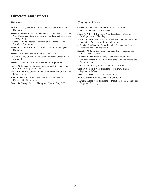## **Directors and Officers**

- Company **Michael T. Masin**, Vice Chairman
- James R. Barker, Chairman, The Interlake Steamship Co., and<br>
Vice Chairman, Mormac Marine Group, Inc. and the Moran<br>
Towing Company<br> **Edward H. Budd**, Retired Chairman of the Board of The<br> **Edward H. Budd**, Retired Chairma
- **Edward H. Budd**, Retired Chairman of the Board of The Travelers Corporation
- **Robert F. Daniell, Retired Chairman, United Technologies Corporation**
- **James L. Ketelsen**, Retired Chairman, Tenneco Inc.
- **Charles R. Lee**, Chairman and Chief Executive Officer, GTE **Lawrence R. Whitman**, Deputy Chief Financial Officer
- **Michael T. Masin**, Vice Chairman, GTE Corporation
- **Sandra O. Moose**, Senior Vice President and Director, The **Jan L. Deur**, Acting Vice President and Treasurer Boston Consulting Group, Inc. **Geoffrey C. Gould**, Vice President — Government and
- **Russell E. Palmer**, Chairman and Chief Executive Officer, The Regulatory Affairs Palmer Group **John P. Z. Kent**, Vice President — Taxes
- **John W. Snow**, Chairman, President and Chief Executive **Paul R. Shuell**, Vice President and Controller<br>
Officer, CSX Corporation **Marianne Drost** Vice President Deputy General
- **Robert D. Storey, Partner, Thompson, Hine & Flory LLP Corporate Secretary**

### *Directors Corporate Officers*

- **Edwin L. Artzt**, Retired Chairman, The Procter & Gamble **Charles R. Lee**, Chairman and Chief Executive Officer
	-
	-
	-
	- **J. Randall MacDonald**, Executive Vice President Human Resources and Administration
	- **Daniel P. O'Brien**, Executive Vice President Finance and Chief Financial Officer
	-
	- Corporation<br> **Mary Beth Bardin**, Senior Vice President Public Affairs and<br> **Communications**<br>
	Communications
		-
		-
		-
		-
		- Marianne Drost, Vice President Deputy General Counsel and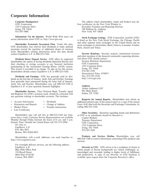## **Corporate Information**

Shareholder Systematic Investment Plan. Under this plan,<br>GTE shareholders may reinvest their dividends or make optional<br>payments toward the purchase of additional shares of common<br>payments toward the purchase of additional stock. Shareholders wishing information about this plan should contact EquiServe L.P. at 800/225-5160.

**Dividend Direct Deposit Service.** GTE offers its registered tion about GTE should contact:<br>eholders the ontion of having dividends deposited directly into linvestor Relations Department shareholders the option of having dividends deposited directly into livestor Relations their checking or savings accounts at any financial institution GTE Corporation their checking or savings accounts at any financial institution GTE Corporation<br>participating in the Automated Clearing House (ACH) system. 1255 Corporate Drive participating in the Automated Clearing House (ACH) system. 1255 Corporate D<br>This service is provided at no charge. To sign up for this service Irving, TX 75038 This service is provided at no charge. To sign up for this service, Irving, TX 750<br>shareholders should contact EquiServe L.P. at 800/225-5160 972/507-2789 shareholders should contact EquiServe L.P. at 800/225-5160.

**Dividends and Earnings.** GTE has generally paid its divi-<br>S on the first day of January April July and October Farnings http://www.gte.com dends on the first day of January, April, July and October. Earnings have generally been announced during the latter half of January, April, July and October. Shareholders may call 800/225-5160 at EquiServe L.P. to hear quarterly financial highlights. **Auditors** 

**Shareholder Services.** Fleet National Bank, Transfer Agent 901 Main Street Registrar for GTF's common stock should be contacted with Dallas, TX 75202 and Registrar for GTE's common stock, should be contacted with any questions relating to shareholder accounts. This includes:

- 
- 
- 
- Lost Certificates

**Other Securities.** Questions regarding bonds and debentures Shareholders may call toll free at 800/225-5160 any time, of GTE or its subsidiaries should be directed to:<br>
capital Markets Monday through Friday between the hours of 8 a.m. and 5 p.m.<br>
Eastern Time. Outside the United States call 781/575-2990. Treasury Department<br>
Or write to:<br>
EquiServe, L.P.<br>
P.O. Box 8031<br>
P.O. Box 8031

Boston, MA 02266-8031

For overnight delivery services, use the following address: EquiServe, L.P.

**Corporate Headquarters** The address where shareholders, banks and brokers may de-<br>GTE Corporation Corporation and the New York Window is: liver certificates via the New York Window is:

1255 Corporate Drive Securities Transfers and Reporting Services Irving, TX 75038 100 William St., Galleria<br>
972/507-5000 100 William St., Galleria<br>
New York, NY 10038 New York, NY 10038

Information Via the Internet. World Wide Web users can<br>access information about GTE at: http://www.gte.com<br>is listed on the New York Stock Exchange, the Chicago, Pacific<br>and other regional stock exchanges in the United Sta

**Investor Relations.** Security analysts, institutional investors and other members of the financial community requesting informa-<br>tion about GTE should contact:

International Telex: 4750071<br>Fax: 972/507-2520

Arthur Andersen LLP<br>901 Main Street

**Requests for Annual Reports.** Shareholders may obtain an ' Account Information ' Dividends additional printed copy of this annual report or a copy of the annual Statements and Reports • Change of Address Form 10-K filed with the Securities and Exchange Commission, by Market Prices • Transfer Instructions calling 800/225-5160.

Shareholders with e-mail addresses can send inquiries to: **Products and Services Hotline.** Shareholders may call  $800/828-7280$  to receive information concerning GTE products and services.

EquiServe, L.P.<br>Blue Hills Office Park<br>Blue Hills Office Park<br>Blue Hills Office Park<br>Strives to be a workplace of choice in<br>Riversity at GTE. GTE strives to be a workplace of choice in<br>Riversity at GTE. GTE strives to be a Blue Hills Office Park which people of diverse backgrounds are valued, challenged, ac-<br>150 Royall Street and rewarded, leading to higher levels of fulfillment 150 Royall Street knowledged and rewarded, leading to higher levels of fulfillment Mail Stop 45-02-60 knowledged and productivity. A copy of our *Diversity at GTE* brochure is and productivity. A copy of our *Diversity at GTE* brochure is Canton, MA 02021 **available upon request from the Corporate Secretary's office.**